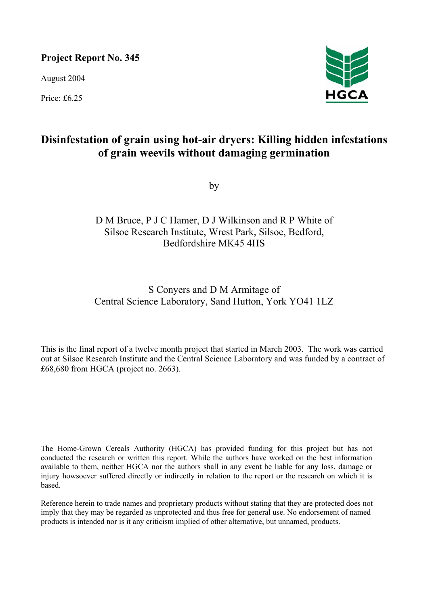# **Project Report No. 345**

August 2004

Price: £6.25



# **Disinfestation of grain using hot-air dryers: Killing hidden infestations of grain weevils without damaging germination**

by

# D M Bruce, P J C Hamer, D J Wilkinson and R P White of Silsoe Research Institute, Wrest Park, Silsoe, Bedford, Bedfordshire MK45 4HS

# S Conyers and D M Armitage of Central Science Laboratory, Sand Hutton, York YO41 1LZ

This is the final report of a twelve month project that started in March 2003. The work was carried out at Silsoe Research Institute and the Central Science Laboratory and was funded by a contract of £68,680 from HGCA (project no. 2663).

The Home-Grown Cereals Authority (HGCA) has provided funding for this project but has not conducted the research or written this report. While the authors have worked on the best information available to them, neither HGCA nor the authors shall in any event be liable for any loss, damage or injury howsoever suffered directly or indirectly in relation to the report or the research on which it is based.

Reference herein to trade names and proprietary products without stating that they are protected does not imply that they may be regarded as unprotected and thus free for general use. No endorsement of named products is intended nor is it any criticism implied of other alternative, but unnamed, products.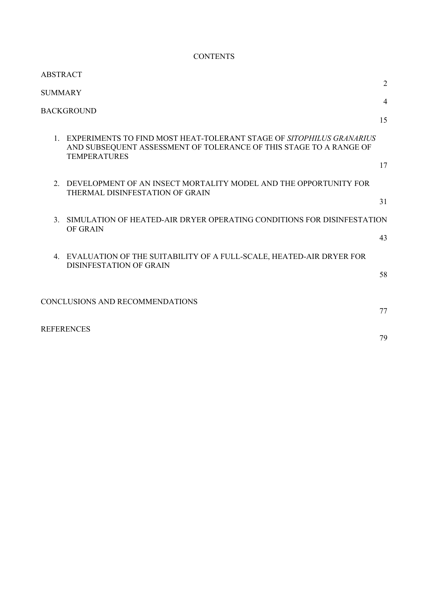# **CONTENTS**

| ABSTRACT                                                                                                                                                             |                |
|----------------------------------------------------------------------------------------------------------------------------------------------------------------------|----------------|
| <b>SUMMARY</b>                                                                                                                                                       | $\overline{2}$ |
| <b>BACKGROUND</b>                                                                                                                                                    | $\overline{4}$ |
|                                                                                                                                                                      | 15             |
| 1. EXPERIMENTS TO FIND MOST HEAT-TOLERANT STAGE OF SITOPHILUS GRANARIUS<br>AND SUBSEQUENT ASSESSMENT OF TOLERANCE OF THIS STAGE TO A RANGE OF<br><b>TEMPERATURES</b> |                |
|                                                                                                                                                                      | 17             |
| 2. DEVELOPMENT OF AN INSECT MORTALITY MODEL AND THE OPPORTUNITY FOR<br>THERMAL DISINFESTATION OF GRAIN                                                               |                |
|                                                                                                                                                                      | 31             |
| SIMULATION OF HEATED-AIR DRYER OPERATING CONDITIONS FOR DISINFESTATION<br>3 <sub>1</sub>                                                                             |                |
| OF GRAIN                                                                                                                                                             | 43             |
| 4. EVALUATION OF THE SUITABILITY OF A FULL-SCALE, HEATED-AIR DRYER FOR<br><b>DISINFESTATION OF GRAIN</b>                                                             |                |
|                                                                                                                                                                      | 58             |
|                                                                                                                                                                      |                |
| CONCLUSIONS AND RECOMMENDATIONS                                                                                                                                      | 77             |
| <b>REFERENCES</b>                                                                                                                                                    | 79             |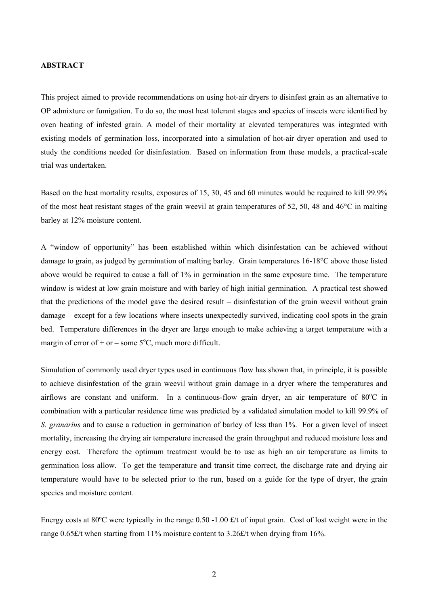#### **ABSTRACT**

This project aimed to provide recommendations on using hot-air dryers to disinfest grain as an alternative to OP admixture or fumigation. To do so, the most heat tolerant stages and species of insects were identified by oven heating of infested grain. A model of their mortality at elevated temperatures was integrated with existing models of germination loss, incorporated into a simulation of hot-air dryer operation and used to study the conditions needed for disinfestation. Based on information from these models, a practical-scale trial was undertaken.

Based on the heat mortality results, exposures of 15, 30, 45 and 60 minutes would be required to kill 99.9% of the most heat resistant stages of the grain weevil at grain temperatures of 52, 50, 48 and 46°C in malting barley at 12% moisture content.

A "window of opportunity" has been established within which disinfestation can be achieved without damage to grain, as judged by germination of malting barley. Grain temperatures 16-18°C above those listed above would be required to cause a fall of 1% in germination in the same exposure time. The temperature window is widest at low grain moisture and with barley of high initial germination. A practical test showed that the predictions of the model gave the desired result – disinfestation of the grain weevil without grain damage – except for a few locations where insects unexpectedly survived, indicating cool spots in the grain bed. Temperature differences in the dryer are large enough to make achieving a target temperature with a margin of error of + or – some  $5^{\circ}$ C, much more difficult.

Simulation of commonly used dryer types used in continuous flow has shown that, in principle, it is possible to achieve disinfestation of the grain weevil without grain damage in a dryer where the temperatures and airflows are constant and uniform. In a continuous-flow grain dryer, an air temperature of 80°C in combination with a particular residence time was predicted by a validated simulation model to kill 99.9% of *S. granarius* and to cause a reduction in germination of barley of less than 1%. For a given level of insect mortality, increasing the drying air temperature increased the grain throughput and reduced moisture loss and energy cost. Therefore the optimum treatment would be to use as high an air temperature as limits to germination loss allow. To get the temperature and transit time correct, the discharge rate and drying air temperature would have to be selected prior to the run, based on a guide for the type of dryer, the grain species and moisture content.

Energy costs at 80ºC were typically in the range 0.50 -1.00 £/t of input grain. Cost of lost weight were in the range 0.65£/t when starting from 11% moisture content to 3.26£/t when drying from 16%.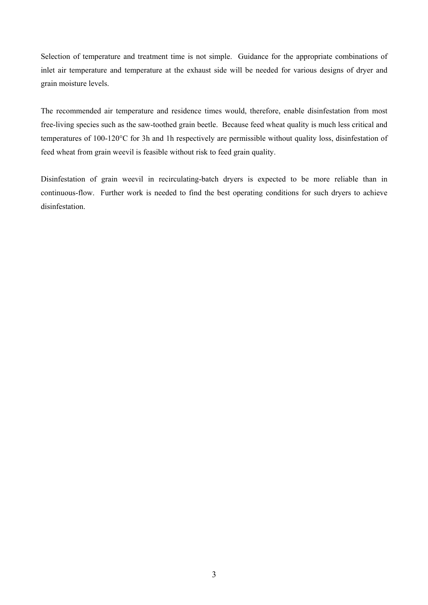Selection of temperature and treatment time is not simple. Guidance for the appropriate combinations of inlet air temperature and temperature at the exhaust side will be needed for various designs of dryer and grain moisture levels.

The recommended air temperature and residence times would, therefore, enable disinfestation from most free-living species such as the saw-toothed grain beetle. Because feed wheat quality is much less critical and temperatures of 100-120°C for 3h and 1h respectively are permissible without quality loss, disinfestation of feed wheat from grain weevil is feasible without risk to feed grain quality.

Disinfestation of grain weevil in recirculating-batch dryers is expected to be more reliable than in continuous-flow. Further work is needed to find the best operating conditions for such dryers to achieve disinfestation.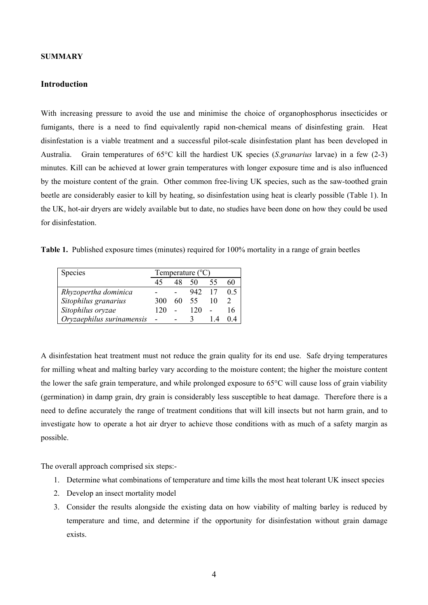#### **SUMMARY**

## **Introduction**

With increasing pressure to avoid the use and minimise the choice of organophosphorus insecticides or fumigants, there is a need to find equivalently rapid non-chemical means of disinfesting grain. Heat disinfestation is a viable treatment and a successful pilot-scale disinfestation plant has been developed in Australia. Grain temperatures of 65°C kill the hardiest UK species (*S.granarius* larvae) in a few (2-3) minutes. Kill can be achieved at lower grain temperatures with longer exposure time and is also influenced by the moisture content of the grain. Other common free-living UK species, such as the saw-toothed grain beetle are considerably easier to kill by heating, so disinfestation using heat is clearly possible (Table 1). In the UK, hot-air dryers are widely available but to date, no studies have been done on how they could be used for disinfestation.

**Table 1.** Published exposure times (minutes) required for 100% mortality in a range of grain beetles

| <b>Species</b>            | Temperature $(^{\circ}C)$ |      |        |    |     |
|---------------------------|---------------------------|------|--------|----|-----|
|                           | 45                        | 48   | 50     | 55 | 60  |
| Rhyzopertha dominica      |                           |      | 942 17 |    | 0.5 |
| Sitophilus granarius      | 300                       | 60 - | 55     | 10 |     |
| Sitophilus oryzae         | 120                       |      | 120    |    | 16  |
| Oryzaephilus surinamensis |                           |      |        |    |     |

A disinfestation heat treatment must not reduce the grain quality for its end use. Safe drying temperatures for milling wheat and malting barley vary according to the moisture content; the higher the moisture content the lower the safe grain temperature, and while prolonged exposure to 65°C will cause loss of grain viability (germination) in damp grain, dry grain is considerably less susceptible to heat damage. Therefore there is a need to define accurately the range of treatment conditions that will kill insects but not harm grain, and to investigate how to operate a hot air dryer to achieve those conditions with as much of a safety margin as possible.

The overall approach comprised six steps:-

- 1. Determine what combinations of temperature and time kills the most heat tolerant UK insect species
- 2. Develop an insect mortality model
- 3. Consider the results alongside the existing data on how viability of malting barley is reduced by temperature and time, and determine if the opportunity for disinfestation without grain damage exists.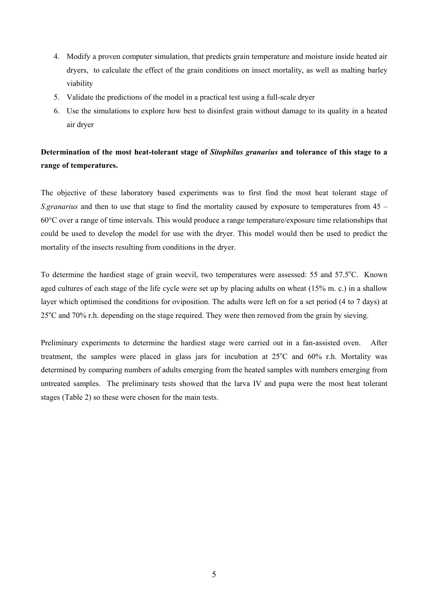- 4. Modify a proven computer simulation, that predicts grain temperature and moisture inside heated air dryers, to calculate the effect of the grain conditions on insect mortality, as well as malting barley viability
- 5. Validate the predictions of the model in a practical test using a full-scale dryer
- 6. Use the simulations to explore how best to disinfest grain without damage to its quality in a heated air dryer

# **Determination of the most heat-tolerant stage of** *Sitophilus granarius* **and tolerance of this stage to a range of temperatures.**

The objective of these laboratory based experiments was to first find the most heat tolerant stage of *S.granarius* and then to use that stage to find the mortality caused by exposure to temperatures from 45 – 60°C over a range of time intervals. This would produce a range temperature/exposure time relationships that could be used to develop the model for use with the dryer. This model would then be used to predict the mortality of the insects resulting from conditions in the dryer.

To determine the hardiest stage of grain weevil, two temperatures were assessed: 55 and 57.5°C. Known aged cultures of each stage of the life cycle were set up by placing adults on wheat (15% m. c.) in a shallow layer which optimised the conditions for oviposition. The adults were left on for a set period (4 to 7 days) at 25<sup>o</sup>C and 70% r.h. depending on the stage required. They were then removed from the grain by sieving.

Preliminary experiments to determine the hardiest stage were carried out in a fan-assisted oven. After treatment, the samples were placed in glass jars for incubation at  $25^{\circ}$ C and  $60\%$  r.h. Mortality was determined by comparing numbers of adults emerging from the heated samples with numbers emerging from untreated samples. The preliminary tests showed that the larva IV and pupa were the most heat tolerant stages (Table 2) so these were chosen for the main tests.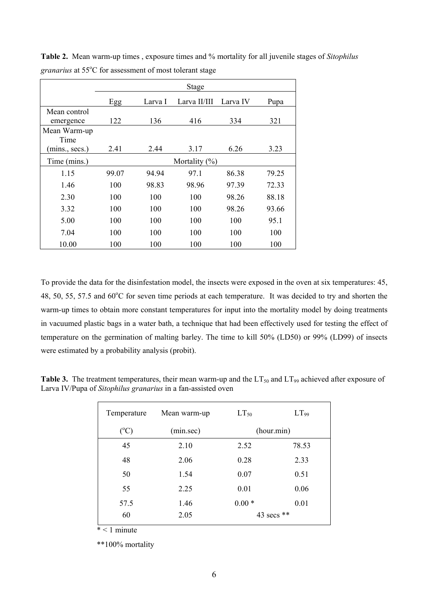|                | Stage |         |                   |          |       |  |
|----------------|-------|---------|-------------------|----------|-------|--|
|                | Egg   | Larva I | Larva II/III      | Larva IV | Pupa  |  |
| Mean control   |       |         |                   |          |       |  |
| emergence      | 122   | 136     | 416               | 334      | 321   |  |
| Mean Warm-up   |       |         |                   |          |       |  |
| Time           |       |         |                   |          |       |  |
| (mins., secs.) | 2.41  | 2.44    | 3.17              | 6.26     | 3.23  |  |
| Time (mins.)   |       |         | Mortality $(\% )$ |          |       |  |
| 1.15           | 99.07 | 94.94   | 97.1              | 86.38    | 79.25 |  |
| 1.46           | 100   | 98.83   | 98.96             | 97.39    | 72.33 |  |
| 2.30           | 100   | 100     | 100               | 98.26    | 88.18 |  |
| 3.32           | 100   | 100     | 100               | 98.26    | 93.66 |  |
| 5.00           | 100   | 100     | 100               | 100      | 95.1  |  |
| 7.04           | 100   | 100     | 100               | 100      | 100   |  |
| 10.00          | 100   | 100     | 100               | 100      | 100   |  |

**Table 2.** Mean warm-up times , exposure times and % mortality for all juvenile stages of *Sitophilus*  granarius at 55°C for assessment of most tolerant stage

To provide the data for the disinfestation model, the insects were exposed in the oven at six temperatures: 45, 48, 50, 55, 57.5 and 60°C for seven time periods at each temperature. It was decided to try and shorten the warm-up times to obtain more constant temperatures for input into the mortality model by doing treatments in vacuumed plastic bags in a water bath, a technique that had been effectively used for testing the effect of temperature on the germination of malting barley. The time to kill 50% (LD50) or 99% (LD99) of insects were estimated by a probability analysis (probit).

| Temperature   | Mean warm-up | $LT_{50}$  | $LT_{99}$  |
|---------------|--------------|------------|------------|
| $(^{\circ}C)$ | (min.sec)    |            | (hour.min) |
| 45            | 2.10         | 2.52       | 78.53      |
| 48            | 2.06         | 0.28       | 2.33       |
| 50            | 1.54         | 0.07       | 0.51       |
| 55            | 2.25         | 0.01       | 0.06       |
| 57.5          | 1.46         | $0.00*$    | 0.01       |
| 60            | 2.05         | 43 secs ** |            |

**Table 3.** The treatment temperatures, their mean warm-up and the  $LT_{50}$  and  $LT_{99}$  achieved after exposure of Larva IV/Pupa of *Sitophilus granarius* in a fan-assisted oven

 $*$  < 1 minute

\*\*100% mortality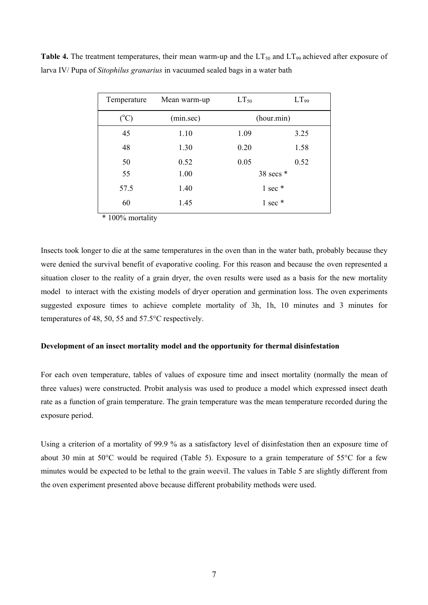| Temperature     | Mean warm-up | $LT_{50}$ | $LT_{99}$         |
|-----------------|--------------|-----------|-------------------|
| $({}^{\circ}C)$ | (min.sec)    |           | (hour.min)        |
| 45              | 1.10         | 1.09      | 3.25              |
| 48              | 1.30         | 0.20      | 1.58              |
| 50              | 0.52         | 0.05      | 0.52              |
| 55              | 1.00         |           | 38 secs $*$       |
| 57.5            | 1.40         |           | $1$ sec $*$       |
| 60              | 1.45         |           | $1 \text{ sec}$ * |

**Table 4.** The treatment temperatures, their mean warm-up and the  $LT_{50}$  and  $LT_{99}$  achieved after exposure of larva IV/ Pupa of *Sitophilus granarius* in vacuumed sealed bags in a water bath

\* 100% mortality

Insects took longer to die at the same temperatures in the oven than in the water bath, probably because they were denied the survival benefit of evaporative cooling. For this reason and because the oven represented a situation closer to the reality of a grain dryer, the oven results were used as a basis for the new mortality model to interact with the existing models of dryer operation and germination loss. The oven experiments suggested exposure times to achieve complete mortality of 3h, 1h, 10 minutes and 3 minutes for temperatures of 48, 50, 55 and 57.5°C respectively.

## **Development of an insect mortality model and the opportunity for thermal disinfestation**

For each oven temperature, tables of values of exposure time and insect mortality (normally the mean of three values) were constructed. Probit analysis was used to produce a model which expressed insect death rate as a function of grain temperature. The grain temperature was the mean temperature recorded during the exposure period.

Using a criterion of a mortality of 99.9 % as a satisfactory level of disinfestation then an exposure time of about 30 min at 50°C would be required (Table 5). Exposure to a grain temperature of 55°C for a few minutes would be expected to be lethal to the grain weevil. The values in Table 5 are slightly different from the oven experiment presented above because different probability methods were used.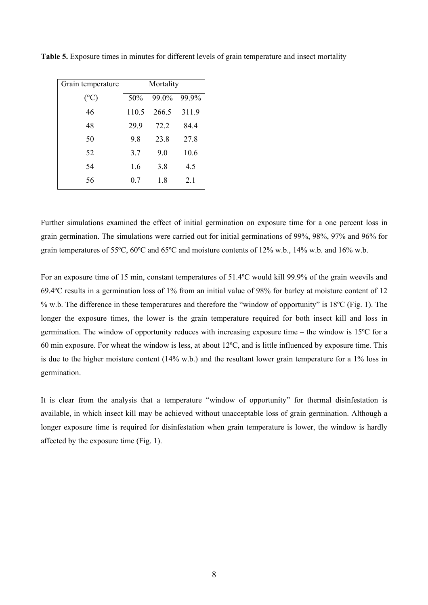| Grain temperature | Mortality |       |       |  |
|-------------------|-----------|-------|-------|--|
| $(^{\circ}C)$     | 50%       | 99.0% | 99.9% |  |
| 46                | 110.5     | 266.5 | 311.9 |  |
| 48                | 29.9      | 72.2  | 84.4  |  |
| 50                | 9.8       | 23.8  | 27.8  |  |
| 52                | 3.7       | 9.0   | 10.6  |  |
| 54                | 1.6       | 3.8   | 4.5   |  |
| 56                | 0.7       | 1.8   | 2.1   |  |

**Table 5.** Exposure times in minutes for different levels of grain temperature and insect mortality

Further simulations examined the effect of initial germination on exposure time for a one percent loss in grain germination. The simulations were carried out for initial germinations of 99%, 98%, 97% and 96% for grain temperatures of 55ºC, 60ºC and 65ºC and moisture contents of 12% w.b., 14% w.b. and 16% w.b.

For an exposure time of 15 min, constant temperatures of 51.4ºC would kill 99.9% of the grain weevils and 69.4ºC results in a germination loss of 1% from an initial value of 98% for barley at moisture content of 12 % w.b. The difference in these temperatures and therefore the "window of opportunity" is 18ºC (Fig. 1). The longer the exposure times, the lower is the grain temperature required for both insect kill and loss in germination. The window of opportunity reduces with increasing exposure time – the window is 15ºC for a 60 min exposure. For wheat the window is less, at about 12ºC, and is little influenced by exposure time. This is due to the higher moisture content (14% w.b.) and the resultant lower grain temperature for a 1% loss in germination.

It is clear from the analysis that a temperature "window of opportunity" for thermal disinfestation is available, in which insect kill may be achieved without unacceptable loss of grain germination. Although a longer exposure time is required for disinfestation when grain temperature is lower, the window is hardly affected by the exposure time (Fig. 1).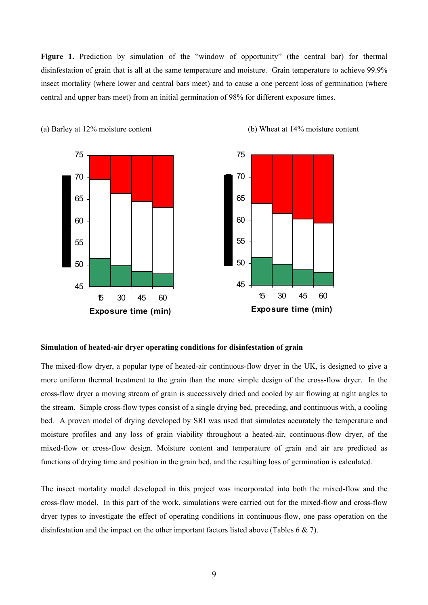**Figure 1.** Prediction by simulation of the "window of opportunity" (the central bar) for thermal disinfestation of grain that is all at the same temperature and moisture. Grain temperature to achieve 99.9% insect mortality (where lower and central bars meet) and to cause a one percent loss of germination (where central and upper bars meet) from an initial germination of 98% for different exposure times.



(a) Barley at 12% moisture content (b) Wheat at 14% moisture content

#### **Simulation of heated-air dryer operating conditions for disinfestation of grain**

The mixed-flow dryer, a popular type of heated-air continuous-flow dryer in the UK, is designed to give a more uniform thermal treatment to the grain than the more simple design of the cross-flow dryer. In the cross-flow dryer a moving stream of grain is successively dried and cooled by air flowing at right angles to the stream. Simple cross-flow types consist of a single drying bed, preceding, and continuous with, a cooling bed. A proven model of drying developed by SRI was used that simulates accurately the temperature and moisture profiles and any loss of grain viability throughout a heated-air, continuous-flow dryer, of the mixed-flow or cross-flow design. Moisture content and temperature of grain and air are predicted as functions of drying time and position in the grain bed, and the resulting loss of germination is calculated.

The insect mortality model developed in this project was incorporated into both the mixed-flow and the cross-flow model. In this part of the work, simulations were carried out for the mixed-flow and cross-flow dryer types to investigate the effect of operating conditions in continuous-flow, one pass operation on the disinfestation and the impact on the other important factors listed above (Tables 6 & 7).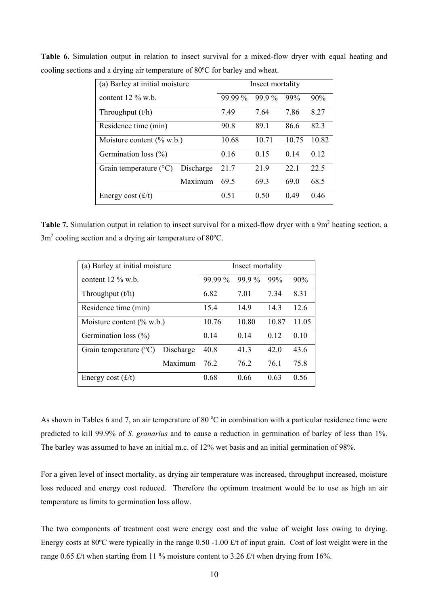| (a) Barley at initial moisture  |           | Insect mortality |       |       |                 |
|---------------------------------|-----------|------------------|-------|-------|-----------------|
| content $12\%$ w.b.             |           | 99.99 %          | 99.9% | 99%   | 90%             |
| Throughput $(t/h)$              |           | 7.49             | 7.64  | 7.86  | 8.27            |
| Residence time (min)            |           | 90.8             | 891   | 86.6  | 82.3            |
| Moisture content $(\%$ w.b.)    |           | 10.68            | 10.71 | 10.75 | 10.82           |
| Germination loss $(\% )$        |           | 0.16             | 0.15  | 014   | 0 <sub>12</sub> |
| Grain temperature $(^{\circ}C)$ | Discharge | 21.7             | 21.9  | 22.1  | 22.5            |
|                                 | Maximum   | 69.5             | 69.3  | 690   | 68.5            |
| Energy cost $(f/t)$             |           | 0.51             | 0.50  | 0.49  | 0.46            |

**Table 6.** Simulation output in relation to insect survival for a mixed-flow dryer with equal heating and cooling sections and a drying air temperature of 80ºC for barley and wheat.

Table 7. Simulation output in relation to insect survival for a mixed-flow dryer with a 9m<sup>2</sup> heating section, a  $3m<sup>2</sup>$  cooling section and a drying air temperature of 80 $^{\circ}$ C.

| (a) Barley at initial moisture  |           | Insect mortality |       |       |       |
|---------------------------------|-----------|------------------|-------|-------|-------|
| content $12\%$ w.b.             |           | 99.99 %          | 99.9% | 99%   | 90%   |
| Throughput $(t/h)$              |           | 6.82             | 7.01  | 7.34  | 8.31  |
| Residence time (min)            |           | 15.4             | 14.9  | 14.3  | 12.6  |
| Moisture content $(\%$ w.b.)    |           | 10.76            | 10.80 | 10.87 | 11.05 |
| Germination loss $(\% )$        |           | 0.14             | 0.14  | 0.12  | 0.10  |
| Grain temperature $(^{\circ}C)$ | Discharge | 40.8             | 41.3  | 42.0  | 43.6  |
|                                 | Maximum   | 76.2             | 76.2  | 76.1  | 75.8  |
| Energy cost $(f/t)$             |           | 0.68             | 0.66  | 0.63  | 0.56  |

As shown in Tables 6 and 7, an air temperature of 80  $^{\circ}$ C in combination with a particular residence time were predicted to kill 99.9% of *S. granarius* and to cause a reduction in germination of barley of less than 1%. The barley was assumed to have an initial m.c. of 12% wet basis and an initial germination of 98%.

For a given level of insect mortality, as drying air temperature was increased, throughput increased, moisture loss reduced and energy cost reduced. Therefore the optimum treatment would be to use as high an air temperature as limits to germination loss allow.

The two components of treatment cost were energy cost and the value of weight loss owing to drying. Energy costs at  $80^{\circ}$ C were typically in the range 0.50 -1.00 £/t of input grain. Cost of lost weight were in the range 0.65  $\pounds$ /t when starting from 11 % moisture content to 3.26  $\pounds$ /t when drying from 16%.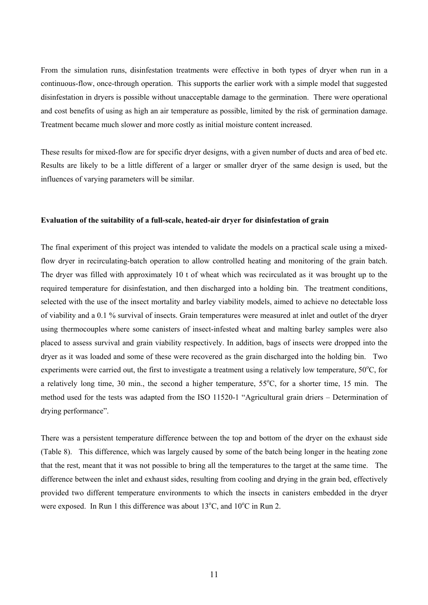From the simulation runs, disinfestation treatments were effective in both types of dryer when run in a continuous-flow, once-through operation. This supports the earlier work with a simple model that suggested disinfestation in dryers is possible without unacceptable damage to the germination. There were operational and cost benefits of using as high an air temperature as possible, limited by the risk of germination damage. Treatment became much slower and more costly as initial moisture content increased.

These results for mixed-flow are for specific dryer designs, with a given number of ducts and area of bed etc. Results are likely to be a little different of a larger or smaller dryer of the same design is used, but the influences of varying parameters will be similar.

#### **Evaluation of the suitability of a full-scale, heated-air dryer for disinfestation of grain**

The final experiment of this project was intended to validate the models on a practical scale using a mixedflow dryer in recirculating-batch operation to allow controlled heating and monitoring of the grain batch. The dryer was filled with approximately 10 t of wheat which was recirculated as it was brought up to the required temperature for disinfestation, and then discharged into a holding bin. The treatment conditions, selected with the use of the insect mortality and barley viability models, aimed to achieve no detectable loss of viability and a 0.1 % survival of insects. Grain temperatures were measured at inlet and outlet of the dryer using thermocouples where some canisters of insect-infested wheat and malting barley samples were also placed to assess survival and grain viability respectively. In addition, bags of insects were dropped into the dryer as it was loaded and some of these were recovered as the grain discharged into the holding bin. Two experiments were carried out, the first to investigate a treatment using a relatively low temperature, 50°C, for a relatively long time, 30 min., the second a higher temperature, 55°C, for a shorter time, 15 min. The method used for the tests was adapted from the ISO 11520-1 "Agricultural grain driers – Determination of drying performance".

There was a persistent temperature difference between the top and bottom of the dryer on the exhaust side (Table 8). This difference, which was largely caused by some of the batch being longer in the heating zone that the rest, meant that it was not possible to bring all the temperatures to the target at the same time. The difference between the inlet and exhaust sides, resulting from cooling and drying in the grain bed, effectively provided two different temperature environments to which the insects in canisters embedded in the dryer were exposed. In Run 1 this difference was about  $13^{\circ}$ C, and  $10^{\circ}$ C in Run 2.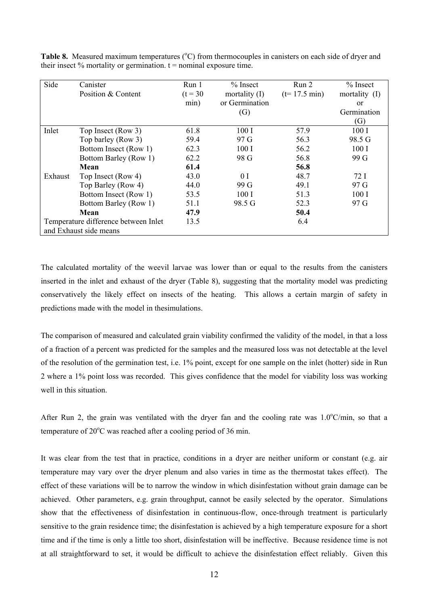| Side    | Canister                             | Run 1      | $%$ Insect        | Run <sub>2</sub>       | $\%$ Insect   |
|---------|--------------------------------------|------------|-------------------|------------------------|---------------|
|         | Position & Content                   | $(t = 30)$ | mortality $(I)$   | $(t=17.5 \text{ min})$ | mortality (I) |
|         |                                      | min)       | or Germination    |                        | <sub>or</sub> |
|         |                                      |            | $\left( G\right)$ |                        | Germination   |
|         |                                      |            |                   |                        | (G)           |
| Inlet   | Top Insect (Row 3)                   | 61.8       | 100I              | 57.9                   | 100I          |
|         | Top barley (Row 3)                   | 59.4       | 97 G              | 56.3                   | 98.5 G        |
|         | Bottom Insect (Row 1)                | 62.3       | 100I              | 56.2                   | 100I          |
|         | Bottom Barley (Row 1)                | 62.2       | 98 G              | 56.8                   | 99 G          |
|         | Mean                                 | 61.4       |                   | 56.8                   |               |
| Exhaust | Top Insect (Row 4)                   | 43.0       | 0 <sub>I</sub>    | 48.7                   | 72 I          |
|         | Top Barley (Row 4)                   | 44.0       | 99 G              | 49.1                   | 97 G          |
|         | Bottom Insect (Row 1)                | 53.5       | 100I              | 51.3                   | 100I          |
|         | Bottom Barley (Row 1)                | 51.1       | 98.5 G            | 52.3                   | 97 G          |
|         | Mean                                 | 47.9       |                   | 50.4                   |               |
|         | Temperature difference between Inlet | 13.5       |                   | 6.4                    |               |
|         | and Exhaust side means               |            |                   |                        |               |

Table 8. Measured maximum temperatures (°C) from thermocouples in canisters on each side of dryer and their insect  $%$  mortality or germination.  $t =$  nominal exposure time.

The calculated mortality of the weevil larvae was lower than or equal to the results from the canisters inserted in the inlet and exhaust of the dryer (Table 8), suggesting that the mortality model was predicting conservatively the likely effect on insects of the heating. This allows a certain margin of safety in predictions made with the model in thesimulations.

The comparison of measured and calculated grain viability confirmed the validity of the model, in that a loss of a fraction of a percent was predicted for the samples and the measured loss was not detectable at the level of the resolution of the germination test, i.e. 1% point, except for one sample on the inlet (hotter) side in Run 2 where a 1% point loss was recorded. This gives confidence that the model for viability loss was working well in this situation.

After Run 2, the grain was ventilated with the dryer fan and the cooling rate was  $1.0^{\circ}$ C/min, so that a temperature of  $20^{\circ}$ C was reached after a cooling period of 36 min.

It was clear from the test that in practice, conditions in a dryer are neither uniform or constant (e.g. air temperature may vary over the dryer plenum and also varies in time as the thermostat takes effect). The effect of these variations will be to narrow the window in which disinfestation without grain damage can be achieved. Other parameters, e.g. grain throughput, cannot be easily selected by the operator. Simulations show that the effectiveness of disinfestation in continuous-flow, once-through treatment is particularly sensitive to the grain residence time; the disinfestation is achieved by a high temperature exposure for a short time and if the time is only a little too short, disinfestation will be ineffective. Because residence time is not at all straightforward to set, it would be difficult to achieve the disinfestation effect reliably. Given this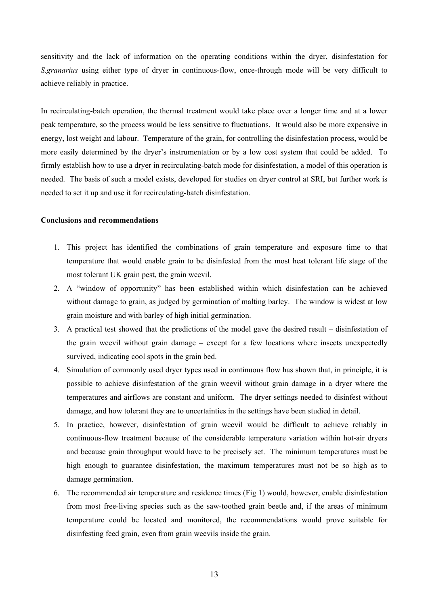sensitivity and the lack of information on the operating conditions within the dryer, disinfestation for *S.granarius* using either type of dryer in continuous-flow, once-through mode will be very difficult to achieve reliably in practice.

In recirculating-batch operation, the thermal treatment would take place over a longer time and at a lower peak temperature, so the process would be less sensitive to fluctuations. It would also be more expensive in energy, lost weight and labour. Temperature of the grain, for controlling the disinfestation process, would be more easily determined by the dryer's instrumentation or by a low cost system that could be added. To firmly establish how to use a dryer in recirculating-batch mode for disinfestation, a model of this operation is needed. The basis of such a model exists, developed for studies on dryer control at SRI, but further work is needed to set it up and use it for recirculating-batch disinfestation.

#### **Conclusions and recommendations**

- 1. This project has identified the combinations of grain temperature and exposure time to that temperature that would enable grain to be disinfested from the most heat tolerant life stage of the most tolerant UK grain pest, the grain weevil.
- 2. A "window of opportunity" has been established within which disinfestation can be achieved without damage to grain, as judged by germination of malting barley. The window is widest at low grain moisture and with barley of high initial germination.
- 3. A practical test showed that the predictions of the model gave the desired result disinfestation of the grain weevil without grain damage – except for a few locations where insects unexpectedly survived, indicating cool spots in the grain bed.
- 4. Simulation of commonly used dryer types used in continuous flow has shown that, in principle, it is possible to achieve disinfestation of the grain weevil without grain damage in a dryer where the temperatures and airflows are constant and uniform. The dryer settings needed to disinfest without damage, and how tolerant they are to uncertainties in the settings have been studied in detail.
- 5. In practice, however, disinfestation of grain weevil would be difficult to achieve reliably in continuous-flow treatment because of the considerable temperature variation within hot-air dryers and because grain throughput would have to be precisely set. The minimum temperatures must be high enough to guarantee disinfestation, the maximum temperatures must not be so high as to damage germination.
- 6. The recommended air temperature and residence times (Fig 1) would, however, enable disinfestation from most free-living species such as the saw-toothed grain beetle and, if the areas of minimum temperature could be located and monitored, the recommendations would prove suitable for disinfesting feed grain, even from grain weevils inside the grain.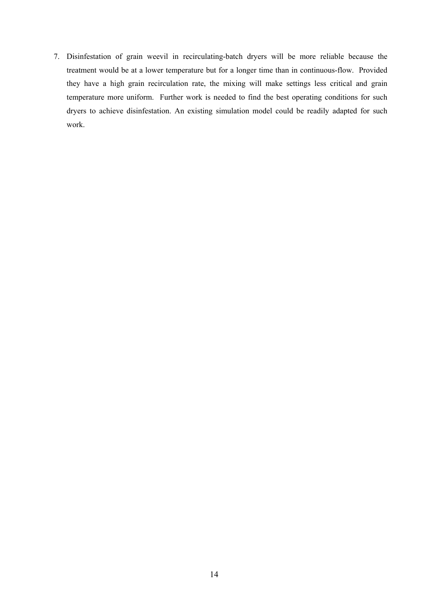7. Disinfestation of grain weevil in recirculating-batch dryers will be more reliable because the treatment would be at a lower temperature but for a longer time than in continuous-flow. Provided they have a high grain recirculation rate, the mixing will make settings less critical and grain temperature more uniform. Further work is needed to find the best operating conditions for such dryers to achieve disinfestation. An existing simulation model could be readily adapted for such work.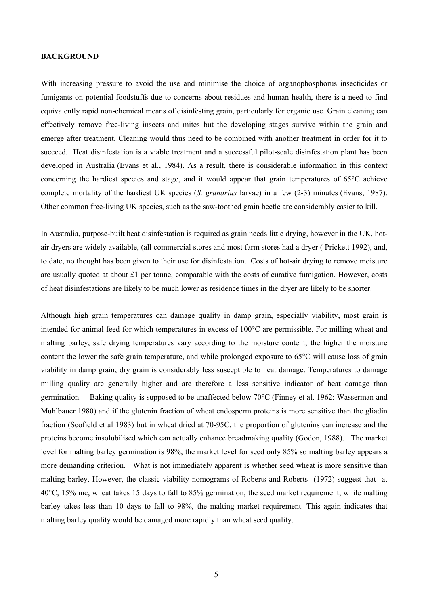#### **BACKGROUND**

With increasing pressure to avoid the use and minimise the choice of organophosphorus insecticides or fumigants on potential foodstuffs due to concerns about residues and human health, there is a need to find equivalently rapid non-chemical means of disinfesting grain, particularly for organic use. Grain cleaning can effectively remove free-living insects and mites but the developing stages survive within the grain and emerge after treatment. Cleaning would thus need to be combined with another treatment in order for it to succeed. Heat disinfestation is a viable treatment and a successful pilot-scale disinfestation plant has been developed in Australia (Evans et al., 1984). As a result, there is considerable information in this context concerning the hardiest species and stage, and it would appear that grain temperatures of 65°C achieve complete mortality of the hardiest UK species (*S. granarius* larvae) in a few (2-3) minutes (Evans, 1987). Other common free-living UK species, such as the saw-toothed grain beetle are considerably easier to kill.

In Australia, purpose-built heat disinfestation is required as grain needs little drying, however in the UK, hotair dryers are widely available, (all commercial stores and most farm stores had a dryer ( Prickett 1992), and, to date, no thought has been given to their use for disinfestation. Costs of hot-air drying to remove moisture are usually quoted at about  $\pounds 1$  per tonne, comparable with the costs of curative fumigation. However, costs of heat disinfestations are likely to be much lower as residence times in the dryer are likely to be shorter.

Although high grain temperatures can damage quality in damp grain, especially viability, most grain is intended for animal feed for which temperatures in excess of 100°C are permissible. For milling wheat and malting barley, safe drying temperatures vary according to the moisture content, the higher the moisture content the lower the safe grain temperature, and while prolonged exposure to 65°C will cause loss of grain viability in damp grain; dry grain is considerably less susceptible to heat damage. Temperatures to damage milling quality are generally higher and are therefore a less sensitive indicator of heat damage than germination. Baking quality is supposed to be unaffected below 70°C (Finney et al. 1962; Wasserman and Muhlbauer 1980) and if the glutenin fraction of wheat endosperm proteins is more sensitive than the gliadin fraction (Scofield et al 1983) but in wheat dried at 70-95C, the proportion of glutenins can increase and the proteins become insolubilised which can actually enhance breadmaking quality (Godon, 1988). The market level for malting barley germination is 98%, the market level for seed only 85% so malting barley appears a more demanding criterion. What is not immediately apparent is whether seed wheat is more sensitive than malting barley. However, the classic viability nomograms of Roberts and Roberts (1972) suggest that at 40°C, 15% mc, wheat takes 15 days to fall to 85% germination, the seed market requirement, while malting barley takes less than 10 days to fall to 98%, the malting market requirement. This again indicates that malting barley quality would be damaged more rapidly than wheat seed quality.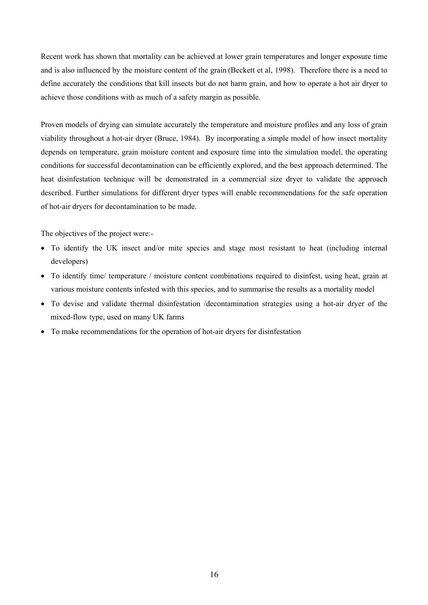Recent work has shown that mortality can be achieved at lower grain temperatures and longer exposure time and is also influenced by the moisture content of the grain (Beckett et al, 1998). Therefore there is a need to define accurately the conditions that kill insects but do not harm grain, and how to operate a hot air dryer to achieve those conditions with as much of a safety margin as possible.

Proven models of drying can simulate accurately the temperature and moisture profiles and any loss of grain viability throughout a hot-air dryer (Bruce, 1984). By incorporating a simple model of how insect mortality depends on temperature, grain moisture content and exposure time into the simulation model, the operating conditions for successful decontamination can be efficiently explored, and the best approach determined. The heat disinfestation technique will be demonstrated in a commercial size dryer to validate the approach described. Further simulations for different dryer types will enable recommendations for the safe operation of hot-air dryers for decontamination to be made.

The objectives of the project were:-

- To identify the UK insect and/or mite species and stage most resistant to heat (including internal developers)
- To identify time/ temperature / moisture content combinations required to disinfest, using heat, grain at various moisture contents infested with this species, and to summarise the results as a mortality model
- To devise and validate thermal disinfestation /decontamination strategies using a hot-air dryer of the mixed-flow type, used on many UK farms
- To make recommendations for the operation of hot-air dryers for disinfestation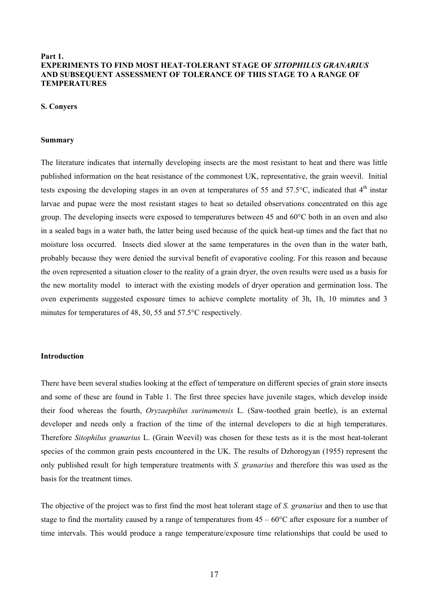## **Part 1. EXPERIMENTS TO FIND MOST HEAT-TOLERANT STAGE OF** *SITOPHILUS GRANARIUS* **AND SUBSEQUENT ASSESSMENT OF TOLERANCE OF THIS STAGE TO A RANGE OF TEMPERATURES**

#### **S. Conyers**

#### **Summary**

The literature indicates that internally developing insects are the most resistant to heat and there was little published information on the heat resistance of the commonest UK, representative, the grain weevil. Initial tests exposing the developing stages in an oven at temperatures of 55 and 57.5 $^{\circ}$ C, indicated that 4<sup>th</sup> instar larvae and pupae were the most resistant stages to heat so detailed observations concentrated on this age group. The developing insects were exposed to temperatures between 45 and 60°C both in an oven and also in a sealed bags in a water bath, the latter being used because of the quick heat-up times and the fact that no moisture loss occurred. Insects died slower at the same temperatures in the oven than in the water bath, probably because they were denied the survival benefit of evaporative cooling. For this reason and because the oven represented a situation closer to the reality of a grain dryer, the oven results were used as a basis for the new mortality model to interact with the existing models of dryer operation and germination loss. The oven experiments suggested exposure times to achieve complete mortality of 3h, 1h, 10 minutes and 3 minutes for temperatures of 48, 50, 55 and 57.5°C respectively.

## **Introduction**

There have been several studies looking at the effect of temperature on different species of grain store insects and some of these are found in Table 1. The first three species have juvenile stages, which develop inside their food whereas the fourth, *Oryzaephilus surinamensis* L. (Saw-toothed grain beetle), is an external developer and needs only a fraction of the time of the internal developers to die at high temperatures. Therefore *Sitophilus granarius* L. (Grain Weevil) was chosen for these tests as it is the most heat-tolerant species of the common grain pests encountered in the UK. The results of Dzhorogyan (1955) represent the only published result for high temperature treatments with *S. granarius* and therefore this was used as the basis for the treatment times.

The objective of the project was to first find the most heat tolerant stage of *S. granarius* and then to use that stage to find the mortality caused by a range of temperatures from  $45 - 60^{\circ}$ C after exposure for a number of time intervals. This would produce a range temperature/exposure time relationships that could be used to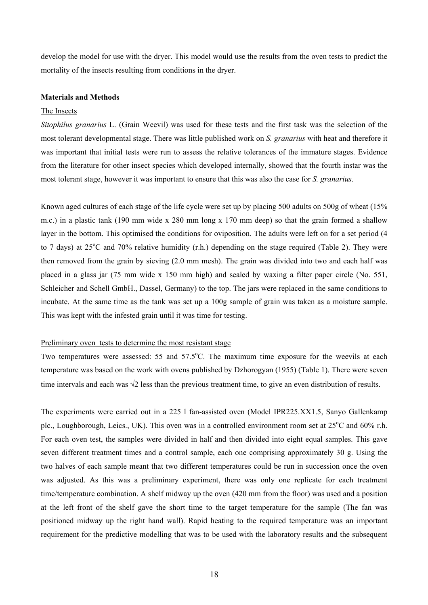develop the model for use with the dryer. This model would use the results from the oven tests to predict the mortality of the insects resulting from conditions in the dryer.

#### **Materials and Methods**

### The Insects

*Sitophilus granarius* L. (Grain Weevil) was used for these tests and the first task was the selection of the most tolerant developmental stage. There was little published work on *S. granarius* with heat and therefore it was important that initial tests were run to assess the relative tolerances of the immature stages. Evidence from the literature for other insect species which developed internally, showed that the fourth instar was the most tolerant stage, however it was important to ensure that this was also the case for *S. granarius*.

Known aged cultures of each stage of the life cycle were set up by placing 500 adults on 500g of wheat (15% m.c.) in a plastic tank (190 mm wide x 280 mm long x 170 mm deep) so that the grain formed a shallow layer in the bottom. This optimised the conditions for oviposition. The adults were left on for a set period (4 to 7 days) at  $25^{\circ}$ C and 70% relative humidity (r.h.) depending on the stage required (Table 2). They were then removed from the grain by sieving (2.0 mm mesh). The grain was divided into two and each half was placed in a glass jar (75 mm wide x 150 mm high) and sealed by waxing a filter paper circle (No. 551, Schleicher and Schell GmbH., Dassel, Germany) to the top. The jars were replaced in the same conditions to incubate. At the same time as the tank was set up a 100g sample of grain was taken as a moisture sample. This was kept with the infested grain until it was time for testing.

#### Preliminary oven tests to determine the most resistant stage

Two temperatures were assessed:  $55$  and  $57.5^{\circ}$ C. The maximum time exposure for the weevils at each temperature was based on the work with ovens published by Dzhorogyan (1955) (Table 1). There were seven time intervals and each was √2 less than the previous treatment time, to give an even distribution of results.

The experiments were carried out in a 225 l fan-assisted oven (Model IPR225.XX1.5, Sanyo Gallenkamp plc., Loughborough, Leics., UK). This oven was in a controlled environment room set at 25°C and 60% r.h. For each oven test, the samples were divided in half and then divided into eight equal samples. This gave seven different treatment times and a control sample, each one comprising approximately 30 g. Using the two halves of each sample meant that two different temperatures could be run in succession once the oven was adjusted. As this was a preliminary experiment, there was only one replicate for each treatment time/temperature combination. A shelf midway up the oven (420 mm from the floor) was used and a position at the left front of the shelf gave the short time to the target temperature for the sample (The fan was positioned midway up the right hand wall). Rapid heating to the required temperature was an important requirement for the predictive modelling that was to be used with the laboratory results and the subsequent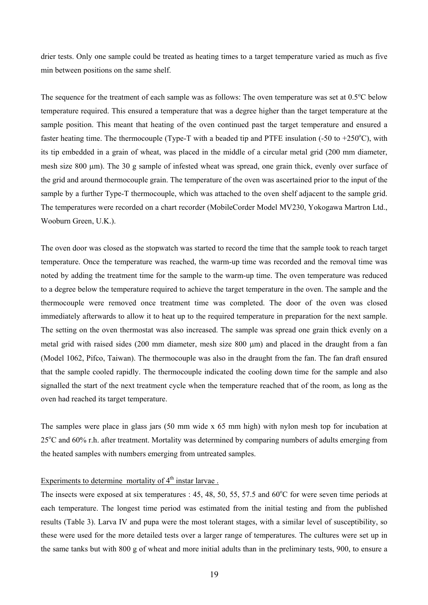drier tests. Only one sample could be treated as heating times to a target temperature varied as much as five min between positions on the same shelf.

The sequence for the treatment of each sample was as follows: The oven temperature was set at  $0.5^{\circ}$ C below temperature required. This ensured a temperature that was a degree higher than the target temperature at the sample position. This meant that heating of the oven continued past the target temperature and ensured a faster heating time. The thermocouple (Type-T with a beaded tip and PTFE insulation  $(-50 \text{ to } +250^{\circ} \text{C})$ , with its tip embedded in a grain of wheat, was placed in the middle of a circular metal grid (200 mm diameter, mesh size 800 µm). The 30 g sample of infested wheat was spread, one grain thick, evenly over surface of the grid and around thermocouple grain. The temperature of the oven was ascertained prior to the input of the sample by a further Type-T thermocouple, which was attached to the oven shelf adjacent to the sample grid. The temperatures were recorded on a chart recorder (MobileCorder Model MV230, Yokogawa Martron Ltd., Wooburn Green, U.K.).

The oven door was closed as the stopwatch was started to record the time that the sample took to reach target temperature. Once the temperature was reached, the warm-up time was recorded and the removal time was noted by adding the treatment time for the sample to the warm-up time. The oven temperature was reduced to a degree below the temperature required to achieve the target temperature in the oven. The sample and the thermocouple were removed once treatment time was completed. The door of the oven was closed immediately afterwards to allow it to heat up to the required temperature in preparation for the next sample. The setting on the oven thermostat was also increased. The sample was spread one grain thick evenly on a metal grid with raised sides (200 mm diameter, mesh size 800 µm) and placed in the draught from a fan (Model 1062, Pifco, Taiwan). The thermocouple was also in the draught from the fan. The fan draft ensured that the sample cooled rapidly. The thermocouple indicated the cooling down time for the sample and also signalled the start of the next treatment cycle when the temperature reached that of the room, as long as the oven had reached its target temperature.

The samples were place in glass jars (50 mm wide x 65 mm high) with nylon mesh top for incubation at 25<sup>o</sup>C and 60% r.h. after treatment. Mortality was determined by comparing numbers of adults emerging from the heated samples with numbers emerging from untreated samples.

## Experiments to determine mortality of  $4<sup>th</sup>$  instar larvae.

The insects were exposed at six temperatures : 45, 48, 50, 55, 57.5 and 60°C for were seven time periods at each temperature. The longest time period was estimated from the initial testing and from the published results (Table 3). Larva IV and pupa were the most tolerant stages, with a similar level of susceptibility, so these were used for the more detailed tests over a larger range of temperatures. The cultures were set up in the same tanks but with 800 g of wheat and more initial adults than in the preliminary tests, 900, to ensure a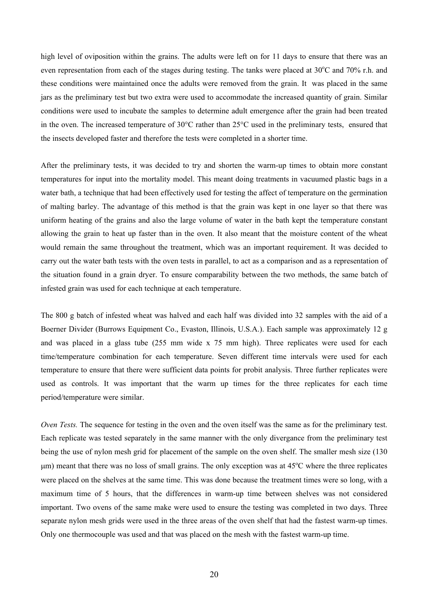high level of oviposition within the grains. The adults were left on for 11 days to ensure that there was an even representation from each of the stages during testing. The tanks were placed at 30°C and 70% r.h. and these conditions were maintained once the adults were removed from the grain. It was placed in the same jars as the preliminary test but two extra were used to accommodate the increased quantity of grain. Similar conditions were used to incubate the samples to determine adult emergence after the grain had been treated in the oven. The increased temperature of 30°C rather than 25°C used in the preliminary tests, ensured that the insects developed faster and therefore the tests were completed in a shorter time.

After the preliminary tests, it was decided to try and shorten the warm-up times to obtain more constant temperatures for input into the mortality model. This meant doing treatments in vacuumed plastic bags in a water bath, a technique that had been effectively used for testing the affect of temperature on the germination of malting barley. The advantage of this method is that the grain was kept in one layer so that there was uniform heating of the grains and also the large volume of water in the bath kept the temperature constant allowing the grain to heat up faster than in the oven. It also meant that the moisture content of the wheat would remain the same throughout the treatment, which was an important requirement. It was decided to carry out the water bath tests with the oven tests in parallel, to act as a comparison and as a representation of the situation found in a grain dryer. To ensure comparability between the two methods, the same batch of infested grain was used for each technique at each temperature.

The 800 g batch of infested wheat was halved and each half was divided into 32 samples with the aid of a Boerner Divider (Burrows Equipment Co., Evaston, Illinois, U.S.A.). Each sample was approximately 12 g and was placed in a glass tube (255 mm wide x 75 mm high). Three replicates were used for each time/temperature combination for each temperature. Seven different time intervals were used for each temperature to ensure that there were sufficient data points for probit analysis. Three further replicates were used as controls. It was important that the warm up times for the three replicates for each time period/temperature were similar.

*Oven Tests.* The sequence for testing in the oven and the oven itself was the same as for the preliminary test. Each replicate was tested separately in the same manner with the only divergance from the preliminary test being the use of nylon mesh grid for placement of the sample on the oven shelf. The smaller mesh size (130  $\mu$ m) meant that there was no loss of small grains. The only exception was at 45 $\degree$ C where the three replicates were placed on the shelves at the same time. This was done because the treatment times were so long, with a maximum time of 5 hours, that the differences in warm-up time between shelves was not considered important. Two ovens of the same make were used to ensure the testing was completed in two days. Three separate nylon mesh grids were used in the three areas of the oven shelf that had the fastest warm-up times. Only one thermocouple was used and that was placed on the mesh with the fastest warm-up time.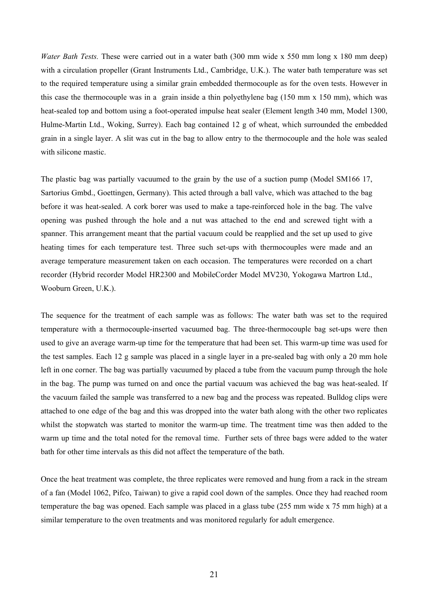*Water Bath Tests.* These were carried out in a water bath (300 mm wide x 550 mm long x 180 mm deep) with a circulation propeller (Grant Instruments Ltd., Cambridge, U.K.). The water bath temperature was set to the required temperature using a similar grain embedded thermocouple as for the oven tests. However in this case the thermocouple was in a grain inside a thin polyethylene bag (150 mm x 150 mm), which was heat-sealed top and bottom using a foot-operated impulse heat sealer (Element length 340 mm, Model 1300, Hulme-Martin Ltd., Woking, Surrey). Each bag contained 12 g of wheat, which surrounded the embedded grain in a single layer. A slit was cut in the bag to allow entry to the thermocouple and the hole was sealed with silicone mastic.

The plastic bag was partially vacuumed to the grain by the use of a suction pump (Model SM166 17, Sartorius Gmbd., Goettingen, Germany). This acted through a ball valve, which was attached to the bag before it was heat-sealed. A cork borer was used to make a tape-reinforced hole in the bag. The valve opening was pushed through the hole and a nut was attached to the end and screwed tight with a spanner. This arrangement meant that the partial vacuum could be reapplied and the set up used to give heating times for each temperature test. Three such set-ups with thermocouples were made and an average temperature measurement taken on each occasion. The temperatures were recorded on a chart recorder (Hybrid recorder Model HR2300 and MobileCorder Model MV230, Yokogawa Martron Ltd., Wooburn Green, U.K.).

The sequence for the treatment of each sample was as follows: The water bath was set to the required temperature with a thermocouple-inserted vacuumed bag. The three-thermocouple bag set-ups were then used to give an average warm-up time for the temperature that had been set. This warm-up time was used for the test samples. Each 12 g sample was placed in a single layer in a pre-sealed bag with only a 20 mm hole left in one corner. The bag was partially vacuumed by placed a tube from the vacuum pump through the hole in the bag. The pump was turned on and once the partial vacuum was achieved the bag was heat-sealed. If the vacuum failed the sample was transferred to a new bag and the process was repeated. Bulldog clips were attached to one edge of the bag and this was dropped into the water bath along with the other two replicates whilst the stopwatch was started to monitor the warm-up time. The treatment time was then added to the warm up time and the total noted for the removal time. Further sets of three bags were added to the water bath for other time intervals as this did not affect the temperature of the bath.

Once the heat treatment was complete, the three replicates were removed and hung from a rack in the stream of a fan (Model 1062, Pifco, Taiwan) to give a rapid cool down of the samples. Once they had reached room temperature the bag was opened. Each sample was placed in a glass tube (255 mm wide x 75 mm high) at a similar temperature to the oven treatments and was monitored regularly for adult emergence.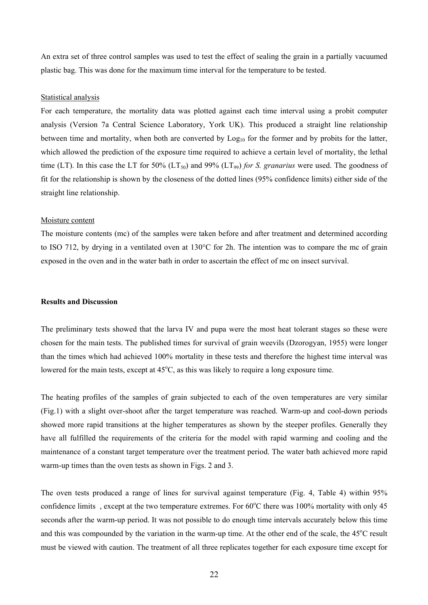An extra set of three control samples was used to test the effect of sealing the grain in a partially vacuumed plastic bag. This was done for the maximum time interval for the temperature to be tested.

#### Statistical analysis

For each temperature, the mortality data was plotted against each time interval using a probit computer analysis (Version 7a Central Science Laboratory, York UK). This produced a straight line relationship between time and mortality, when both are converted by  $Log<sub>10</sub>$  for the former and by probits for the latter, which allowed the prediction of the exposure time required to achieve a certain level of mortality, the lethal time (LT). In this case the LT for 50% (LT<sub>50</sub>) and 99% (LT<sub>99</sub>) *for S. granarius* were used. The goodness of fit for the relationship is shown by the closeness of the dotted lines (95% confidence limits) either side of the straight line relationship.

#### Moisture content

The moisture contents (mc) of the samples were taken before and after treatment and determined according to ISO 712, by drying in a ventilated oven at 130°C for 2h. The intention was to compare the mc of grain exposed in the oven and in the water bath in order to ascertain the effect of mc on insect survival.

#### **Results and Discussion**

The preliminary tests showed that the larva IV and pupa were the most heat tolerant stages so these were chosen for the main tests. The published times for survival of grain weevils (Dzorogyan, 1955) were longer than the times which had achieved 100% mortality in these tests and therefore the highest time interval was lowered for the main tests, except at 45°C, as this was likely to require a long exposure time.

The heating profiles of the samples of grain subjected to each of the oven temperatures are very similar (Fig.1) with a slight over-shoot after the target temperature was reached. Warm-up and cool-down periods showed more rapid transitions at the higher temperatures as shown by the steeper profiles. Generally they have all fulfilled the requirements of the criteria for the model with rapid warming and cooling and the maintenance of a constant target temperature over the treatment period. The water bath achieved more rapid warm-up times than the oven tests as shown in Figs. 2 and 3.

The oven tests produced a range of lines for survival against temperature (Fig. 4, Table 4) within 95% confidence limits, except at the two temperature extremes. For  $60^{\circ}$ C there was 100% mortality with only 45 seconds after the warm-up period. It was not possible to do enough time intervals accurately below this time and this was compounded by the variation in the warm-up time. At the other end of the scale, the 45<sup>o</sup>C result must be viewed with caution. The treatment of all three replicates together for each exposure time except for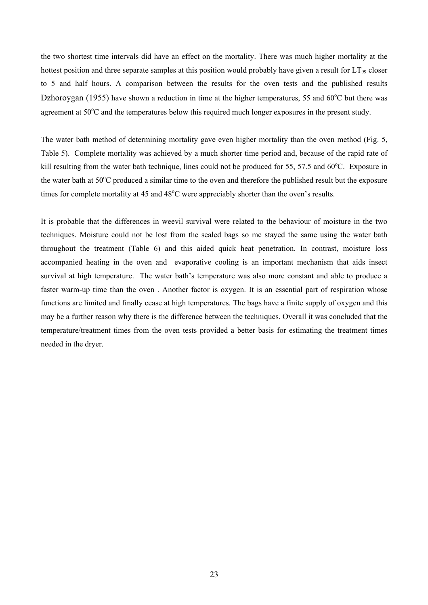the two shortest time intervals did have an effect on the mortality. There was much higher mortality at the hottest position and three separate samples at this position would probably have given a result for  $LT_{99}$  closer to 5 and half hours. A comparison between the results for the oven tests and the published results Dzhoroygan (1955) have shown a reduction in time at the higher temperatures, 55 and  $60^{\circ}$ C but there was agreement at 50°C and the temperatures below this required much longer exposures in the present study.

The water bath method of determining mortality gave even higher mortality than the oven method (Fig. 5, Table 5). Complete mortality was achieved by a much shorter time period and, because of the rapid rate of kill resulting from the water bath technique, lines could not be produced for 55, 57.5 and 60°C. Exposure in the water bath at 50°C produced a similar time to the oven and therefore the published result but the exposure times for complete mortality at 45 and 48°C were appreciably shorter than the oven's results.

It is probable that the differences in weevil survival were related to the behaviour of moisture in the two techniques. Moisture could not be lost from the sealed bags so mc stayed the same using the water bath throughout the treatment (Table 6) and this aided quick heat penetration. In contrast, moisture loss accompanied heating in the oven and evaporative cooling is an important mechanism that aids insect survival at high temperature. The water bath's temperature was also more constant and able to produce a faster warm-up time than the oven . Another factor is oxygen. It is an essential part of respiration whose functions are limited and finally cease at high temperatures. The bags have a finite supply of oxygen and this may be a further reason why there is the difference between the techniques. Overall it was concluded that the temperature/treatment times from the oven tests provided a better basis for estimating the treatment times needed in the dryer.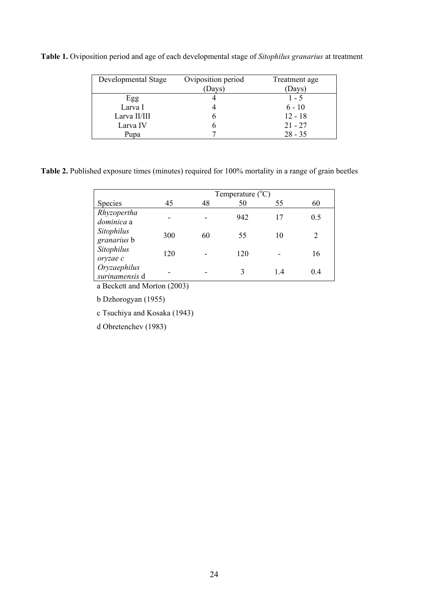**Table 1.** Oviposition period and age of each developmental stage of *Sitophilus granarius* at treatment

| Developmental Stage | Oviposition period<br>(Days) | Treatment age<br>Days) |
|---------------------|------------------------------|------------------------|
| Egg                 |                              | $1 - 5$                |
| Larva I             |                              | $6 - 10$               |
| Larva II/III        |                              | $12 - 18$              |
| Larva IV            |                              | $21 - 27$              |
| Pupa                |                              | $28 - 35$              |

**Table 2.** Published exposure times (minutes) required for 100% mortality in a range of grain beetles

|                                | Temperature $(^{\circ}C)$ |    |     |    |     |  |  |
|--------------------------------|---------------------------|----|-----|----|-----|--|--|
| Species                        | 45                        | 48 | 50  | 55 | 60  |  |  |
| Rhyzopertha<br>dominica a      |                           |    | 942 | 17 | 0.5 |  |  |
| Sitophilus<br>granarius b      | 300                       | 60 | 55  | 10 |     |  |  |
| Sitophilus<br>oryzae c         | 120                       |    | 120 |    | 16  |  |  |
| Oryzaephilus<br>surinamensis d |                           |    | 3   | 14 | 0.4 |  |  |

a Beckett and Morton (2003)

b Dzhorogyan (1955)

c Tsuchiya and Kosaka (1943)

d Obretenchev (1983)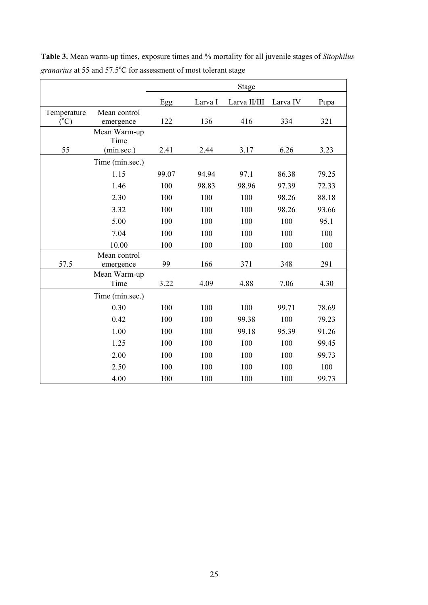|                 |                           | <b>Stage</b> |         |              |          |       |
|-----------------|---------------------------|--------------|---------|--------------|----------|-------|
|                 |                           | Egg          | Larva I | Larva II/III | Larva IV | Pupa  |
| Temperature     | Mean control              |              |         |              |          |       |
| $({}^{\circ}C)$ | emergence                 | 122          | 136     | 416          | 334      | 321   |
|                 | Mean Warm-up<br>Time      |              |         |              |          |       |
| 55              | (min.sec.)                | 2.41         | 2.44    | 3.17         | 6.26     | 3.23  |
|                 | Time (min.sec.)           |              |         |              |          |       |
|                 | 1.15                      | 99.07        | 94.94   | 97.1         | 86.38    | 79.25 |
|                 | 1.46                      | 100          | 98.83   | 98.96        | 97.39    | 72.33 |
|                 | 2.30                      | 100          | 100     | 100          | 98.26    | 88.18 |
|                 | 3.32                      | 100          | 100     | 100          | 98.26    | 93.66 |
|                 | 5.00                      | 100          | 100     | 100          | 100      | 95.1  |
|                 | 7.04                      | 100          | 100     | 100          | 100      | 100   |
|                 | 10.00                     | 100          | 100     | 100          | 100      | 100   |
| 57.5            | Mean control<br>emergence | 99           | 166     | 371          | 348      | 291   |
|                 | Mean Warm-up<br>Time      | 3.22         | 4.09    | 4.88         | 7.06     | 4.30  |
|                 | Time (min.sec.)           |              |         |              |          |       |
|                 | 0.30                      | 100          | 100     | 100          | 99.71    | 78.69 |
|                 | 0.42                      | 100          | 100     | 99.38        | 100      | 79.23 |
|                 | 1.00                      | 100          | 100     | 99.18        | 95.39    | 91.26 |
|                 | 1.25                      | 100          | 100     | 100          | 100      | 99.45 |
|                 | 2.00                      | 100          | 100     | 100          | 100      | 99.73 |
|                 | 2.50                      | 100          | 100     | 100          | 100      | 100   |
|                 | 4.00                      | 100          | 100     | 100          | 100      | 99.73 |

**Table 3.** Mean warm-up times, exposure times and % mortality for all juvenile stages of *Sitophilus*  granarius at 55 and 57.5°C for assessment of most tolerant stage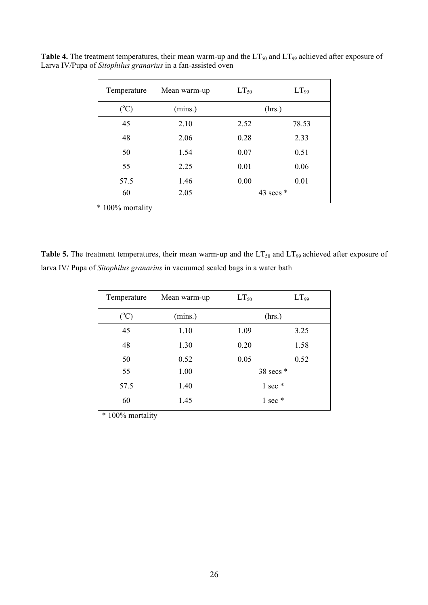| Temperature   | Mean warm-up | $LT_{50}$ | $LT_{99}$   |
|---------------|--------------|-----------|-------------|
| $(^{\circ}C)$ | (mins.)      |           | (hrs.)      |
| 45            | 2.10         | 2.52      | 78.53       |
| 48            | 2.06         | 0.28      | 2.33        |
| 50            | 1.54         | 0.07      | 0.51        |
| 55            | 2.25         | 0.01      | 0.06        |
| 57.5          | 1.46         | 0.00      | 0.01        |
| 60            | 2.05         |           | 43 secs $*$ |

**Table 4.** The treatment temperatures, their mean warm-up and the  $LT_{50}$  and  $LT_{99}$  achieved after exposure of Larva IV/Pupa of *Sitophilus granarius* in a fan-assisted oven

\* 100% mortality

Table 5. The treatment temperatures, their mean warm-up and the LT<sub>50</sub> and LT<sub>99</sub> achieved after exposure of larva IV/ Pupa of *Sitophilus granarius* in vacuumed sealed bags in a water bath

| Temperature     | Mean warm-up | $LT_{50}$         | LT <sub>99</sub> |  |  |
|-----------------|--------------|-------------------|------------------|--|--|
| $({}^{\circ}C)$ | (mins.)      |                   | (hrs.)           |  |  |
| 45              | 1.10         | 1.09              | 3.25             |  |  |
| 48              | 1.30         | 0.20              | 1.58             |  |  |
| 50              | 0.52         | 0.05              | 0.52             |  |  |
| 55              | 1.00         |                   | 38 secs $*$      |  |  |
| 57.5            | 1.40         | $1$ sec $*$       |                  |  |  |
| 60              | 1.45         | $1 \text{ sec}$ * |                  |  |  |

\* 100% mortality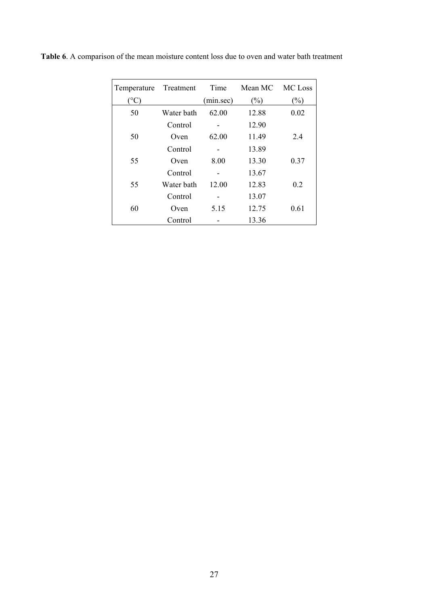| Temperature          | Treatment  | Time      | Mean MC | MC Loss |
|----------------------|------------|-----------|---------|---------|
| $^{\circ}\textrm{C}$ |            | (min/sec) | (%)     | $(\%)$  |
| 50                   | Water bath | 62.00     | 12.88   | 0.02    |
|                      | Control    |           | 12.90   |         |
| 50                   | Oven       | 62.00     | 11.49   | 2.4     |
|                      | Control    |           | 13.89   |         |
| 55                   | Oven       | 8.00      | 13.30   | 0.37    |
|                      | Control    |           | 13.67   |         |
| 55                   | Water bath | 12.00     | 12.83   | 0.2     |
|                      | Control    |           | 13.07   |         |
| 60                   | Oven       | 5.15      | 12.75   | 0.61    |
|                      | Control    |           | 13.36   |         |

**Table 6**. A comparison of the mean moisture content loss due to oven and water bath treatment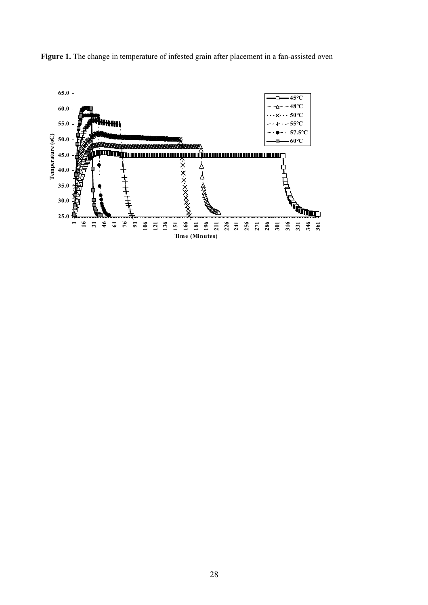

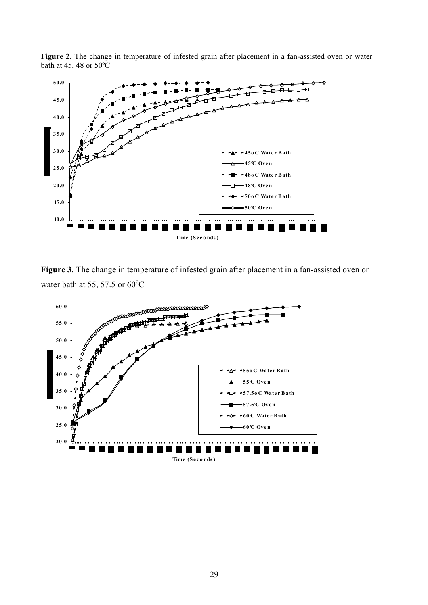



**Figure 3.** The change in temperature of infested grain after placement in a fan-assisted oven or water bath at 55, 57.5 or  $60^{\circ}$ C

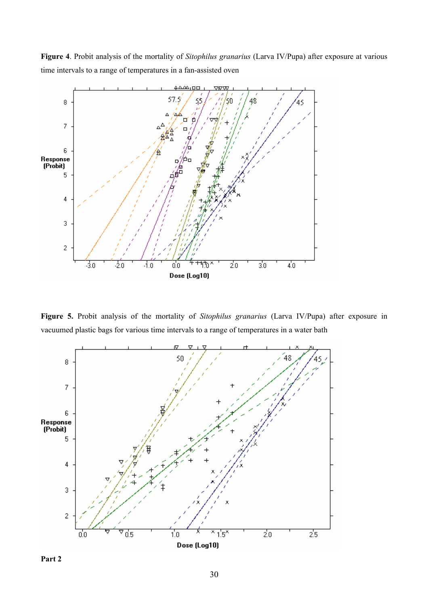**Figure 4**. Probit analysis of the mortality of *Sitophilus granarius* (Larva IV/Pupa) after exposure at various time intervals to a range of temperatures in a fan-assisted oven



**Figure 5.** Probit analysis of the mortality of *Sitophilus granarius* (Larva IV/Pupa) after exposure in vacuumed plastic bags for various time intervals to a range of temperatures in a water bath



**Part 2**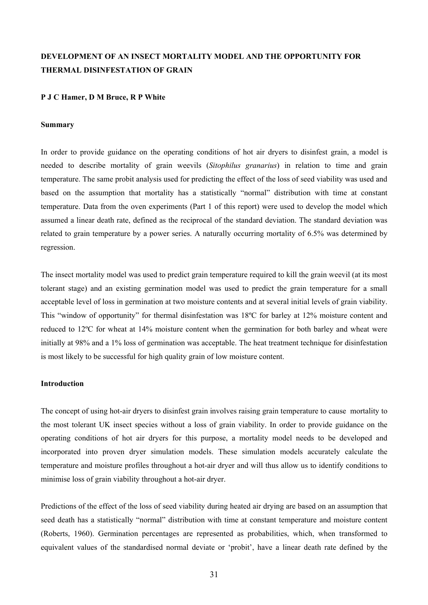# **DEVELOPMENT OF AN INSECT MORTALITY MODEL AND THE OPPORTUNITY FOR THERMAL DISINFESTATION OF GRAIN**

#### **P J C Hamer, D M Bruce, R P White**

#### **Summary**

In order to provide guidance on the operating conditions of hot air dryers to disinfest grain, a model is needed to describe mortality of grain weevils (*Sitophilus granarius*) in relation to time and grain temperature. The same probit analysis used for predicting the effect of the loss of seed viability was used and based on the assumption that mortality has a statistically "normal" distribution with time at constant temperature. Data from the oven experiments (Part 1 of this report) were used to develop the model which assumed a linear death rate, defined as the reciprocal of the standard deviation. The standard deviation was related to grain temperature by a power series. A naturally occurring mortality of 6.5% was determined by regression.

The insect mortality model was used to predict grain temperature required to kill the grain weevil (at its most tolerant stage) and an existing germination model was used to predict the grain temperature for a small acceptable level of loss in germination at two moisture contents and at several initial levels of grain viability. This "window of opportunity" for thermal disinfestation was 18ºC for barley at 12% moisture content and reduced to 12ºC for wheat at 14% moisture content when the germination for both barley and wheat were initially at 98% and a 1% loss of germination was acceptable. The heat treatment technique for disinfestation is most likely to be successful for high quality grain of low moisture content.

### **Introduction**

The concept of using hot-air dryers to disinfest grain involves raising grain temperature to cause mortality to the most tolerant UK insect species without a loss of grain viability. In order to provide guidance on the operating conditions of hot air dryers for this purpose, a mortality model needs to be developed and incorporated into proven dryer simulation models. These simulation models accurately calculate the temperature and moisture profiles throughout a hot-air dryer and will thus allow us to identify conditions to minimise loss of grain viability throughout a hot-air dryer.

Predictions of the effect of the loss of seed viability during heated air drying are based on an assumption that seed death has a statistically "normal" distribution with time at constant temperature and moisture content (Roberts, 1960). Germination percentages are represented as probabilities, which, when transformed to equivalent values of the standardised normal deviate or 'probit', have a linear death rate defined by the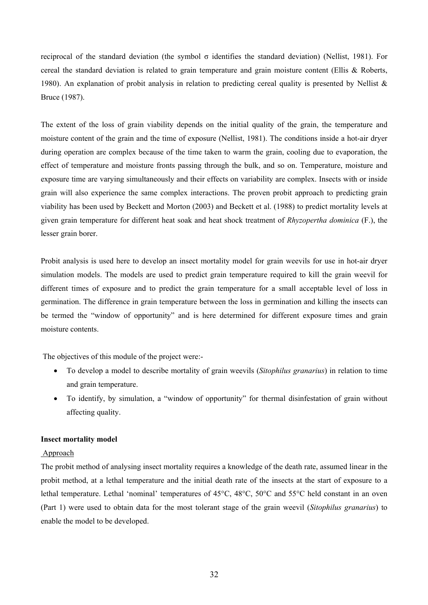reciprocal of the standard deviation (the symbol σ identifies the standard deviation) (Nellist, 1981). For cereal the standard deviation is related to grain temperature and grain moisture content (Ellis & Roberts, 1980). An explanation of probit analysis in relation to predicting cereal quality is presented by Nellist & Bruce (1987).

The extent of the loss of grain viability depends on the initial quality of the grain, the temperature and moisture content of the grain and the time of exposure (Nellist, 1981). The conditions inside a hot-air dryer during operation are complex because of the time taken to warm the grain, cooling due to evaporation, the effect of temperature and moisture fronts passing through the bulk, and so on. Temperature, moisture and exposure time are varying simultaneously and their effects on variability are complex. Insects with or inside grain will also experience the same complex interactions. The proven probit approach to predicting grain viability has been used by Beckett and Morton (2003) and Beckett et al. (1988) to predict mortality levels at given grain temperature for different heat soak and heat shock treatment of *Rhyzopertha dominica* (F.), the lesser grain borer.

Probit analysis is used here to develop an insect mortality model for grain weevils for use in hot-air dryer simulation models. The models are used to predict grain temperature required to kill the grain weevil for different times of exposure and to predict the grain temperature for a small acceptable level of loss in germination. The difference in grain temperature between the loss in germination and killing the insects can be termed the "window of opportunity" and is here determined for different exposure times and grain moisture contents.

The objectives of this module of the project were:-

- To develop a model to describe mortality of grain weevils (*Sitophilus granarius*) in relation to time and grain temperature.
- To identify, by simulation, a "window of opportunity" for thermal disinfestation of grain without affecting quality.

#### **Insect mortality model**

## Approach

The probit method of analysing insect mortality requires a knowledge of the death rate, assumed linear in the probit method, at a lethal temperature and the initial death rate of the insects at the start of exposure to a lethal temperature. Lethal 'nominal' temperatures of 45°C, 48°C, 50°C and 55°C held constant in an oven (Part 1) were used to obtain data for the most tolerant stage of the grain weevil (*Sitophilus granarius*) to enable the model to be developed.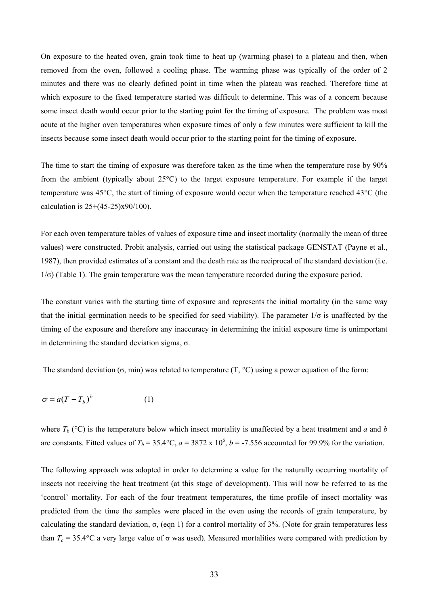On exposure to the heated oven, grain took time to heat up (warming phase) to a plateau and then, when removed from the oven, followed a cooling phase. The warming phase was typically of the order of 2 minutes and there was no clearly defined point in time when the plateau was reached. Therefore time at which exposure to the fixed temperature started was difficult to determine. This was of a concern because some insect death would occur prior to the starting point for the timing of exposure. The problem was most acute at the higher oven temperatures when exposure times of only a few minutes were sufficient to kill the insects because some insect death would occur prior to the starting point for the timing of exposure.

The time to start the timing of exposure was therefore taken as the time when the temperature rose by 90% from the ambient (typically about 25°C) to the target exposure temperature. For example if the target temperature was 45°C, the start of timing of exposure would occur when the temperature reached 43°C (the calculation is 25+(45-25)x90/100).

For each oven temperature tables of values of exposure time and insect mortality (normally the mean of three values) were constructed. Probit analysis, carried out using the statistical package GENSTAT (Payne et al., 1987), then provided estimates of a constant and the death rate as the reciprocal of the standard deviation (i.e.  $1/\sigma$ ) (Table 1). The grain temperature was the mean temperature recorded during the exposure period.

The constant varies with the starting time of exposure and represents the initial mortality (in the same way that the initial germination needs to be specified for seed viability). The parameter  $1/\sigma$  is unaffected by the timing of the exposure and therefore any inaccuracy in determining the initial exposure time is unimportant in determining the standard deviation sigma, σ.

The standard deviation ( $\sigma$ , min) was related to temperature (T,  $\degree$ C) using a power equation of the form:

$$
\sigma = a(T - T_b)^b \tag{1}
$$

where  $T_b$  ( $^{\circ}$ C) is the temperature below which insect mortality is unaffected by a heat treatment and *a* and *b* are constants. Fitted values of  $T_b = 35.4$ °C,  $a = 3872 \times 10^6$ ,  $b = -7.556$  accounted for 99.9% for the variation.

The following approach was adopted in order to determine a value for the naturally occurring mortality of insects not receiving the heat treatment (at this stage of development). This will now be referred to as the 'control' mortality. For each of the four treatment temperatures, the time profile of insect mortality was predicted from the time the samples were placed in the oven using the records of grain temperature, by calculating the standard deviation, σ, (eqn 1) for a control mortality of 3%. (Note for grain temperatures less than  $T_c = 35.4$ °C a very large value of  $\sigma$  was used). Measured mortalities were compared with prediction by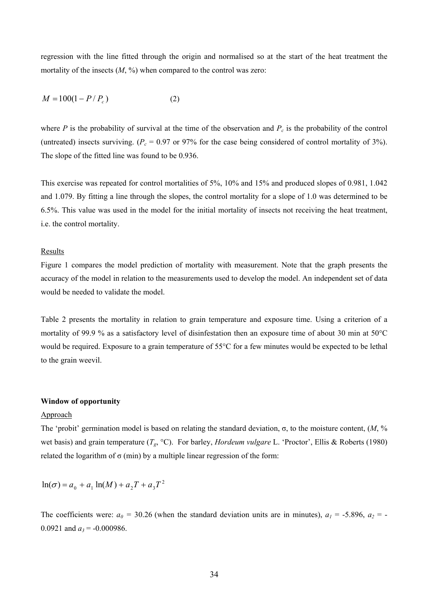regression with the line fitted through the origin and normalised so at the start of the heat treatment the mortality of the insects  $(M, \%)$  when compared to the control was zero:

$$
M = 100(1 - P/P_c)
$$
 (2)

where *P* is the probability of survival at the time of the observation and  $P_c$  is the probability of the control (untreated) insects surviving. ( $P_c$  = 0.97 or 97% for the case being considered of control mortality of 3%). The slope of the fitted line was found to be 0.936.

This exercise was repeated for control mortalities of 5%, 10% and 15% and produced slopes of 0.981, 1.042 and 1.079. By fitting a line through the slopes, the control mortality for a slope of 1.0 was determined to be 6.5%. This value was used in the model for the initial mortality of insects not receiving the heat treatment, i.e. the control mortality.

#### Results

Figure 1 compares the model prediction of mortality with measurement. Note that the graph presents the accuracy of the model in relation to the measurements used to develop the model. An independent set of data would be needed to validate the model.

Table 2 presents the mortality in relation to grain temperature and exposure time. Using a criterion of a mortality of 99.9 % as a satisfactory level of disinfestation then an exposure time of about 30 min at 50°C would be required. Exposure to a grain temperature of 55°C for a few minutes would be expected to be lethal to the grain weevil.

#### **Window of opportunity**

#### Approach

The 'probit' germination model is based on relating the standard deviation, σ, to the moisture content,  $(M, %$ wet basis) and grain temperature (*Tg*, °C). For barley, *Hordeum vulgare* L. 'Proctor', Ellis & Roberts (1980) related the logarithm of  $\sigma$  (min) by a multiple linear regression of the form:

$$
\ln(\sigma) = a_0 + a_1 \ln(M) + a_2 T + a_3 T^2
$$

The coefficients were:  $a_0 = 30.26$  (when the standard deviation units are in minutes),  $a_1 = -5.896$ ,  $a_2 = -5.896$ 0.0921 and  $a_3$  = -0.000986.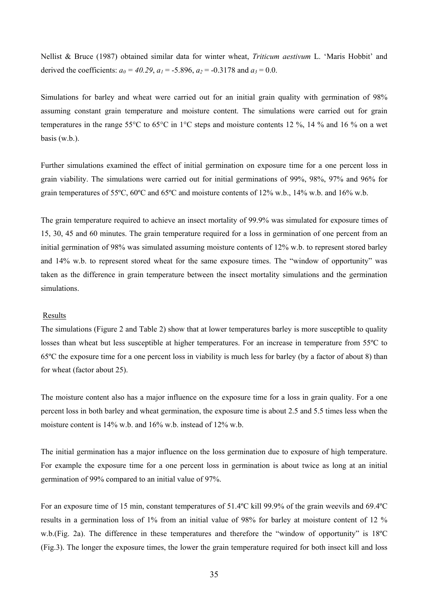Nellist & Bruce (1987) obtained similar data for winter wheat, *Triticum aestivum* L. 'Maris Hobbit' and derived the coefficients:  $a_0 = 40.29$ ,  $a_1 = -5.896$ ,  $a_2 = -0.3178$  and  $a_3 = 0.0$ .

Simulations for barley and wheat were carried out for an initial grain quality with germination of 98% assuming constant grain temperature and moisture content. The simulations were carried out for grain temperatures in the range 55°C to 65°C in 1°C steps and moisture contents 12 %, 14 % and 16 % on a wet basis (w.b.).

Further simulations examined the effect of initial germination on exposure time for a one percent loss in grain viability. The simulations were carried out for initial germinations of 99%, 98%, 97% and 96% for grain temperatures of 55ºC, 60ºC and 65ºC and moisture contents of 12% w.b., 14% w.b. and 16% w.b.

The grain temperature required to achieve an insect mortality of 99.9% was simulated for exposure times of 15, 30, 45 and 60 minutes. The grain temperature required for a loss in germination of one percent from an initial germination of 98% was simulated assuming moisture contents of 12% w.b. to represent stored barley and 14% w.b. to represent stored wheat for the same exposure times. The "window of opportunity" was taken as the difference in grain temperature between the insect mortality simulations and the germination simulations.

#### Results

The simulations (Figure 2 and Table 2) show that at lower temperatures barley is more susceptible to quality losses than wheat but less susceptible at higher temperatures. For an increase in temperature from 55ºC to 65ºC the exposure time for a one percent loss in viability is much less for barley (by a factor of about 8) than for wheat (factor about 25).

The moisture content also has a major influence on the exposure time for a loss in grain quality. For a one percent loss in both barley and wheat germination, the exposure time is about 2.5 and 5.5 times less when the moisture content is 14% w.b. and 16% w.b. instead of 12% w.b.

The initial germination has a major influence on the loss germination due to exposure of high temperature. For example the exposure time for a one percent loss in germination is about twice as long at an initial germination of 99% compared to an initial value of 97%.

For an exposure time of 15 min, constant temperatures of 51.4ºC kill 99.9% of the grain weevils and 69.4ºC results in a germination loss of 1% from an initial value of 98% for barley at moisture content of 12 % w.b.(Fig. 2a). The difference in these temperatures and therefore the "window of opportunity" is 18ºC (Fig.3). The longer the exposure times, the lower the grain temperature required for both insect kill and loss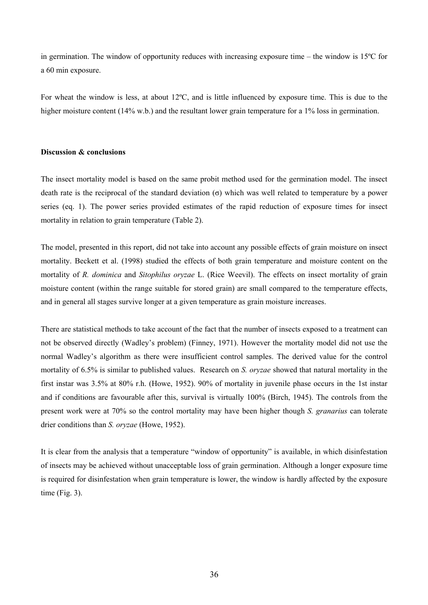in germination. The window of opportunity reduces with increasing exposure time – the window is 15ºC for a 60 min exposure.

For wheat the window is less, at about 12ºC, and is little influenced by exposure time. This is due to the higher moisture content (14% w.b.) and the resultant lower grain temperature for a 1% loss in germination.

# **Discussion & conclusions**

The insect mortality model is based on the same probit method used for the germination model. The insect death rate is the reciprocal of the standard deviation (σ) which was well related to temperature by a power series (eq. 1). The power series provided estimates of the rapid reduction of exposure times for insect mortality in relation to grain temperature (Table 2).

The model, presented in this report, did not take into account any possible effects of grain moisture on insect mortality. Beckett et al. (1998) studied the effects of both grain temperature and moisture content on the mortality of *R. dominica* and *Sitophilus oryzae* L. (Rice Weevil). The effects on insect mortality of grain moisture content (within the range suitable for stored grain) are small compared to the temperature effects, and in general all stages survive longer at a given temperature as grain moisture increases.

There are statistical methods to take account of the fact that the number of insects exposed to a treatment can not be observed directly (Wadley's problem) (Finney, 1971). However the mortality model did not use the normal Wadley's algorithm as there were insufficient control samples. The derived value for the control mortality of 6.5% is similar to published values. Research on *S. oryzae* showed that natural mortality in the first instar was 3.5% at 80% r.h. (Howe, 1952). 90% of mortality in juvenile phase occurs in the 1st instar and if conditions are favourable after this, survival is virtually 100% (Birch, 1945). The controls from the present work were at 70% so the control mortality may have been higher though *S. granarius* can tolerate drier conditions than *S. oryzae* (Howe, 1952).

It is clear from the analysis that a temperature "window of opportunity" is available, in which disinfestation of insects may be achieved without unacceptable loss of grain germination. Although a longer exposure time is required for disinfestation when grain temperature is lower, the window is hardly affected by the exposure time (Fig. 3).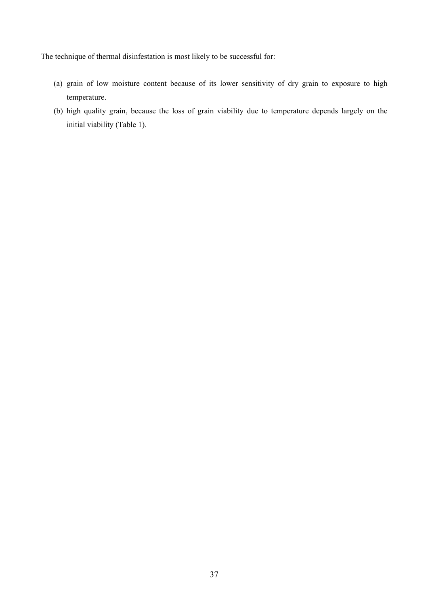The technique of thermal disinfestation is most likely to be successful for:

- (a) grain of low moisture content because of its lower sensitivity of dry grain to exposure to high temperature.
- (b) high quality grain, because the loss of grain viability due to temperature depends largely on the initial viability (Table 1).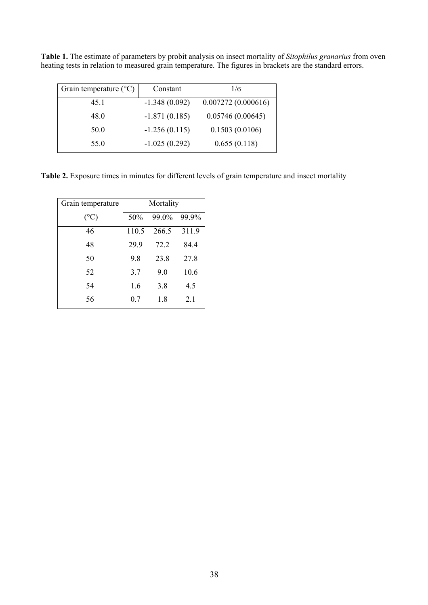**Table 1.** The estimate of parameters by probit analysis on insect mortality of *Sitophilus granarius* from oven heating tests in relation to measured grain temperature. The figures in brackets are the standard errors.

| Grain temperature $(^{\circ}C)$ | Constant        | $1/\sigma$         |
|---------------------------------|-----------------|--------------------|
| 45.1                            | $-1.348(0.092)$ | 0.007272(0.000616) |
| 48.0                            | $-1.871(0.185)$ | 0.05746(0.00645)   |
| 50.0                            | $-1.256(0.115)$ | 0.1503(0.0106)     |
| 55.0                            | $-1.025(0.292)$ | 0.655(0.118)       |

**Table 2.** Exposure times in minutes for different levels of grain temperature and insect mortality

| Grain temperature | Mortality |       |       |  |  |  |
|-------------------|-----------|-------|-------|--|--|--|
| $(^{\circ}C)$     | 50%       | 99.0% | 99.9% |  |  |  |
| 46                | 110.5     | 266.5 | 311.9 |  |  |  |
| 48                | 29.9      | 72.2  | 84.4  |  |  |  |
| 50                | 9.8       | 23.8  | 27.8  |  |  |  |
| 52                | 3.7       | 9.0   | 10.6  |  |  |  |
| 54                | 1.6       | 3.8   | 4.5   |  |  |  |
| 56                | 0.7       | 1.8   | 2.1   |  |  |  |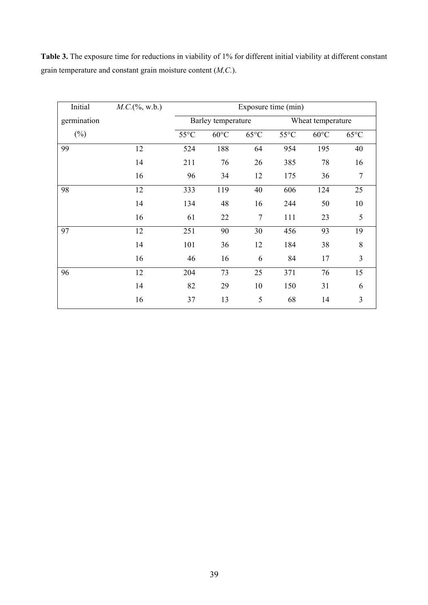**Table 3.** The exposure time for reductions in viability of 1% for different initial viability at different constant grain temperature and constant grain moisture content (*M,C.*).

| Initial     | $M.C.$ (%, w.b.) | Exposure time (min) |                |                |                |                   |                |  |
|-------------|------------------|---------------------|----------------|----------------|----------------|-------------------|----------------|--|
| germination |                  | Barley temperature  |                |                |                | Wheat temperature |                |  |
| $(\%)$      |                  | $55^{\circ}$ C      | $60^{\circ}$ C | $65^{\circ}$ C | $55^{\circ}$ C | $60^{\circ}$ C    | $65^{\circ}$ C |  |
| 99          | 12               | 524                 | 188            | 64             | 954            | 195               | 40             |  |
|             | 14               | 211                 | 76             | 26             | 385            | 78                | 16             |  |
|             | 16               | 96                  | 34             | 12             | 175            | 36                | 7              |  |
| 98          | 12               | 333                 | 119            | 40             | 606            | 124               | 25             |  |
|             | 14               | 134                 | 48             | 16             | 244            | 50                | 10             |  |
|             | 16               | 61                  | 22             | $\tau$         | 111            | 23                | 5              |  |
| 97          | 12               | 251                 | 90             | 30             | 456            | 93                | 19             |  |
|             | 14               | 101                 | 36             | 12             | 184            | 38                | 8              |  |
|             | 16               | 46                  | 16             | 6              | 84             | 17                | 3              |  |
| 96          | 12               | 204                 | 73             | 25             | 371            | 76                | 15             |  |
|             | 14               | 82                  | 29             | 10             | 150            | 31                | 6              |  |
|             | 16               | 37                  | 13             | 5              | 68             | 14                | 3              |  |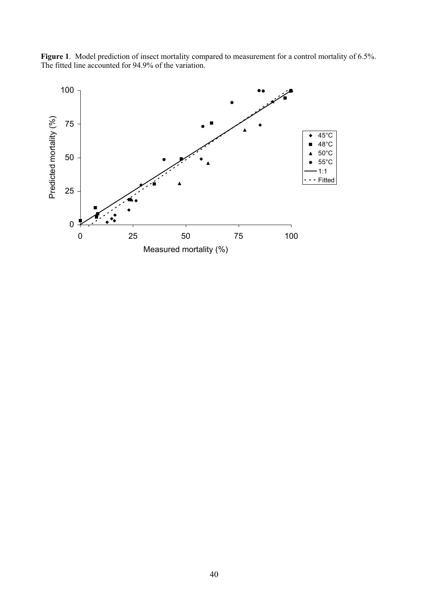

**Figure 1**. Model prediction of insect mortality compared to measurement for a control mortality of 6.5%. The fitted line accounted for 94.9% of the variation.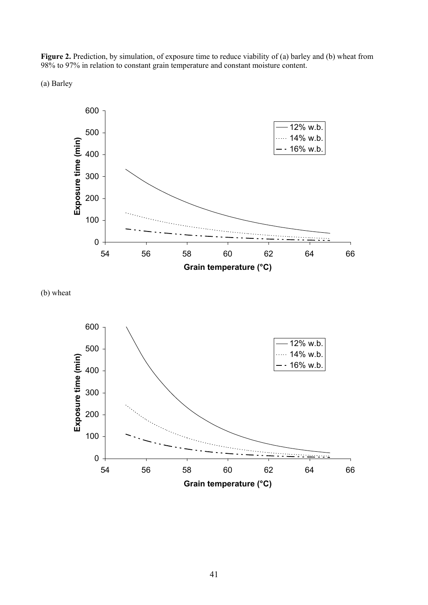Figure 2. Prediction, by simulation, of exposure time to reduce viability of (a) barley and (b) wheat from 98% to 97% in relation to constant grain temperature and constant moisture content.

(a) Barley



(b) wheat

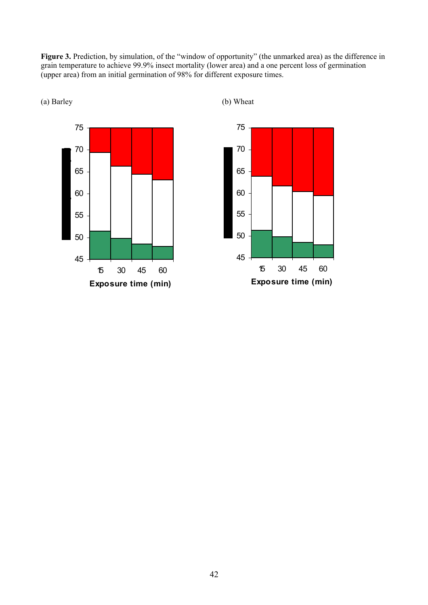Figure 3. Prediction, by simulation, of the "window of opportunity" (the unmarked area) as the difference in grain temperature to achieve 99.9% insect mortality (lower area) and a one percent loss of germination (upper area) from an initial germination of 98% for different exposure times.





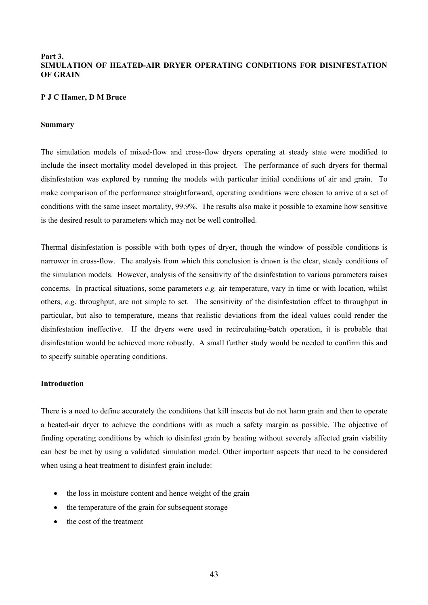# **Part 3. SIMULATION OF HEATED-AIR DRYER OPERATING CONDITIONS FOR DISINFESTATION OF GRAIN**

## **P J C Hamer, D M Bruce**

# **Summary**

The simulation models of mixed-flow and cross-flow dryers operating at steady state were modified to include the insect mortality model developed in this project. The performance of such dryers for thermal disinfestation was explored by running the models with particular initial conditions of air and grain. To make comparison of the performance straightforward, operating conditions were chosen to arrive at a set of conditions with the same insect mortality, 99.9%. The results also make it possible to examine how sensitive is the desired result to parameters which may not be well controlled.

Thermal disinfestation is possible with both types of dryer, though the window of possible conditions is narrower in cross-flow. The analysis from which this conclusion is drawn is the clear, steady conditions of the simulation models. However, analysis of the sensitivity of the disinfestation to various parameters raises concerns. In practical situations, some parameters *e.g.* air temperature, vary in time or with location, whilst others, *e.g*. throughput, are not simple to set. The sensitivity of the disinfestation effect to throughput in particular, but also to temperature, means that realistic deviations from the ideal values could render the disinfestation ineffective. If the dryers were used in recirculating-batch operation, it is probable that disinfestation would be achieved more robustly. A small further study would be needed to confirm this and to specify suitable operating conditions.

# **Introduction**

There is a need to define accurately the conditions that kill insects but do not harm grain and then to operate a heated-air dryer to achieve the conditions with as much a safety margin as possible. The objective of finding operating conditions by which to disinfest grain by heating without severely affected grain viability can best be met by using a validated simulation model. Other important aspects that need to be considered when using a heat treatment to disinfest grain include:

- the loss in moisture content and hence weight of the grain
- the temperature of the grain for subsequent storage
- the cost of the treatment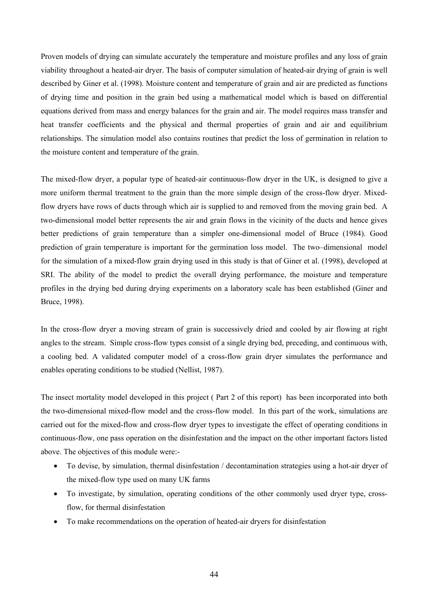Proven models of drying can simulate accurately the temperature and moisture profiles and any loss of grain viability throughout a heated-air dryer. The basis of computer simulation of heated-air drying of grain is well described by Giner et al. (1998). Moisture content and temperature of grain and air are predicted as functions of drying time and position in the grain bed using a mathematical model which is based on differential equations derived from mass and energy balances for the grain and air. The model requires mass transfer and heat transfer coefficients and the physical and thermal properties of grain and air and equilibrium relationships. The simulation model also contains routines that predict the loss of germination in relation to the moisture content and temperature of the grain.

The mixed-flow dryer, a popular type of heated-air continuous-flow dryer in the UK, is designed to give a more uniform thermal treatment to the grain than the more simple design of the cross-flow dryer. Mixedflow dryers have rows of ducts through which air is supplied to and removed from the moving grain bed. A two-dimensional model better represents the air and grain flows in the vicinity of the ducts and hence gives better predictions of grain temperature than a simpler one-dimensional model of Bruce (1984). Good prediction of grain temperature is important for the germination loss model. The two–dimensional model for the simulation of a mixed-flow grain drying used in this study is that of Giner et al. (1998), developed at SRI. The ability of the model to predict the overall drying performance, the moisture and temperature profiles in the drying bed during drying experiments on a laboratory scale has been established (Giner and Bruce, 1998).

In the cross-flow dryer a moving stream of grain is successively dried and cooled by air flowing at right angles to the stream. Simple cross-flow types consist of a single drying bed, preceding, and continuous with, a cooling bed. A validated computer model of a cross-flow grain dryer simulates the performance and enables operating conditions to be studied (Nellist, 1987).

The insect mortality model developed in this project ( Part 2 of this report) has been incorporated into both the two-dimensional mixed-flow model and the cross-flow model. In this part of the work, simulations are carried out for the mixed-flow and cross-flow dryer types to investigate the effect of operating conditions in continuous-flow, one pass operation on the disinfestation and the impact on the other important factors listed above. The objectives of this module were:-

- To devise, by simulation, thermal disinfestation / decontamination strategies using a hot-air dryer of the mixed-flow type used on many UK farms
- To investigate, by simulation, operating conditions of the other commonly used dryer type, crossflow, for thermal disinfestation
- To make recommendations on the operation of heated-air dryers for disinfestation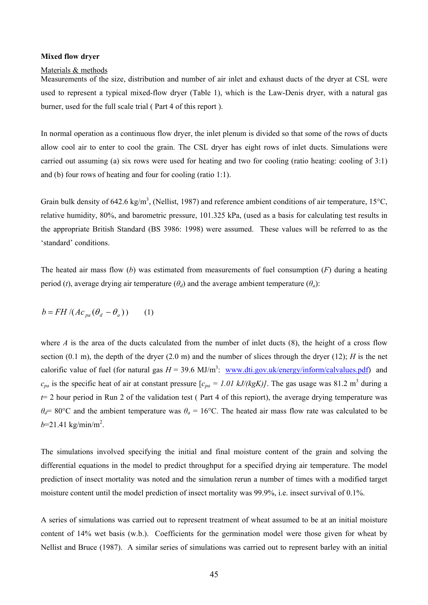#### **Mixed flow dryer**

#### Materials & methods

Measurements of the size, distribution and number of air inlet and exhaust ducts of the dryer at CSL were used to represent a typical mixed-flow dryer (Table 1), which is the Law-Denis dryer, with a natural gas burner, used for the full scale trial ( Part 4 of this report ).

In normal operation as a continuous flow dryer, the inlet plenum is divided so that some of the rows of ducts allow cool air to enter to cool the grain. The CSL dryer has eight rows of inlet ducts. Simulations were carried out assuming (a) six rows were used for heating and two for cooling (ratio heating: cooling of 3:1) and (b) four rows of heating and four for cooling (ratio 1:1).

Grain bulk density of 642.6 kg/m<sup>3</sup>, (Nellist, 1987) and reference ambient conditions of air temperature, 15°C, relative humidity, 80%, and barometric pressure, 101.325 kPa, (used as a basis for calculating test results in the appropriate British Standard (BS 3986: 1998) were assumed. These values will be referred to as the 'standard' conditions.

The heated air mass flow (*b*) was estimated from measurements of fuel consumption (*F*) during a heating period (*t*), average drying air temperature ( $\theta_d$ ) and the average ambient temperature ( $\theta_d$ ):

$$
b = FH / (Ac_{pa}(\theta_d - \theta_a)) \qquad (1)
$$

where *A* is the area of the ducts calculated from the number of inlet ducts  $(8)$ , the height of a cross flow section (0.1 m), the depth of the dryer (2.0 m) and the number of slices through the dryer (12); *H* is the net calorific value of fuel (for natural gas  $H = 39.6 \text{ MJ/m}^3$ : www.dti.gov.uk/energy/inform/calvalues.pdf) and  $c_{pa}$  is the specific heat of air at constant pressure  $[c_{pa} = 1.01 \ kJ/(kgK)]$ . The gas usage was 81.2 m<sup>3</sup> during a  $t=2$  hour period in Run 2 of the validation test (Part 4 of this repiort), the average drying temperature was  $\theta_d$ = 80°C and the ambient temperature was  $\theta_a$  = 16°C. The heated air mass flow rate was calculated to be  $b=21.41 \text{ kg/min/m}^2$ .

The simulations involved specifying the initial and final moisture content of the grain and solving the differential equations in the model to predict throughput for a specified drying air temperature. The model prediction of insect mortality was noted and the simulation rerun a number of times with a modified target moisture content until the model prediction of insect mortality was 99.9%, i.e. insect survival of 0.1%.

A series of simulations was carried out to represent treatment of wheat assumed to be at an initial moisture content of 14% wet basis (w.b.). Coefficients for the germination model were those given for wheat by Nellist and Bruce (1987). A similar series of simulations was carried out to represent barley with an initial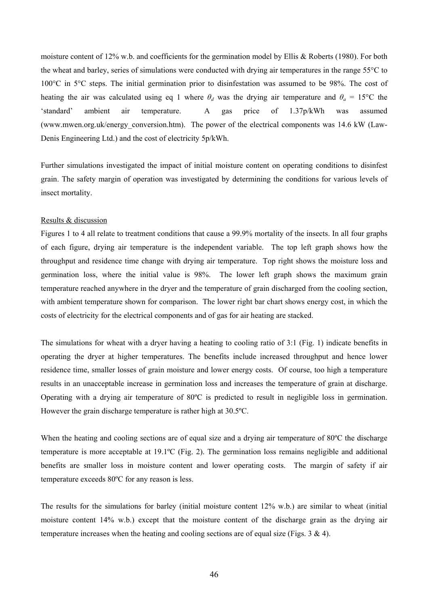moisture content of 12% w.b. and coefficients for the germination model by Ellis & Roberts (1980). For both the wheat and barley, series of simulations were conducted with drying air temperatures in the range 55°C to 100°C in 5°C steps. The initial germination prior to disinfestation was assumed to be 98%. The cost of heating the air was calculated using eq 1 where  $\theta_d$  was the drying air temperature and  $\theta_a = 15^{\circ}\text{C}$  the 'standard' ambient air temperature. A gas price of 1.37p/kWh was assumed (www.mwen.org.uk/energy\_conversion.htm). The power of the electrical components was 14.6 kW (Law-Denis Engineering Ltd.) and the cost of electricity 5p/kWh.

Further simulations investigated the impact of initial moisture content on operating conditions to disinfest grain. The safety margin of operation was investigated by determining the conditions for various levels of insect mortality.

## Results & discussion

Figures 1 to 4 all relate to treatment conditions that cause a 99.9% mortality of the insects. In all four graphs of each figure, drying air temperature is the independent variable. The top left graph shows how the throughput and residence time change with drying air temperature. Top right shows the moisture loss and germination loss, where the initial value is 98%. The lower left graph shows the maximum grain temperature reached anywhere in the dryer and the temperature of grain discharged from the cooling section, with ambient temperature shown for comparison. The lower right bar chart shows energy cost, in which the costs of electricity for the electrical components and of gas for air heating are stacked.

The simulations for wheat with a dryer having a heating to cooling ratio of 3:1 (Fig. 1) indicate benefits in operating the dryer at higher temperatures. The benefits include increased throughput and hence lower residence time, smaller losses of grain moisture and lower energy costs. Of course, too high a temperature results in an unacceptable increase in germination loss and increases the temperature of grain at discharge. Operating with a drying air temperature of 80ºC is predicted to result in negligible loss in germination. However the grain discharge temperature is rather high at 30.5ºC.

When the heating and cooling sections are of equal size and a drying air temperature of 80°C the discharge temperature is more acceptable at 19.1ºC (Fig. 2). The germination loss remains negligible and additional benefits are smaller loss in moisture content and lower operating costs. The margin of safety if air temperature exceeds 80ºC for any reason is less.

The results for the simulations for barley (initial moisture content 12% w.b.) are similar to wheat (initial moisture content 14% w.b.) except that the moisture content of the discharge grain as the drying air temperature increases when the heating and cooling sections are of equal size (Figs. 3 & 4).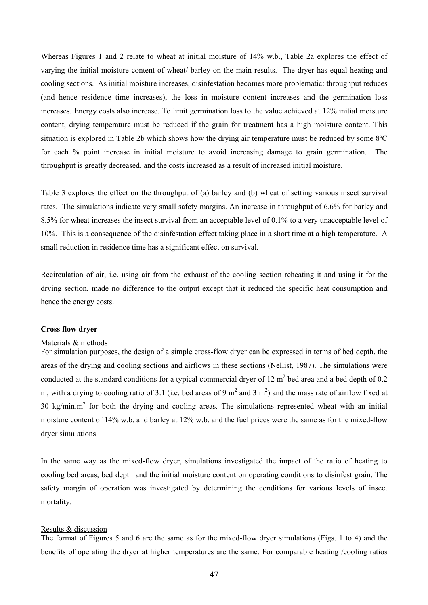Whereas Figures 1 and 2 relate to wheat at initial moisture of 14% w.b., Table 2a explores the effect of varying the initial moisture content of wheat/ barley on the main results. The dryer has equal heating and cooling sections. As initial moisture increases, disinfestation becomes more problematic: throughput reduces (and hence residence time increases), the loss in moisture content increases and the germination loss increases. Energy costs also increase. To limit germination loss to the value achieved at 12% initial moisture content, drying temperature must be reduced if the grain for treatment has a high moisture content. This situation is explored in Table 2b which shows how the drying air temperature must be reduced by some 8ºC for each % point increase in initial moisture to avoid increasing damage to grain germination. The throughput is greatly decreased, and the costs increased as a result of increased initial moisture.

Table 3 explores the effect on the throughput of (a) barley and (b) wheat of setting various insect survival rates. The simulations indicate very small safety margins. An increase in throughput of 6.6% for barley and 8.5% for wheat increases the insect survival from an acceptable level of 0.1% to a very unacceptable level of 10%. This is a consequence of the disinfestation effect taking place in a short time at a high temperature. A small reduction in residence time has a significant effect on survival.

Recirculation of air, i.e. using air from the exhaust of the cooling section reheating it and using it for the drying section, made no difference to the output except that it reduced the specific heat consumption and hence the energy costs.

# **Cross flow dryer**

#### Materials & methods

For simulation purposes, the design of a simple cross-flow dryer can be expressed in terms of bed depth, the areas of the drying and cooling sections and airflows in these sections (Nellist, 1987). The simulations were conducted at the standard conditions for a typical commercial dryer of 12  $m<sup>2</sup>$  bed area and a bed depth of 0.2 m, with a drying to cooling ratio of 3:1 (i.e. bed areas of 9 m<sup>2</sup> and 3 m<sup>2</sup>) and the mass rate of airflow fixed at  $30 \text{ kg/min.m}^2$  for both the drying and cooling areas. The simulations represented wheat with an initial moisture content of 14% w.b. and barley at 12% w.b. and the fuel prices were the same as for the mixed-flow dryer simulations.

In the same way as the mixed-flow dryer, simulations investigated the impact of the ratio of heating to cooling bed areas, bed depth and the initial moisture content on operating conditions to disinfest grain. The safety margin of operation was investigated by determining the conditions for various levels of insect mortality.

#### Results & discussion

The format of Figures 5 and 6 are the same as for the mixed-flow dryer simulations (Figs. 1 to 4) and the benefits of operating the dryer at higher temperatures are the same. For comparable heating /cooling ratios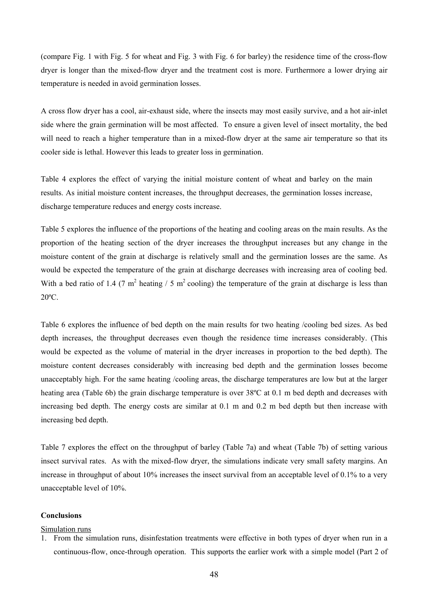(compare Fig. 1 with Fig. 5 for wheat and Fig. 3 with Fig. 6 for barley) the residence time of the cross-flow dryer is longer than the mixed-flow dryer and the treatment cost is more. Furthermore a lower drying air temperature is needed in avoid germination losses.

A cross flow dryer has a cool, air-exhaust side, where the insects may most easily survive, and a hot air-inlet side where the grain germination will be most affected. To ensure a given level of insect mortality, the bed will need to reach a higher temperature than in a mixed-flow dryer at the same air temperature so that its cooler side is lethal. However this leads to greater loss in germination.

Table 4 explores the effect of varying the initial moisture content of wheat and barley on the main results. As initial moisture content increases, the throughput decreases, the germination losses increase, discharge temperature reduces and energy costs increase.

Table 5 explores the influence of the proportions of the heating and cooling areas on the main results. As the proportion of the heating section of the dryer increases the throughput increases but any change in the moisture content of the grain at discharge is relatively small and the germination losses are the same. As would be expected the temperature of the grain at discharge decreases with increasing area of cooling bed. With a bed ratio of 1.4 (7 m<sup>2</sup> heating / 5 m<sup>2</sup> cooling) the temperature of the grain at discharge is less than 20ºC.

Table 6 explores the influence of bed depth on the main results for two heating /cooling bed sizes. As bed depth increases, the throughput decreases even though the residence time increases considerably. (This would be expected as the volume of material in the dryer increases in proportion to the bed depth). The moisture content decreases considerably with increasing bed depth and the germination losses become unacceptably high. For the same heating /cooling areas, the discharge temperatures are low but at the larger heating area (Table 6b) the grain discharge temperature is over 38 °C at 0.1 m bed depth and decreases with increasing bed depth. The energy costs are similar at 0.1 m and 0.2 m bed depth but then increase with increasing bed depth.

Table 7 explores the effect on the throughput of barley (Table 7a) and wheat (Table 7b) of setting various insect survival rates. As with the mixed-flow dryer, the simulations indicate very small safety margins. An increase in throughput of about 10% increases the insect survival from an acceptable level of 0.1% to a very unacceptable level of 10%.

# **Conclusions**

## Simulation runs

1. From the simulation runs, disinfestation treatments were effective in both types of dryer when run in a continuous-flow, once-through operation. This supports the earlier work with a simple model (Part 2 of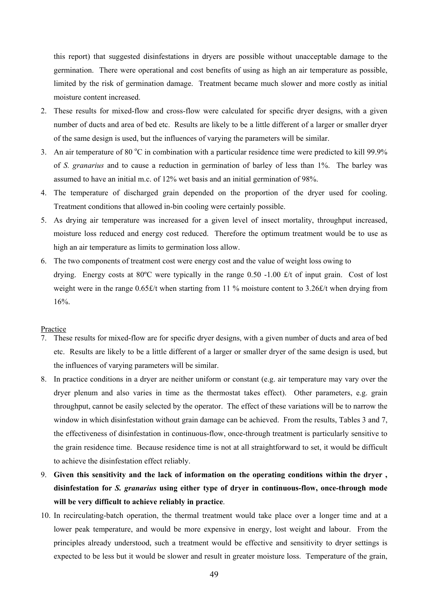this report) that suggested disinfestations in dryers are possible without unacceptable damage to the germination. There were operational and cost benefits of using as high an air temperature as possible, limited by the risk of germination damage. Treatment became much slower and more costly as initial moisture content increased.

- 2. These results for mixed-flow and cross-flow were calculated for specific dryer designs, with a given number of ducts and area of bed etc. Results are likely to be a little different of a larger or smaller dryer of the same design is used, but the influences of varying the parameters will be similar.
- 3. An air temperature of 80  $^{\circ}$ C in combination with a particular residence time were predicted to kill 99.9% of *S. granarius* and to cause a reduction in germination of barley of less than 1%. The barley was assumed to have an initial m.c. of 12% wet basis and an initial germination of 98%.
- 4. The temperature of discharged grain depended on the proportion of the dryer used for cooling. Treatment conditions that allowed in-bin cooling were certainly possible.
- 5. As drying air temperature was increased for a given level of insect mortality, throughput increased, moisture loss reduced and energy cost reduced. Therefore the optimum treatment would be to use as high an air temperature as limits to germination loss allow.
- 6. The two components of treatment cost were energy cost and the value of weight loss owing to drying. Energy costs at 80 $^{\circ}$ C were typically in the range 0.50 -1.00 £/t of input grain. Cost of lost weight were in the range  $0.65\text{E/t}$  when starting from 11 % moisture content to 3.26 $\text{E/t}$  when drying from 16%.

#### Practice

- 7. These results for mixed-flow are for specific dryer designs, with a given number of ducts and area of bed etc. Results are likely to be a little different of a larger or smaller dryer of the same design is used, but the influences of varying parameters will be similar.
- 8. In practice conditions in a dryer are neither uniform or constant (e.g. air temperature may vary over the dryer plenum and also varies in time as the thermostat takes effect). Other parameters, e.g. grain throughput, cannot be easily selected by the operator. The effect of these variations will be to narrow the window in which disinfestation without grain damage can be achieved. From the results, Tables 3 and 7, the effectiveness of disinfestation in continuous-flow, once-through treatment is particularly sensitive to the grain residence time. Because residence time is not at all straightforward to set, it would be difficult to achieve the disinfestation effect reliably.
- 9. **Given this sensitivity and the lack of information on the operating conditions within the dryer , disinfestation for** *S. granarius* **using either type of dryer in continuous-flow, once-through mode will be very difficult to achieve reliably in practice**.
- 10. In recirculating-batch operation, the thermal treatment would take place over a longer time and at a lower peak temperature, and would be more expensive in energy, lost weight and labour. From the principles already understood, such a treatment would be effective and sensitivity to dryer settings is expected to be less but it would be slower and result in greater moisture loss. Temperature of the grain,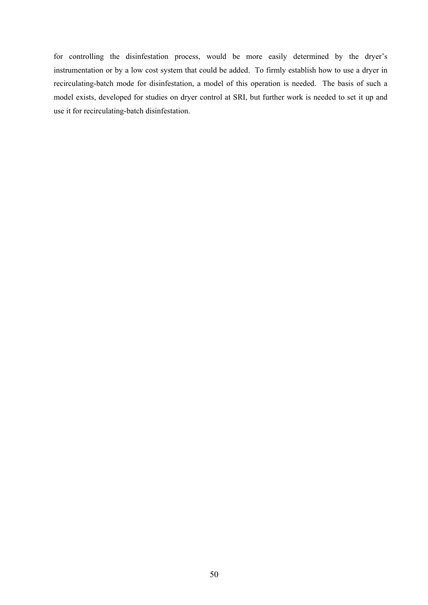for controlling the disinfestation process, would be more easily determined by the dryer's instrumentation or by a low cost system that could be added. To firmly establish how to use a dryer in recirculating-batch mode for disinfestation, a model of this operation is needed. The basis of such a model exists, developed for studies on dryer control at SRI, but further work is needed to set it up and use it for recirculating-batch disinfestation.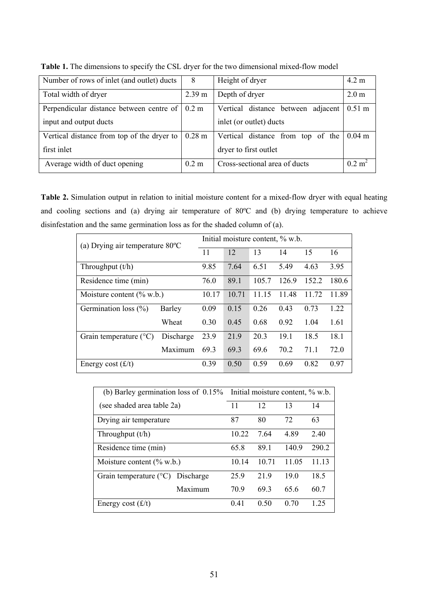| Number of rows of inlet (and outlet) ducts | 8               | Height of dryer                    | $4.2 \text{ m}$      |
|--------------------------------------------|-----------------|------------------------------------|----------------------|
| Total width of dryer                       | 2.39 m          | Depth of dryer                     | 2.0 <sub>m</sub>     |
| Perpendicular distance between centre of   | $0.2 \text{ m}$ | Vertical distance between adjacent | $0.51 \text{ m}$     |
| input and output ducts                     |                 | inlet (or outlet) ducts            |                      |
| Vertical distance from top of the dryer to | $0.28$ m        | Vertical distance from top of the  | $0.04 \; \mathrm{m}$ |
| first inlet                                |                 | dryer to first outlet              |                      |
| Average width of duct opening              | $0.2 \text{ m}$ | Cross-sectional area of ducts      | 0.2 m <sup>2</sup>   |

Table 1. The dimensions to specify the CSL dryer for the two dimensional mixed-flow model

**Table 2.** Simulation output in relation to initial moisture content for a mixed-flow dryer with equal heating and cooling sections and (a) drying air temperature of 80ºC and (b) drying temperature to achieve disinfestation and the same germination loss as for the shaded column of (a).

| (a) Drying air temperature $80^{\circ}$ C |               |       |       | Initial moisture content, % w.b. |       |       |       |
|-------------------------------------------|---------------|-------|-------|----------------------------------|-------|-------|-------|
|                                           |               | 11    | 12    | 13                               | 14    | 15    | 16    |
| Throughput $(t/h)$                        |               | 9.85  | 7.64  | 6.51                             | 5.49  | 4.63  | 3.95  |
| Residence time (min)                      |               | 76.0  | 89.1  | 105.7                            | 126.9 | 152.2 | 180.6 |
| Moisture content $(\%$ w.b.)              |               | 10.17 | 10.71 | 11.15                            | 11.48 | 11.72 | 11.89 |
| Germination loss $(\% )$                  | <b>Barley</b> | 0.09  | 0.15  | 0.26                             | 0.43  | 0.73  | 1.22  |
|                                           | Wheat         | 0.30  | 0.45  | 0.68                             | 0.92  | 1.04  | 1.61  |
| Grain temperature $(^{\circ}C)$           | Discharge     | 23.9  | 21.9  | 20.3                             | 19.1  | 18.5  | 18.1  |
|                                           | Maximum       | 69.3  | 69.3  | 69.6                             | 70.2  | 71.1  | 72.0  |
| Energy cost $(f/t)$                       |               | 0.39  | 0.50  | 0.59                             | 0.69  | 0.82  | 0.97  |

| (b) Barley germination loss of $0.15\%$   |         |       |       | Initial moisture content, % w.b. |       |
|-------------------------------------------|---------|-------|-------|----------------------------------|-------|
| (see shaded area table 2a)                |         | 11    | 12    | 13                               | 14    |
| Drying air temperature                    |         | 87    | 80    | 72                               | 63    |
| Throughput $(t/h)$                        |         | 10.22 | 7.64  | 489                              | 2.40  |
| Residence time (min)                      |         | 65.8  | 891   | 140.9                            | 290.2 |
| Moisture content $(\%$ w.b.)              |         | 10.14 | 10.71 | 11.05                            | 11 13 |
| Grain temperature $(^{\circ}C)$ Discharge |         | 25.9  | 219   | 19.0                             | 18.5  |
|                                           | Maximum | 70.9  | 693   | 65.6                             | 60.7  |
| Energy cost $(f/t)$                       |         | 0.41  | 0.50  | 0.70                             | 1 25  |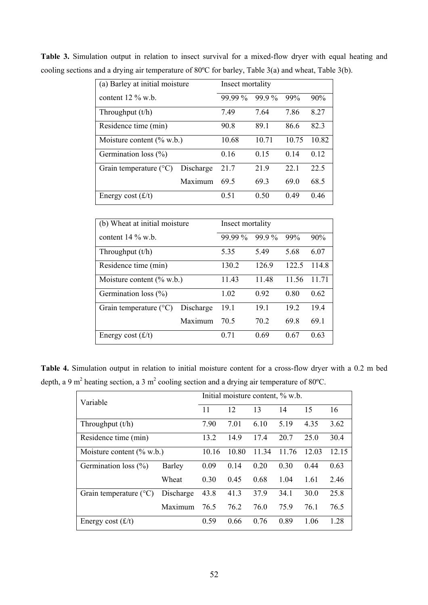| (a) Barley at initial moisture  |           | Insect mortality |          |       |       |  |  |
|---------------------------------|-----------|------------------|----------|-------|-------|--|--|
| content $12\%$ w.b.             |           | 99.99 %          | $99.9\%$ | 99%   | 90%   |  |  |
| Throughput $(t/h)$              |           | 7.49             | 7.64     | 7.86  | 8.27  |  |  |
| Residence time (min)            |           | 90.8             | 89.1     | 86.6  | 82.3  |  |  |
| Moisture content $(\% w.b.)$    |           | 10.68            | 10.71    | 10.75 | 10.82 |  |  |
| Germination loss $(\% )$        |           | 0.16             | 0.15     | 0.14  | 0.12  |  |  |
| Grain temperature $(^{\circ}C)$ | Discharge | 21.7             | 21.9     | 22.1  | 22.5  |  |  |
|                                 | Maximum   | 69.5             | 69.3     | 69.0  | 68.5  |  |  |
| Energy cost $(f/t)$             |           | 0.51             | 0.50     | 0.49  | 046   |  |  |

**Table 3.** Simulation output in relation to insect survival for a mixed-flow dryer with equal heating and cooling sections and a drying air temperature of 80ºC for barley, Table 3(a) and wheat, Table 3(b).

| (b) Wheat at initial moisture   |           | Insect mortality |                 |       |       |
|---------------------------------|-----------|------------------|-----------------|-------|-------|
| content $14\%$ w.b.             |           | 99.99 %          | $999\%$         | 99%   | 90%   |
| Throughput $(t/h)$              |           | 5.35             | 5.49            | 5.68  | 6.07  |
| Residence time (min)            |           | 130.2            | 126.9           | 122.5 | 114.8 |
| Moisture content $(\%$ w.b.)    |           | 11.43            | 11.48           | 11.56 | 11.71 |
| Germination loss $(\% )$        |           | 1.02             | 0.92            | 0.80  | 0.62  |
| Grain temperature $(^{\circ}C)$ | Discharge | 19.1             | 191             | 19.2  | 194   |
|                                 | Maximum   | 70 5             | 70 <sup>2</sup> | 69.8  | 69 1  |
| Energy cost $(f/t)$             |           | 0.71             | 0.69            | 0.67  | 0.63  |

**Table 4.** Simulation output in relation to initial moisture content for a cross-flow dryer with a 0.2 m bed depth, a 9 m<sup>2</sup> heating section, a 3 m<sup>2</sup> cooling section and a drying air temperature of 80°C.

| Variable                        |           | Initial moisture content, % w.b. |       |       |       |       |       |
|---------------------------------|-----------|----------------------------------|-------|-------|-------|-------|-------|
|                                 |           | 11                               | 12    | 13    | 14    | 15    | 16    |
| Throughput $(t/h)$              |           | 7.90                             | 7.01  | 6.10  | 5.19  | 4.35  | 3.62  |
| Residence time (min)            |           | 13.2                             | 14.9  | 17.4  | 20.7  | 25.0  | 30.4  |
| Moisture content $(\%$ w.b.)    |           | 10.16                            | 10.80 | 11.34 | 11.76 | 12.03 | 12.15 |
| Germination loss $(\% )$        | Barley    | 0.09                             | 0.14  | 0.20  | 0.30  | 0.44  | 0.63  |
|                                 | Wheat     | 0.30                             | 0.45  | 0.68  | 1.04  | 1.61  | 2.46  |
| Grain temperature $(^{\circ}C)$ | Discharge | 43.8                             | 41.3  | 37.9  | 34.1  | 30.0  | 25.8  |
|                                 | Maximum   | 76.5                             | 76.2  | 76.0  | 75.9  | 76.1  | 76.5  |
| Energy cost $(f/t)$             |           | 0.59                             | 0.66  | 0.76  | 0.89  | 1.06  | 1.28  |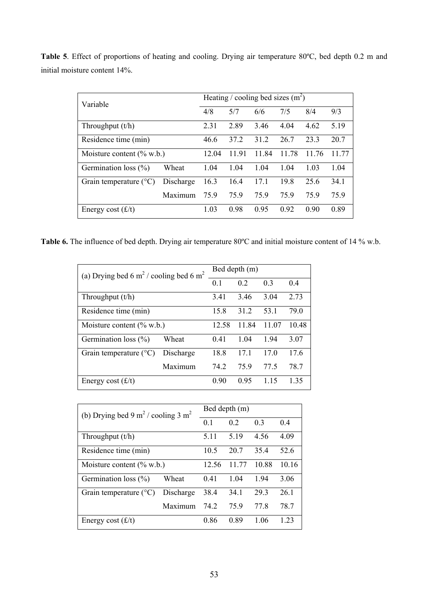| Variable                        |           | Heating / cooling bed sizes $(m^2)$ |       |       |       |       |       |
|---------------------------------|-----------|-------------------------------------|-------|-------|-------|-------|-------|
|                                 |           |                                     | 5/7   | 6/6   | 7/5   | 8/4   | 9/3   |
| Throughput $(t/h)$              |           | 2.31                                | 2.89  | 3.46  | 4.04  | 4.62  | 5.19  |
| Residence time (min)            |           | 46.6                                | 37.2  | 31.2  | 26.7  | 23.3  | 20.7  |
| Moisture content $(\%$ w.b.)    |           | 12.04                               | 11.91 | 11.84 | 11.78 | 11.76 | 11.77 |
| Germination loss $(\% )$        | Wheat     | 1.04                                | 1.04  | 1.04  | 1.04  | 1.03  | 1.04  |
| Grain temperature $(^{\circ}C)$ | Discharge | 16.3                                | 16.4  | 17.1  | 19.8  | 25.6  | 34.1  |
|                                 | Maximum   | 75.9                                | 75.9  | 75.9  | 759   | 759   | 75.9  |
| Energy cost $(f/t)$             |           | 1.03                                | 0.98  | 0.95  | 0.92  | 0.90  | 0.89  |

**Table 5**. Effect of proportions of heating and cooling. Drying air temperature 80ºC, bed depth 0.2 m and initial moisture content 14%.

**Table 6.** The influence of bed depth. Drying air temperature 80ºC and initial moisture content of 14 % w.b.

| (a) Drying bed 6 m <sup>2</sup> / cooling bed 6 m <sup>2</sup> |           | Bed depth (m) |                |       |       |  |  |
|----------------------------------------------------------------|-----------|---------------|----------------|-------|-------|--|--|
|                                                                |           | 0.1           | 0 <sub>2</sub> | 0.3   | 0.4   |  |  |
| Throughput $(t/h)$                                             |           | 3.41          | 3.46           | 3.04  | 2.73  |  |  |
| Residence time (min)                                           |           | 15.8          | 31 2           | 53.1  | 79.0  |  |  |
| Moisture content $(\%$ w.b.)                                   |           | 12.58         | 11.84          | 11.07 | 10.48 |  |  |
| Germination loss (%)                                           | Wheat     | 0.41          | 1.04           | 1.94  | 3.07  |  |  |
| Grain temperature $(^{\circ}C)$                                | Discharge | 18.8          | 171            | 17.0  | 17.6  |  |  |
|                                                                | Maximum   | 74.2          | 75.9           | 77.5  | 78.7  |  |  |
| Energy cost $(f/t)$                                            |           | 0.90          | 0.95           | 1 15  | 1 35  |  |  |

| (b) Drying bed 9 m <sup>2</sup> / cooling 3 m <sup>2</sup> |           | Bed depth (m) |       |       |       |  |  |
|------------------------------------------------------------|-----------|---------------|-------|-------|-------|--|--|
|                                                            |           | 0.1           | 0.2   | 0.3   | 0.4   |  |  |
| Throughput $(t/h)$                                         |           | 5.11          | 5.19  | 4.56  | 4.09  |  |  |
| Residence time (min)                                       |           | 10.5          | 20.7  | 35.4  | 52.6  |  |  |
| Moisture content $(\%$ w.b.)                               |           | 12.56         | 11.77 | 10.88 | 10.16 |  |  |
| Germination loss $(\% )$                                   | Wheat     | 0.41          | 1.04  | 1.94  | 3.06  |  |  |
| Grain temperature $(^{\circ}C)$                            | Discharge | 38.4          | 34.1  | 29.3  | 26.1  |  |  |
|                                                            | Maximum   | 74.2          | 75.9  | 77.8  | 78.7  |  |  |
| Energy cost $(f/t)$                                        |           | 0.86          | 0.89  | 1 06  | 1 23  |  |  |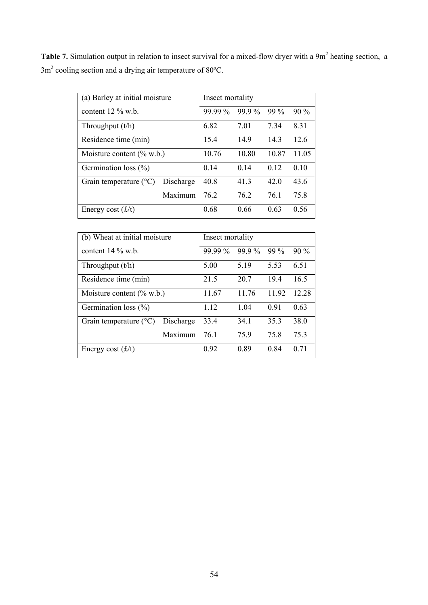Table 7. Simulation output in relation to insect survival for a mixed-flow dryer with a 9m<sup>2</sup> heating section, a  $3m<sup>2</sup>$  cooling section and a drying air temperature of 80 $^{\circ}$ C.

| (a) Barley at initial moisture  |           | Insect mortality |                 |        |        |  |
|---------------------------------|-----------|------------------|-----------------|--------|--------|--|
| content $12\%$ w.b.             |           | 99.99 %          | $99.9\%$        | $99\%$ | $90\%$ |  |
| Throughput $(t/h)$              |           | 6.82             | 7.01            | 7.34   | 8.31   |  |
| Residence time (min)            |           | 15.4             | 14.9            | 14.3   | 12.6   |  |
| Moisture content $(\%$ w.b.)    |           | 10.76            | 10.80           | 10.87  | 11.05  |  |
| Germination loss $(\% )$        |           | 0.14             | 0 <sub>14</sub> | 0.12   | 0.10   |  |
| Grain temperature $(^{\circ}C)$ | Discharge | 40.8             | 413             | 42.0   | 43.6   |  |
|                                 | Maximum   | 762              | 76.2            | 76.1   | 75.8   |  |
| Energy cost $(f/t)$             |           | 0.68             | 0.66            | 0.63   | 0.56   |  |

| (b) Wheat at initial moisture   |           | Insect mortality |          |       |        |  |
|---------------------------------|-----------|------------------|----------|-------|--------|--|
| content $14\%$ w.b.             |           | $999\%$          | $99.9\%$ | 99 %  | $90\%$ |  |
| Throughput $(t/h)$              |           | 5.00             | 5.19     | 5.53  | 6.51   |  |
| Residence time (min)            |           | 21.5             | 20.7     | 19.4  | 16.5   |  |
| Moisture content $(\%$ w.b.)    |           | 11.67            | 11.76    | 11.92 | 12.28  |  |
| Germination loss $(\% )$        |           | 1.12             | 1 04     | 0.91  | 0.63   |  |
| Grain temperature $(^{\circ}C)$ | Discharge | 33.4             | 34.1     | 35.3  | 38.0   |  |
|                                 | Maximum   | 761              | 75.9     | 75.8  | 75.3   |  |
| Energy cost $(f/t)$             |           | 0.92             | 0.89     | 0.84  | 0.71   |  |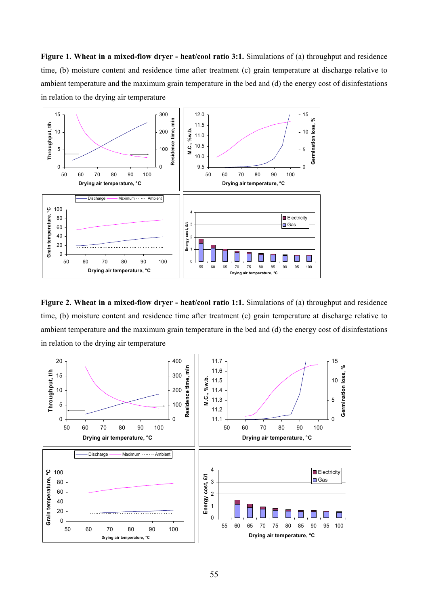**Figure 1. Wheat in a mixed-flow dryer - heat/cool ratio 3:1.** Simulations of (a) throughput and residence time, (b) moisture content and residence time after treatment (c) grain temperature at discharge relative to ambient temperature and the maximum grain temperature in the bed and (d) the energy cost of disinfestations in relation to the drying air temperature



**Figure 2. Wheat in a mixed-flow dryer - heat/cool ratio 1:1.** Simulations of (a) throughput and residence time, (b) moisture content and residence time after treatment (c) grain temperature at discharge relative to ambient temperature and the maximum grain temperature in the bed and (d) the energy cost of disinfestations in relation to the drying air temperature

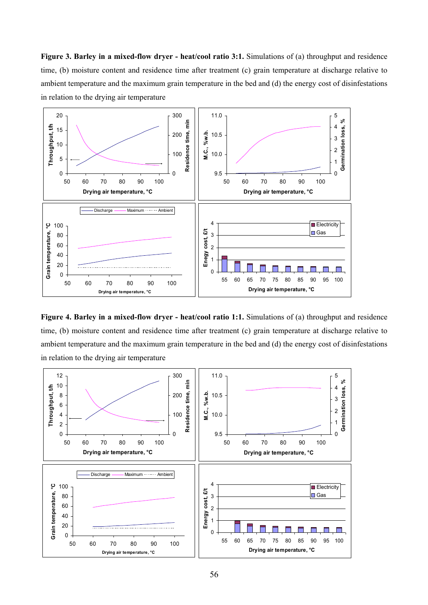**Figure 3. Barley in a mixed-flow dryer - heat/cool ratio 3:1.** Simulations of (a) throughput and residence time, (b) moisture content and residence time after treatment (c) grain temperature at discharge relative to ambient temperature and the maximum grain temperature in the bed and (d) the energy cost of disinfestations in relation to the drying air temperature



**Figure 4. Barley in a mixed-flow dryer - heat/cool ratio 1:1.** Simulations of (a) throughput and residence time, (b) moisture content and residence time after treatment (c) grain temperature at discharge relative to ambient temperature and the maximum grain temperature in the bed and (d) the energy cost of disinfestations in relation to the drying air temperature

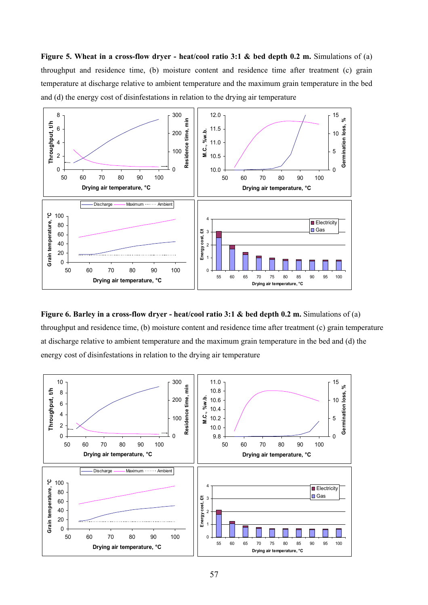**Figure 5. Wheat in a cross-flow dryer - heat/cool ratio 3:1 & bed depth 0.2 m.** Simulations of (a) throughput and residence time, (b) moisture content and residence time after treatment (c) grain temperature at discharge relative to ambient temperature and the maximum grain temperature in the bed and (d) the energy cost of disinfestations in relation to the drying air temperature



**Figure 6. Barley in a cross-flow dryer - heat/cool ratio 3:1 & bed depth 0.2 m.** Simulations of (a) throughput and residence time, (b) moisture content and residence time after treatment (c) grain temperature at discharge relative to ambient temperature and the maximum grain temperature in the bed and (d) the energy cost of disinfestations in relation to the drying air temperature

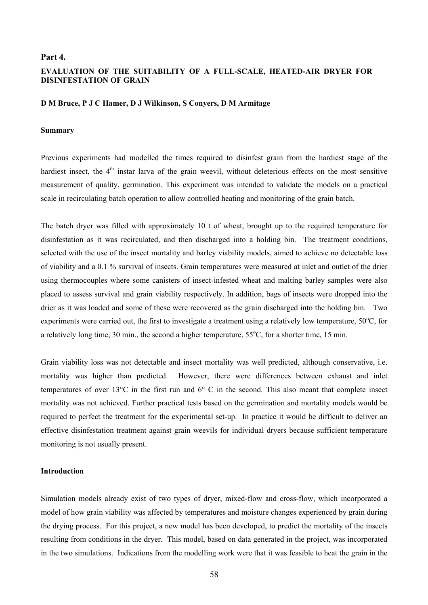## **Part 4.**

# **EVALUATION OF THE SUITABILITY OF A FULL-SCALE, HEATED-AIR DRYER FOR DISINFESTATION OF GRAIN**

#### **D M Bruce, P J C Hamer, D J Wilkinson, S Conyers, D M Armitage**

### **Summary**

Previous experiments had modelled the times required to disinfest grain from the hardiest stage of the hardiest insect, the  $4<sup>th</sup>$  instar larva of the grain weevil, without deleterious effects on the most sensitive measurement of quality, germination. This experiment was intended to validate the models on a practical scale in recirculating batch operation to allow controlled heating and monitoring of the grain batch.

The batch dryer was filled with approximately 10 t of wheat, brought up to the required temperature for disinfestation as it was recirculated, and then discharged into a holding bin. The treatment conditions, selected with the use of the insect mortality and barley viability models, aimed to achieve no detectable loss of viability and a 0.1 % survival of insects. Grain temperatures were measured at inlet and outlet of the drier using thermocouples where some canisters of insect-infested wheat and malting barley samples were also placed to assess survival and grain viability respectively. In addition, bags of insects were dropped into the drier as it was loaded and some of these were recovered as the grain discharged into the holding bin. Two experiments were carried out, the first to investigate a treatment using a relatively low temperature,  $50^{\circ}$ C, for a relatively long time, 30 min., the second a higher temperature,  $55^{\circ}$ C, for a shorter time, 15 min.

Grain viability loss was not detectable and insect mortality was well predicted, although conservative, i.e. mortality was higher than predicted. However, there were differences between exhaust and inlet temperatures of over 13°C in the first run and 6° C in the second. This also meant that complete insect mortality was not achieved. Further practical tests based on the germination and mortality models would be required to perfect the treatment for the experimental set-up. In practice it would be difficult to deliver an effective disinfestation treatment against grain weevils for individual dryers because sufficient temperature monitoring is not usually present.

# **Introduction**

Simulation models already exist of two types of dryer, mixed-flow and cross-flow, which incorporated a model of how grain viability was affected by temperatures and moisture changes experienced by grain during the drying process. For this project, a new model has been developed, to predict the mortality of the insects resulting from conditions in the dryer. This model, based on data generated in the project, was incorporated in the two simulations. Indications from the modelling work were that it was feasible to heat the grain in the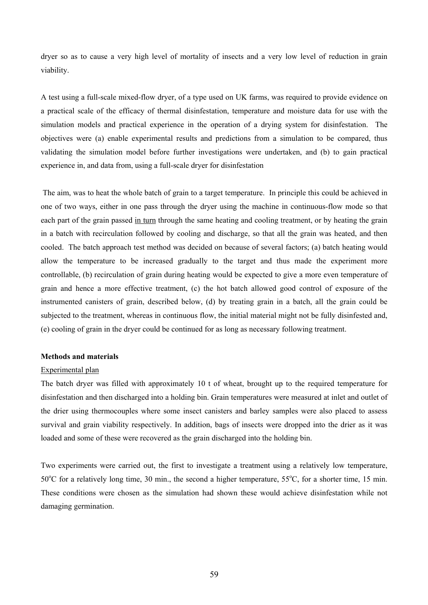dryer so as to cause a very high level of mortality of insects and a very low level of reduction in grain viability.

A test using a full-scale mixed-flow dryer, of a type used on UK farms, was required to provide evidence on a practical scale of the efficacy of thermal disinfestation, temperature and moisture data for use with the simulation models and practical experience in the operation of a drying system for disinfestation. The objectives were (a) enable experimental results and predictions from a simulation to be compared, thus validating the simulation model before further investigations were undertaken, and (b) to gain practical experience in, and data from, using a full-scale dryer for disinfestation

The aim, was to heat the whole batch of grain to a target temperature. In principle this could be achieved in one of two ways, either in one pass through the dryer using the machine in continuous-flow mode so that each part of the grain passed in turn through the same heating and cooling treatment, or by heating the grain in a batch with recirculation followed by cooling and discharge, so that all the grain was heated, and then cooled. The batch approach test method was decided on because of several factors; (a) batch heating would allow the temperature to be increased gradually to the target and thus made the experiment more controllable, (b) recirculation of grain during heating would be expected to give a more even temperature of grain and hence a more effective treatment, (c) the hot batch allowed good control of exposure of the instrumented canisters of grain, described below, (d) by treating grain in a batch, all the grain could be subjected to the treatment, whereas in continuous flow, the initial material might not be fully disinfested and, (e) cooling of grain in the dryer could be continued for as long as necessary following treatment.

#### **Methods and materials**

#### Experimental plan

The batch dryer was filled with approximately 10 t of wheat, brought up to the required temperature for disinfestation and then discharged into a holding bin. Grain temperatures were measured at inlet and outlet of the drier using thermocouples where some insect canisters and barley samples were also placed to assess survival and grain viability respectively. In addition, bags of insects were dropped into the drier as it was loaded and some of these were recovered as the grain discharged into the holding bin.

Two experiments were carried out, the first to investigate a treatment using a relatively low temperature, 50°C for a relatively long time, 30 min., the second a higher temperature, 55°C, for a shorter time, 15 min. These conditions were chosen as the simulation had shown these would achieve disinfestation while not damaging germination.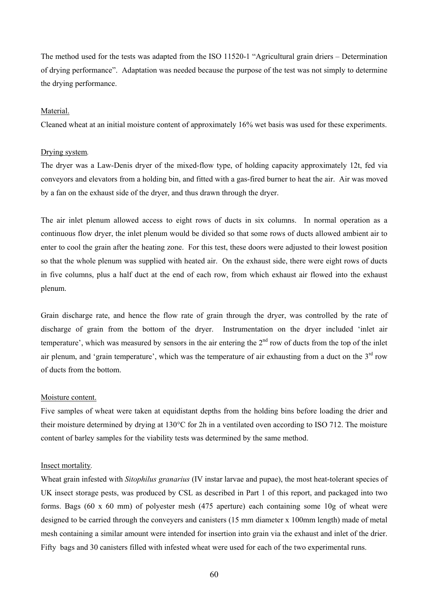The method used for the tests was adapted from the ISO 11520-1 "Agricultural grain driers – Determination of drying performance". Adaptation was needed because the purpose of the test was not simply to determine the drying performance.

### Material.

Cleaned wheat at an initial moisture content of approximately 16% wet basis was used for these experiments.

# Drying system*.*

The dryer was a Law-Denis dryer of the mixed-flow type, of holding capacity approximately 12t, fed via conveyors and elevators from a holding bin, and fitted with a gas-fired burner to heat the air. Air was moved by a fan on the exhaust side of the dryer, and thus drawn through the dryer.

The air inlet plenum allowed access to eight rows of ducts in six columns. In normal operation as a continuous flow dryer, the inlet plenum would be divided so that some rows of ducts allowed ambient air to enter to cool the grain after the heating zone. For this test, these doors were adjusted to their lowest position so that the whole plenum was supplied with heated air. On the exhaust side, there were eight rows of ducts in five columns, plus a half duct at the end of each row, from which exhaust air flowed into the exhaust plenum.

Grain discharge rate, and hence the flow rate of grain through the dryer, was controlled by the rate of discharge of grain from the bottom of the dryer. Instrumentation on the dryer included 'inlet air temperature', which was measured by sensors in the air entering the  $2<sup>nd</sup>$  row of ducts from the top of the inlet air plenum, and 'grain temperature', which was the temperature of air exhausting from a duct on the  $3<sup>rd</sup>$  row of ducts from the bottom.

## Moisture content.

Five samples of wheat were taken at equidistant depths from the holding bins before loading the drier and their moisture determined by drying at 130°C for 2h in a ventilated oven according to ISO 712. The moisture content of barley samples for the viability tests was determined by the same method.

#### Insect mortality*.*

Wheat grain infested with *Sitophilus granarius* (IV instar larvae and pupae), the most heat-tolerant species of UK insect storage pests, was produced by CSL as described in Part 1 of this report, and packaged into two forms. Bags (60 x 60 mm) of polyester mesh (475 aperture) each containing some 10g of wheat were designed to be carried through the conveyers and canisters (15 mm diameter x 100mm length) made of metal mesh containing a similar amount were intended for insertion into grain via the exhaust and inlet of the drier. Fifty bags and 30 canisters filled with infested wheat were used for each of the two experimental runs.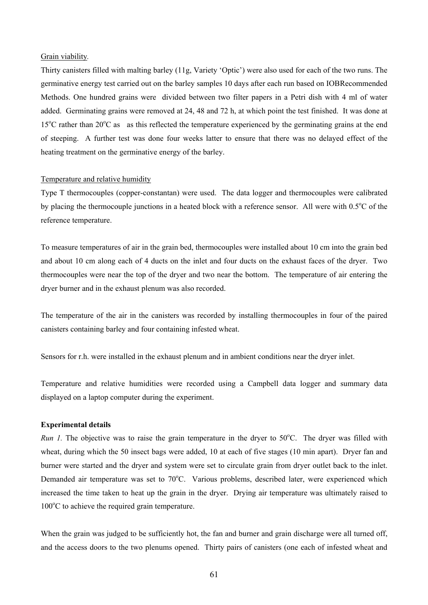#### Grain viability*.*

Thirty canisters filled with malting barley (11g, Variety 'Optic') were also used for each of the two runs. The germinative energy test carried out on the barley samples 10 days after each run based on IOBRecommended Methods. One hundred grains were divided between two filter papers in a Petri dish with 4 ml of water added. Germinating grains were removed at 24, 48 and 72 h, at which point the test finished. It was done at 15°C rather than 20°C as as this reflected the temperature experienced by the germinating grains at the end of steeping. A further test was done four weeks latter to ensure that there was no delayed effect of the heating treatment on the germinative energy of the barley.

# Temperature and relative humidity

Type T thermocouples (copper-constantan) were used. The data logger and thermocouples were calibrated by placing the thermocouple junctions in a heated block with a reference sensor. All were with 0.5°C of the reference temperature.

To measure temperatures of air in the grain bed, thermocouples were installed about 10 cm into the grain bed and about 10 cm along each of 4 ducts on the inlet and four ducts on the exhaust faces of the dryer. Two thermocouples were near the top of the dryer and two near the bottom. The temperature of air entering the dryer burner and in the exhaust plenum was also recorded.

The temperature of the air in the canisters was recorded by installing thermocouples in four of the paired canisters containing barley and four containing infested wheat.

Sensors for r.h. were installed in the exhaust plenum and in ambient conditions near the dryer inlet.

Temperature and relative humidities were recorded using a Campbell data logger and summary data displayed on a laptop computer during the experiment.

## **Experimental details**

*Run 1*. The objective was to raise the grain temperature in the dryer to 50°C. The dryer was filled with wheat, during which the 50 insect bags were added, 10 at each of five stages (10 min apart). Dryer fan and burner were started and the dryer and system were set to circulate grain from dryer outlet back to the inlet. Demanded air temperature was set to 70°C. Various problems, described later, were experienced which increased the time taken to heat up the grain in the dryer. Drying air temperature was ultimately raised to 100°C to achieve the required grain temperature.

When the grain was judged to be sufficiently hot, the fan and burner and grain discharge were all turned off, and the access doors to the two plenums opened. Thirty pairs of canisters (one each of infested wheat and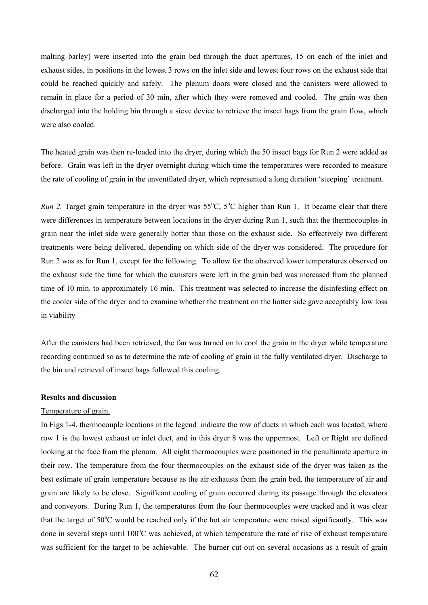malting barley) were inserted into the grain bed through the duct apertures, 15 on each of the inlet and exhaust sides, in positions in the lowest 3 rows on the inlet side and lowest four rows on the exhaust side that could be reached quickly and safely. The plenum doors were closed and the canisters were allowed to remain in place for a period of 30 min, after which they were removed and cooled. The grain was then discharged into the holding bin through a sieve device to retrieve the insect bags from the grain flow, which were also cooled.

The heated grain was then re-loaded into the dryer, during which the 50 insect bags for Run 2 were added as before. Grain was left in the dryer overnight during which time the temperatures were recorded to measure the rate of cooling of grain in the unventilated dryer, which represented a long duration 'steeping' treatment.

*Run 2.* Target grain temperature in the dryer was 55°C, 5°C higher than Run 1. It became clear that there were differences in temperature between locations in the dryer during Run 1, such that the thermocouples in grain near the inlet side were generally hotter than those on the exhaust side. So effectively two different treatments were being delivered, depending on which side of the dryer was considered. The procedure for Run 2 was as for Run 1, except for the following. To allow for the observed lower temperatures observed on the exhaust side the time for which the canisters were left in the grain bed was increased from the planned time of 10 min. to approximately 16 min. This treatment was selected to increase the disinfesting effect on the cooler side of the dryer and to examine whether the treatment on the hotter side gave acceptably low loss in viability

After the canisters had been retrieved, the fan was turned on to cool the grain in the dryer while temperature recording continued so as to determine the rate of cooling of grain in the fully ventilated dryer. Discharge to the bin and retrieval of insect bags followed this cooling.

# **Results and discussion**

#### Temperature of grain.

In Figs 1-4, thermocouple locations in the legend indicate the row of ducts in which each was located, where row 1 is the lowest exhaust or inlet duct, and in this dryer 8 was the uppermost. Left or Right are defined looking at the face from the plenum. All eight thermocouples were positioned in the penultimate aperture in their row. The temperature from the four thermocouples on the exhaust side of the dryer was taken as the best estimate of grain temperature because as the air exhausts from the grain bed, the temperature of air and grain are likely to be close. Significant cooling of grain occurred during its passage through the elevators and conveyors. During Run 1, the temperatures from the four thermocouples were tracked and it was clear that the target of 50°C would be reached only if the hot air temperature were raised significantly. This was done in several steps until 100°C was achieved, at which temperature the rate of rise of exhaust temperature was sufficient for the target to be achievable. The burner cut out on several occasions as a result of grain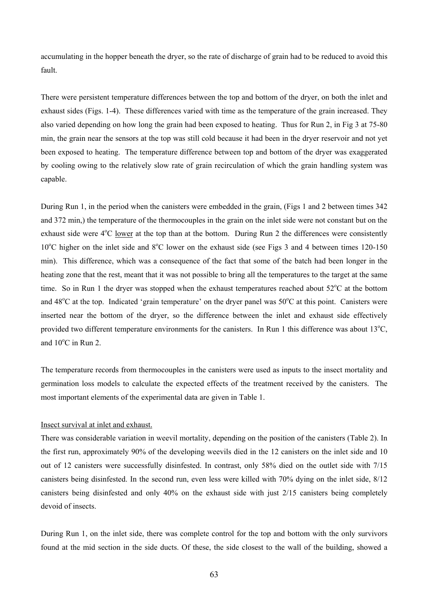accumulating in the hopper beneath the dryer, so the rate of discharge of grain had to be reduced to avoid this fault.

There were persistent temperature differences between the top and bottom of the dryer, on both the inlet and exhaust sides (Figs. 1-4). These differences varied with time as the temperature of the grain increased. They also varied depending on how long the grain had been exposed to heating. Thus for Run 2, in Fig 3 at 75-80 min, the grain near the sensors at the top was still cold because it had been in the dryer reservoir and not yet been exposed to heating. The temperature difference between top and bottom of the dryer was exaggerated by cooling owing to the relatively slow rate of grain recirculation of which the grain handling system was capable.

During Run 1, in the period when the canisters were embedded in the grain, (Figs 1 and 2 between times 342 and 372 min,) the temperature of the thermocouples in the grain on the inlet side were not constant but on the exhaust side were 4<sup>o</sup>C lower at the top than at the bottom. During Run 2 the differences were consistently 10°C higher on the inlet side and 8°C lower on the exhaust side (see Figs 3 and 4 between times 120-150 min). This difference, which was a consequence of the fact that some of the batch had been longer in the heating zone that the rest, meant that it was not possible to bring all the temperatures to the target at the same time. So in Run 1 the dryer was stopped when the exhaust temperatures reached about  $52^{\circ}$ C at the bottom and 48°C at the top. Indicated 'grain temperature' on the dryer panel was 50°C at this point. Canisters were inserted near the bottom of the dryer, so the difference between the inlet and exhaust side effectively provided two different temperature environments for the canisters. In Run 1 this difference was about  $13^{\circ}C$ , and  $10^{\circ}$ C in Run 2.

The temperature records from thermocouples in the canisters were used as inputs to the insect mortality and germination loss models to calculate the expected effects of the treatment received by the canisters. The most important elements of the experimental data are given in Table 1.

## Insect survival at inlet and exhaust.

There was considerable variation in weevil mortality, depending on the position of the canisters (Table 2). In the first run, approximately 90% of the developing weevils died in the 12 canisters on the inlet side and 10 out of 12 canisters were successfully disinfested. In contrast, only 58% died on the outlet side with 7/15 canisters being disinfested. In the second run, even less were killed with 70% dying on the inlet side, 8/12 canisters being disinfested and only 40% on the exhaust side with just 2/15 canisters being completely devoid of insects.

During Run 1, on the inlet side, there was complete control for the top and bottom with the only survivors found at the mid section in the side ducts. Of these, the side closest to the wall of the building, showed a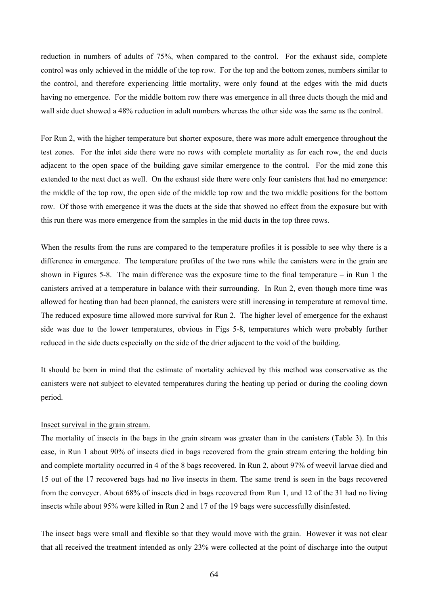reduction in numbers of adults of 75%, when compared to the control. For the exhaust side, complete control was only achieved in the middle of the top row. For the top and the bottom zones, numbers similar to the control, and therefore experiencing little mortality, were only found at the edges with the mid ducts having no emergence. For the middle bottom row there was emergence in all three ducts though the mid and wall side duct showed a 48% reduction in adult numbers whereas the other side was the same as the control.

For Run 2, with the higher temperature but shorter exposure, there was more adult emergence throughout the test zones. For the inlet side there were no rows with complete mortality as for each row, the end ducts adjacent to the open space of the building gave similar emergence to the control. For the mid zone this extended to the next duct as well. On the exhaust side there were only four canisters that had no emergence: the middle of the top row, the open side of the middle top row and the two middle positions for the bottom row. Of those with emergence it was the ducts at the side that showed no effect from the exposure but with this run there was more emergence from the samples in the mid ducts in the top three rows.

When the results from the runs are compared to the temperature profiles it is possible to see why there is a difference in emergence. The temperature profiles of the two runs while the canisters were in the grain are shown in Figures 5-8. The main difference was the exposure time to the final temperature – in Run 1 the canisters arrived at a temperature in balance with their surrounding. In Run 2, even though more time was allowed for heating than had been planned, the canisters were still increasing in temperature at removal time. The reduced exposure time allowed more survival for Run 2. The higher level of emergence for the exhaust side was due to the lower temperatures, obvious in Figs 5-8, temperatures which were probably further reduced in the side ducts especially on the side of the drier adjacent to the void of the building.

It should be born in mind that the estimate of mortality achieved by this method was conservative as the canisters were not subject to elevated temperatures during the heating up period or during the cooling down period.

## Insect survival in the grain stream.

The mortality of insects in the bags in the grain stream was greater than in the canisters (Table 3). In this case, in Run 1 about 90% of insects died in bags recovered from the grain stream entering the holding bin and complete mortality occurred in 4 of the 8 bags recovered. In Run 2, about 97% of weevil larvae died and 15 out of the 17 recovered bags had no live insects in them. The same trend is seen in the bags recovered from the conveyer. About 68% of insects died in bags recovered from Run 1, and 12 of the 31 had no living insects while about 95% were killed in Run 2 and 17 of the 19 bags were successfully disinfested.

The insect bags were small and flexible so that they would move with the grain. However it was not clear that all received the treatment intended as only 23% were collected at the point of discharge into the output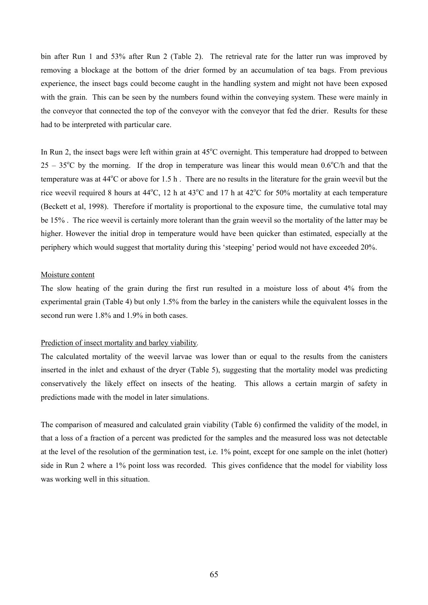bin after Run 1 and 53% after Run 2 (Table 2). The retrieval rate for the latter run was improved by removing a blockage at the bottom of the drier formed by an accumulation of tea bags. From previous experience, the insect bags could become caught in the handling system and might not have been exposed with the grain. This can be seen by the numbers found within the conveying system. These were mainly in the conveyor that connected the top of the conveyor with the conveyor that fed the drier. Results for these had to be interpreted with particular care.

In Run 2, the insect bags were left within grain at  $45^{\circ}$ C overnight. This temperature had dropped to between  $25 - 35^{\circ}$ C by the morning. If the drop in temperature was linear this would mean 0.6°C/h and that the temperature was at  $44^{\circ}$ C or above for 1.5 h. There are no results in the literature for the grain weevil but the rice weevil required 8 hours at  $44^{\circ}$ C, 12 h at  $43^{\circ}$ C and 17 h at  $42^{\circ}$ C for 50% mortality at each temperature (Beckett et al, 1998). Therefore if mortality is proportional to the exposure time, the cumulative total may be 15% . The rice weevil is certainly more tolerant than the grain weevil so the mortality of the latter may be higher. However the initial drop in temperature would have been quicker than estimated, especially at the periphery which would suggest that mortality during this 'steeping' period would not have exceeded 20%.

#### Moisture content

The slow heating of the grain during the first run resulted in a moisture loss of about 4% from the experimental grain (Table 4) but only 1.5% from the barley in the canisters while the equivalent losses in the second run were 1.8% and 1.9% in both cases.

## Prediction of insect mortality and barley viability*.*

The calculated mortality of the weevil larvae was lower than or equal to the results from the canisters inserted in the inlet and exhaust of the dryer (Table 5), suggesting that the mortality model was predicting conservatively the likely effect on insects of the heating. This allows a certain margin of safety in predictions made with the model in later simulations.

The comparison of measured and calculated grain viability (Table 6) confirmed the validity of the model, in that a loss of a fraction of a percent was predicted for the samples and the measured loss was not detectable at the level of the resolution of the germination test, i.e. 1% point, except for one sample on the inlet (hotter) side in Run 2 where a 1% point loss was recorded. This gives confidence that the model for viability loss was working well in this situation.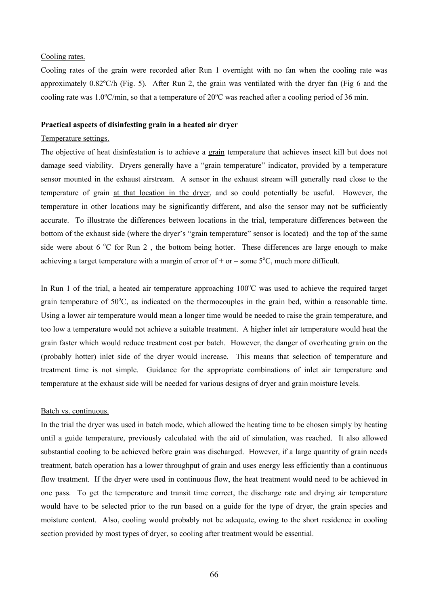## Cooling rates.

Cooling rates of the grain were recorded after Run 1 overnight with no fan when the cooling rate was approximately  $0.82^{\circ}$ C/h (Fig. 5). After Run 2, the grain was ventilated with the dryer fan (Fig 6 and the cooling rate was  $1.0^{\circ}$ C/min, so that a temperature of  $20^{\circ}$ C was reached after a cooling period of 36 min.

## **Practical aspects of disinfesting grain in a heated air dryer**

# Temperature settings.

The objective of heat disinfestation is to achieve a grain temperature that achieves insect kill but does not damage seed viability. Dryers generally have a "grain temperature" indicator, provided by a temperature sensor mounted in the exhaust airstream. A sensor in the exhaust stream will generally read close to the temperature of grain at that location in the dryer, and so could potentially be useful. However, the temperature in other locations may be significantly different, and also the sensor may not be sufficiently accurate. To illustrate the differences between locations in the trial, temperature differences between the bottom of the exhaust side (where the dryer's "grain temperature" sensor is located) and the top of the same side were about 6  $\degree$ C for Run 2, the bottom being hotter. These differences are large enough to make achieving a target temperature with a margin of error of  $+$  or  $-$  some  $5^{\circ}$ C, much more difficult.

In Run 1 of the trial, a heated air temperature approaching  $100^{\circ}$ C was used to achieve the required target grain temperature of 50°C, as indicated on the thermocouples in the grain bed, within a reasonable time. Using a lower air temperature would mean a longer time would be needed to raise the grain temperature, and too low a temperature would not achieve a suitable treatment. A higher inlet air temperature would heat the grain faster which would reduce treatment cost per batch. However, the danger of overheating grain on the (probably hotter) inlet side of the dryer would increase. This means that selection of temperature and treatment time is not simple. Guidance for the appropriate combinations of inlet air temperature and temperature at the exhaust side will be needed for various designs of dryer and grain moisture levels.

#### Batch vs. continuous.

In the trial the dryer was used in batch mode, which allowed the heating time to be chosen simply by heating until a guide temperature, previously calculated with the aid of simulation, was reached. It also allowed substantial cooling to be achieved before grain was discharged. However, if a large quantity of grain needs treatment, batch operation has a lower throughput of grain and uses energy less efficiently than a continuous flow treatment. If the dryer were used in continuous flow, the heat treatment would need to be achieved in one pass. To get the temperature and transit time correct, the discharge rate and drying air temperature would have to be selected prior to the run based on a guide for the type of dryer, the grain species and moisture content. Also, cooling would probably not be adequate, owing to the short residence in cooling section provided by most types of dryer, so cooling after treatment would be essential.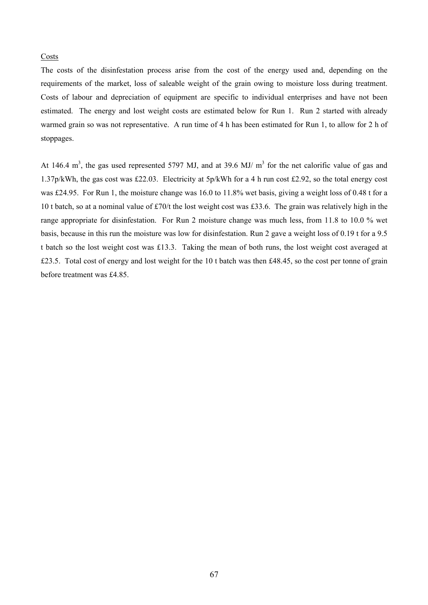# Costs

The costs of the disinfestation process arise from the cost of the energy used and, depending on the requirements of the market, loss of saleable weight of the grain owing to moisture loss during treatment. Costs of labour and depreciation of equipment are specific to individual enterprises and have not been estimated. The energy and lost weight costs are estimated below for Run 1. Run 2 started with already warmed grain so was not representative. A run time of 4 h has been estimated for Run 1, to allow for 2 h of stoppages.

At 146.4  $m<sup>3</sup>$ , the gas used represented 5797 MJ, and at 39.6 MJ/  $m<sup>3</sup>$  for the net calorific value of gas and 1.37p/kWh, the gas cost was £22.03. Electricity at 5p/kWh for a 4 h run cost £2.92, so the total energy cost was £24.95. For Run 1, the moisture change was 16.0 to 11.8% wet basis, giving a weight loss of 0.48 t for a 10 t batch, so at a nominal value of £70/t the lost weight cost was £33.6. The grain was relatively high in the range appropriate for disinfestation. For Run 2 moisture change was much less, from 11.8 to 10.0 % wet basis, because in this run the moisture was low for disinfestation. Run 2 gave a weight loss of 0.19 t for a 9.5 t batch so the lost weight cost was £13.3. Taking the mean of both runs, the lost weight cost averaged at £23.5. Total cost of energy and lost weight for the 10 t batch was then £48.45, so the cost per tonne of grain before treatment was £4.85.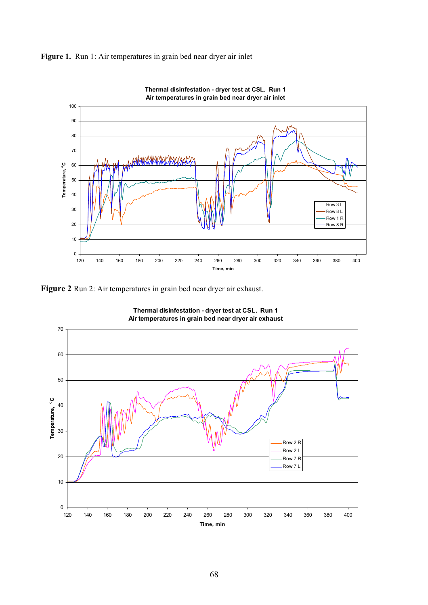



**Thermal disinfestation - dryer test at CSL. Run 1**

**Figure 2** Run 2: Air temperatures in grain bed near dryer air exhaust.



**Thermal disinfestation - dryer test at CSL. Run 1 Air temperatures in grain bed near dryer air exhaust**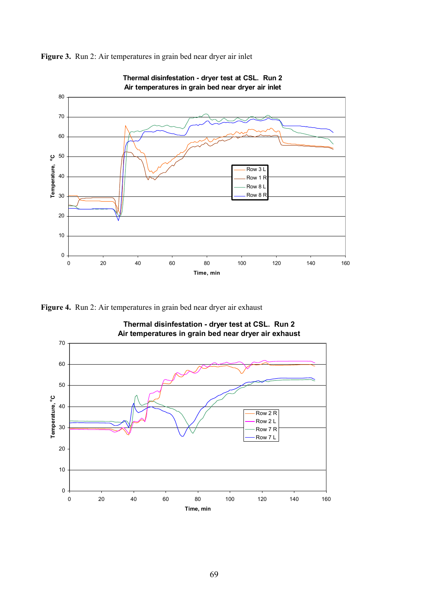

**Figure 3.** Run 2: Air temperatures in grain bed near dryer air inlet

**Figure 4.** Run 2: Air temperatures in grain bed near dryer air exhaust



**Thermal disinfestation - dryer test at CSL. Run 2**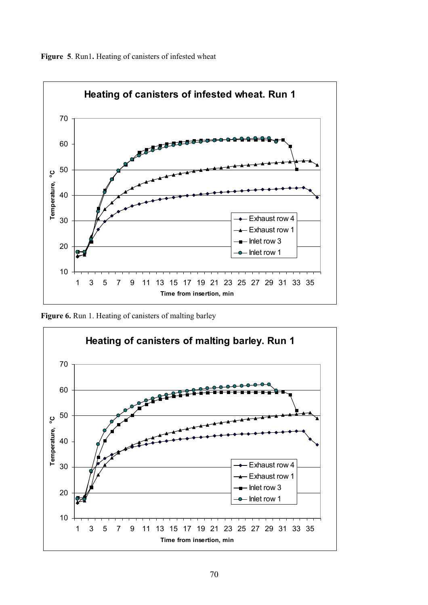



**Figure 6.** Run 1. Heating of canisters of malting barley

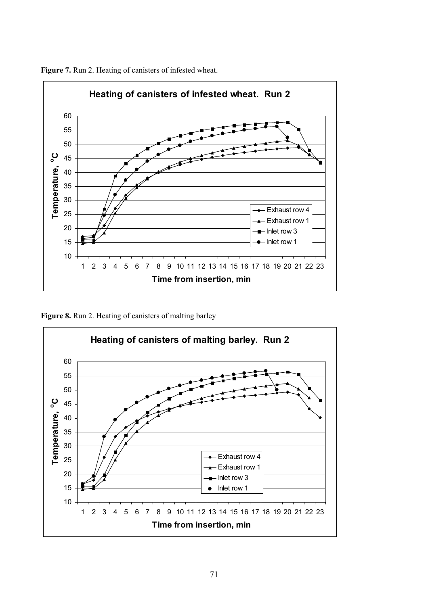

**Figure 7.** Run 2. Heating of canisters of infested wheat.

Figure 8. Run 2. Heating of canisters of malting barley

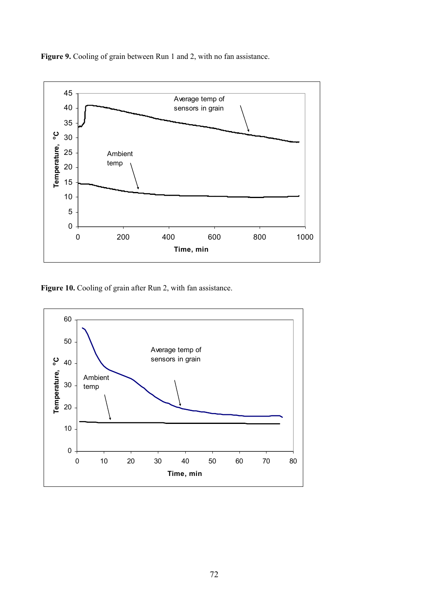**Figure 9.** Cooling of grain between Run 1 and 2, with no fan assistance.



Figure 10. Cooling of grain after Run 2, with fan assistance.

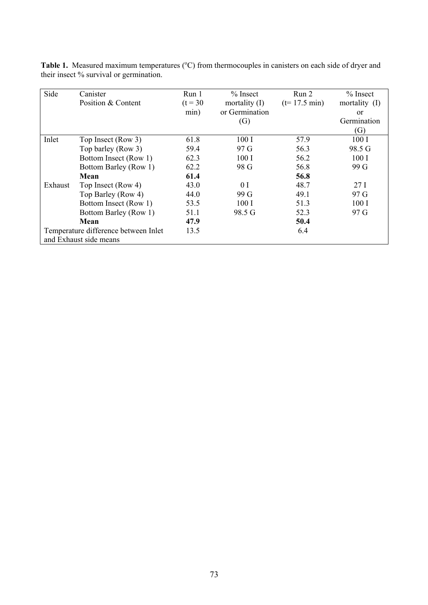| Side                                 | Canister               | Run 1      | $%$ Insect        | Run 2                  | $%$ Insect      |
|--------------------------------------|------------------------|------------|-------------------|------------------------|-----------------|
|                                      | Position & Content     | $(t = 30)$ | mortality $(I)$   | $(t=17.5 \text{ min})$ | mortality (I)   |
|                                      |                        | min)       | or Germination    |                        | <sub>or</sub>   |
|                                      |                        |            | $\left( G\right)$ |                        | Germination     |
|                                      |                        |            |                   |                        | (G)             |
| Inlet                                | Top Insect (Row 3)     | 61.8       | 100I              | 57.9                   | 100I            |
|                                      | Top barley (Row 3)     | 59.4       | 97 G              | 56.3                   | 98.5 G          |
|                                      | Bottom Insect (Row 1)  | 62.3       | 100I              | 56.2                   | 100I            |
|                                      | Bottom Barley (Row 1)  | 62.2       | 98 G              | 56.8                   | 99 G            |
|                                      | Mean                   | 61.4       |                   | 56.8                   |                 |
| Exhaust                              | Top Insect (Row 4)     | 43.0       | 0 <sub>I</sub>    | 48.7                   | 27 <sub>1</sub> |
|                                      | Top Barley (Row 4)     | 44.0       | 99 G              | 49.1                   | 97 G            |
|                                      | Bottom Insect (Row 1)  | 53.5       | 100I              | 51.3                   | 100I            |
|                                      | Bottom Barley (Row 1)  | 51.1       | 98.5 G            | 52.3                   | 97 G            |
|                                      | Mean                   | 47.9       |                   | 50.4                   |                 |
| Temperature difference between Inlet |                        | 13.5       |                   | 6.4                    |                 |
|                                      | and Exhaust side means |            |                   |                        |                 |

Table 1. Measured maximum temperatures (°C) from thermocouples in canisters on each side of dryer and their insect % survival or germination.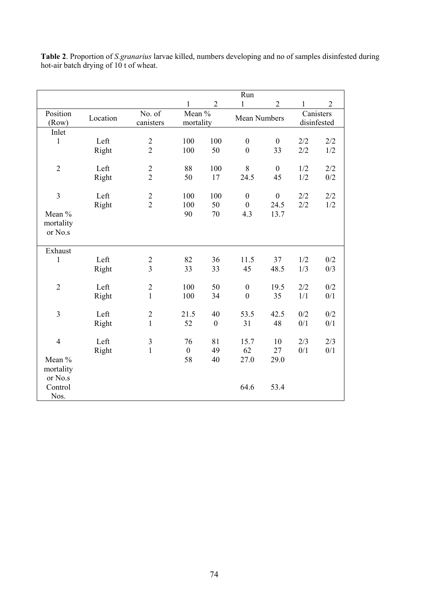|                   |          |                                  |                     |                  | Run                 |                  |                          |                |
|-------------------|----------|----------------------------------|---------------------|------------------|---------------------|------------------|--------------------------|----------------|
|                   |          |                                  | 1                   | $\overline{2}$   | 1                   | $\overline{2}$   | 1                        | $\overline{2}$ |
| Position<br>(Row) | Location | No. of<br>canisters              | Mean %<br>mortality |                  | <b>Mean Numbers</b> |                  | Canisters<br>disinfested |                |
| Inlet             |          |                                  |                     |                  |                     |                  |                          |                |
| $\mathbf{1}$      | Left     | $\overline{c}$                   | 100                 | 100              | $\boldsymbol{0}$    | $\boldsymbol{0}$ | 2/2                      | 2/2            |
|                   | Right    | $\overline{2}$                   | 100                 | 50               | $\overline{0}$      | 33               | 2/2                      | 1/2            |
| $\overline{2}$    | Left     | $\overline{2}$                   | 88                  | 100              | $\,8\,$             | $\boldsymbol{0}$ | 1/2                      | 2/2            |
|                   | Right    | $\overline{2}$                   | 50                  | 17               | 24.5                | 45               | 1/2                      | 0/2            |
|                   |          |                                  |                     |                  |                     |                  |                          |                |
| $\overline{3}$    | Left     |                                  | 100                 | 100              | $\boldsymbol{0}$    | $\boldsymbol{0}$ | 2/2                      | 2/2            |
|                   | Right    | $\frac{2}{2}$                    | 100                 | 50               | $\boldsymbol{0}$    | 24.5             | 2/2                      | 1/2            |
| Mean %            |          |                                  | 90                  | 70               | 4.3                 | 13.7             |                          |                |
| mortality         |          |                                  |                     |                  |                     |                  |                          |                |
| or No.s           |          |                                  |                     |                  |                     |                  |                          |                |
|                   |          |                                  |                     |                  |                     |                  |                          |                |
| Exhaust           |          |                                  |                     |                  |                     |                  |                          |                |
| $\mathbf{1}$      | Left     | $\overline{c}$<br>$\overline{3}$ | 82                  | 36               | 11.5                | 37               | 1/2                      | 0/2            |
|                   | Right    |                                  | 33                  | 33               | 45                  | 48.5             | 1/3                      | 0/3            |
| $\overline{2}$    | Left     | $\overline{2}$                   | 100                 | 50               | $\boldsymbol{0}$    | 19.5             | 2/2                      | 0/2            |
|                   | Right    | $\mathbf{1}$                     | 100                 | 34               | $\boldsymbol{0}$    | 35               | 1/1                      | 0/1            |
| $\overline{3}$    | Left     | $\overline{2}$                   | 21.5                | 40               | 53.5                | 42.5             | 0/2                      | 0/2            |
|                   | Right    | $\mathbf{1}$                     | 52                  | $\boldsymbol{0}$ | 31                  | 48               | 0/1                      | 0/1            |
|                   |          |                                  |                     |                  |                     |                  |                          |                |
| $\overline{4}$    | Left     | $\mathfrak{Z}$                   | 76                  | 81               | 15.7                | 10               | 2/3                      | 2/3            |
|                   | Right    | $\mathbf{1}$                     | $\boldsymbol{0}$    | 49               | 62                  | 27               | 0/1                      | 0/1            |
| Mean %            |          |                                  | 58                  | 40               | 27.0                | 29.0             |                          |                |
| mortality         |          |                                  |                     |                  |                     |                  |                          |                |
| or No.s           |          |                                  |                     |                  |                     |                  |                          |                |
| Control           |          |                                  |                     |                  | 64.6                | 53.4             |                          |                |
| Nos.              |          |                                  |                     |                  |                     |                  |                          |                |

**Table 2**. Proportion of *S.granarius* larvae killed, numbers developing and no of samples disinfested during hot-air batch drying of 10 t of wheat.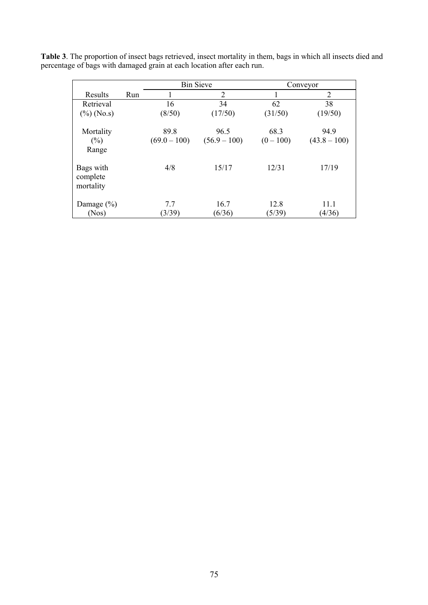|                                    |     |                        | <b>Bin Sieve</b>       | Conveyor            |                        |  |
|------------------------------------|-----|------------------------|------------------------|---------------------|------------------------|--|
| Results                            | Run |                        | 2                      |                     | 2                      |  |
| Retrieval                          |     | 16                     | 34                     | 62                  | 38                     |  |
| $(\%)$ (No.s)                      |     | (8/50)                 | (17/50)                | (31/50)             | (19/50)                |  |
| Mortality<br>$(\%)$<br>Range       |     | 89.8<br>$(69.0 - 100)$ | 96.5<br>$(56.9 - 100)$ | 68.3<br>$(0 - 100)$ | 94.9<br>$(43.8 - 100)$ |  |
| Bags with<br>complete<br>mortality |     | 4/8                    | 15/17                  | 12/31               | 17/19                  |  |
| Damage $(\% )$<br>(Nos)            |     | 7.7<br>(3/39)          | 16.7<br>(6/36)         | 12.8<br>(5/39)      | 11.1<br>(4/36)         |  |

**Table 3**. The proportion of insect bags retrieved, insect mortality in them, bags in which all insects died and percentage of bags with damaged grain at each location after each run.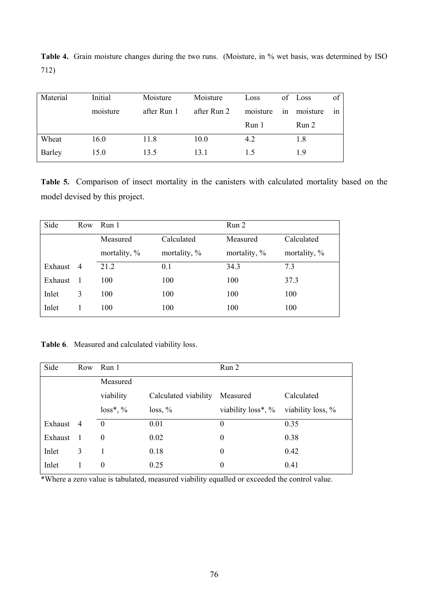| Material | Initial  | Moisture    | Moisture    | Loss     |    | of Loss  | of |
|----------|----------|-------------|-------------|----------|----|----------|----|
|          | moisture | after Run 1 | after Run 2 | moisture | 1n | moisture | 1n |
|          |          |             |             | Run 1    |    | Run 2    |    |
| Wheat    | 16.0     | 11.8        | 10.0        | 4.2      |    | 1.8      |    |
| Barley   | 15.0     | 13.5        | 13.1        | 15       |    | 19       |    |

Table 4. Grain moisture changes during the two runs. (Moisture, in % wet basis, was determined by ISO 712)

**Table 5.** Comparison of insect mortality in the canisters with calculated mortality based on the model devised by this project.

| Side    | Row            | Run 1                  |              | Run 2           |              |  |
|---------|----------------|------------------------|--------------|-----------------|--------------|--|
|         |                | Calculated<br>Measured |              | Measured        | Calculated   |  |
|         |                | mortality, %           | mortality, % | mortality, $\%$ | mortality, % |  |
| Exhaust | $\overline{4}$ | 21.2                   | 0.1          | 34.3            | 7.3          |  |
| Exhaust |                | 100                    | 100          | 100             | 37.3         |  |
| Inlet   | 3              | 100                    | 100          | 100             | 100          |  |
| Inlet   |                | 100                    | 100          | 100             | 100          |  |

**Table 6**. Measured and calculated viability loss.

| Side      |   | Row Run 1    |                      | Run 2                 |                   |  |
|-----------|---|--------------|----------------------|-----------------------|-------------------|--|
|           |   | Measured     |                      |                       |                   |  |
|           |   | viability    | Calculated viability | Measured              | Calculated        |  |
|           |   | $loss^*, \%$ | $loss, \%$           | viability $loss^*, %$ | viability loss, % |  |
| Exhaust 4 |   | $\theta$     | 0.01                 | $\theta$              | 0.35              |  |
| Exhaust 1 |   | $\theta$     | 0.02                 | $\boldsymbol{0}$      | 0.38              |  |
| Inlet     | 3 |              | 0.18                 | $\boldsymbol{0}$      | 0.42              |  |
| Inlet     | 1 | $\theta$     | 0.25                 | $\theta$              | 0.41              |  |

\*Where a zero value is tabulated, measured viability equalled or exceeded the control value.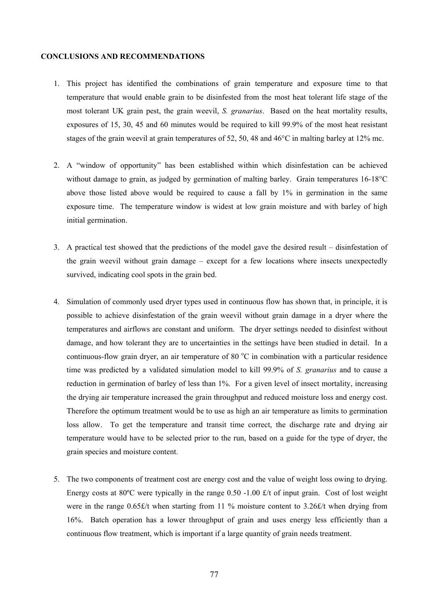## **CONCLUSIONS AND RECOMMENDATIONS**

- 1. This project has identified the combinations of grain temperature and exposure time to that temperature that would enable grain to be disinfested from the most heat tolerant life stage of the most tolerant UK grain pest, the grain weevil, *S. granarius*. Based on the heat mortality results, exposures of 15, 30, 45 and 60 minutes would be required to kill 99.9% of the most heat resistant stages of the grain weevil at grain temperatures of 52, 50, 48 and 46°C in malting barley at 12% mc.
- 2. A "window of opportunity" has been established within which disinfestation can be achieved without damage to grain, as judged by germination of malting barley. Grain temperatures 16-18<sup>o</sup>C above those listed above would be required to cause a fall by 1% in germination in the same exposure time. The temperature window is widest at low grain moisture and with barley of high initial germination.
- 3. A practical test showed that the predictions of the model gave the desired result disinfestation of the grain weevil without grain damage – except for a few locations where insects unexpectedly survived, indicating cool spots in the grain bed.
- 4. Simulation of commonly used dryer types used in continuous flow has shown that, in principle, it is possible to achieve disinfestation of the grain weevil without grain damage in a dryer where the temperatures and airflows are constant and uniform. The dryer settings needed to disinfest without damage, and how tolerant they are to uncertainties in the settings have been studied in detail. In a continuous-flow grain dryer, an air temperature of 80  $^{\circ}$ C in combination with a particular residence time was predicted by a validated simulation model to kill 99.9% of *S. granarius* and to cause a reduction in germination of barley of less than 1%. For a given level of insect mortality, increasing the drying air temperature increased the grain throughput and reduced moisture loss and energy cost. Therefore the optimum treatment would be to use as high an air temperature as limits to germination loss allow. To get the temperature and transit time correct, the discharge rate and drying air temperature would have to be selected prior to the run, based on a guide for the type of dryer, the grain species and moisture content.
- 5. The two components of treatment cost are energy cost and the value of weight loss owing to drying. Energy costs at 80ºC were typically in the range 0.50 -1.00 £/t of input grain. Cost of lost weight were in the range 0.65£/t when starting from 11 % moisture content to 3.26£/t when drying from 16%. Batch operation has a lower throughput of grain and uses energy less efficiently than a continuous flow treatment, which is important if a large quantity of grain needs treatment.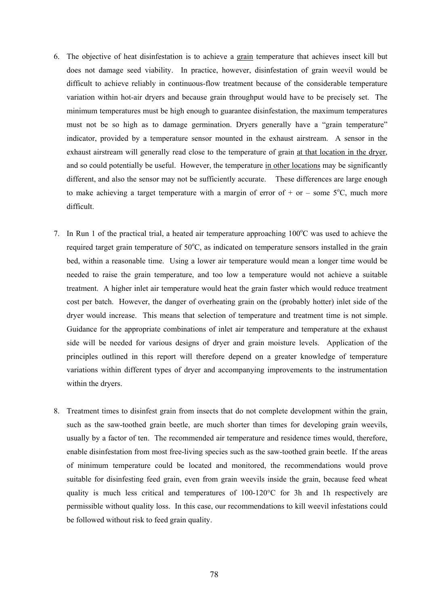- 6. The objective of heat disinfestation is to achieve a grain temperature that achieves insect kill but does not damage seed viability. In practice, however, disinfestation of grain weevil would be difficult to achieve reliably in continuous-flow treatment because of the considerable temperature variation within hot-air dryers and because grain throughput would have to be precisely set. The minimum temperatures must be high enough to guarantee disinfestation, the maximum temperatures must not be so high as to damage germination. Dryers generally have a "grain temperature" indicator, provided by a temperature sensor mounted in the exhaust airstream. A sensor in the exhaust airstream will generally read close to the temperature of grain at that location in the dryer, and so could potentially be useful. However, the temperature in other locations may be significantly different, and also the sensor may not be sufficiently accurate. These differences are large enough to make achieving a target temperature with a margin of error of  $+$  or  $-$  some 5°C, much more difficult.
- 7. In Run 1 of the practical trial, a heated air temperature approaching 100°C was used to achieve the required target grain temperature of  $50^{\circ}$ C, as indicated on temperature sensors installed in the grain bed, within a reasonable time. Using a lower air temperature would mean a longer time would be needed to raise the grain temperature, and too low a temperature would not achieve a suitable treatment. A higher inlet air temperature would heat the grain faster which would reduce treatment cost per batch. However, the danger of overheating grain on the (probably hotter) inlet side of the dryer would increase. This means that selection of temperature and treatment time is not simple. Guidance for the appropriate combinations of inlet air temperature and temperature at the exhaust side will be needed for various designs of dryer and grain moisture levels. Application of the principles outlined in this report will therefore depend on a greater knowledge of temperature variations within different types of dryer and accompanying improvements to the instrumentation within the dryers.
- 8. Treatment times to disinfest grain from insects that do not complete development within the grain, such as the saw-toothed grain beetle, are much shorter than times for developing grain weevils, usually by a factor of ten. The recommended air temperature and residence times would, therefore, enable disinfestation from most free-living species such as the saw-toothed grain beetle. If the areas of minimum temperature could be located and monitored, the recommendations would prove suitable for disinfesting feed grain, even from grain weevils inside the grain, because feed wheat quality is much less critical and temperatures of 100-120°C for 3h and 1h respectively are permissible without quality loss. In this case, our recommendations to kill weevil infestations could be followed without risk to feed grain quality.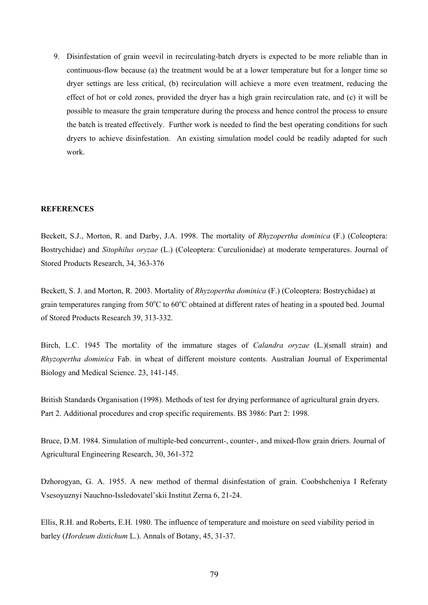9. Disinfestation of grain weevil in recirculating-batch dryers is expected to be more reliable than in continuous-flow because (a) the treatment would be at a lower temperature but for a longer time so dryer settings are less critical, (b) recirculation will achieve a more even treatment, reducing the effect of hot or cold zones, provided the dryer has a high grain recirculation rate, and (c) it will be possible to measure the grain temperature during the process and hence control the process to ensure the batch is treated effectively. Further work is needed to find the best operating conditions for such dryers to achieve disinfestation. An existing simulation model could be readily adapted for such work.

## **REFERENCES**

Beckett, S.J., Morton, R. and Darby, J.A. 1998. The mortality of *Rhyzopertha dominica* (F.) (Coleoptera: Bostrychidae) and *Sitophilus oryzae* (L.) (Coleoptera: Curculionidae) at moderate temperatures. Journal of Stored Products Research, 34, 363-376

Beckett, S. J. and Morton, R. 2003. Mortality of *Rhyzopertha dominica* (F.) (Coleoptera: Bostrychidae) at grain temperatures ranging from  $50^{\circ}$ C to  $60^{\circ}$ C obtained at different rates of heating in a spouted bed. Journal of Stored Products Research 39, 313-332.

Birch, L.C. 1945 The mortality of the immature stages of *Calandra oryzae* (L.)(small strain) and *Rhyzopertha dominica* Fab. in wheat of different moisture contents. Australian Journal of Experimental Biology and Medical Science. 23, 141-145.

British Standards Organisation (1998). Methods of test for drying performance of agricultural grain dryers. Part 2. Additional procedures and crop specific requirements. BS 3986: Part 2: 1998.

Bruce, D.M. 1984. Simulation of multiple-bed concurrent-, counter-, and mixed-flow grain driers. Journal of Agricultural Engineering Research, 30, 361-372

Dzhorogyan, G. A. 1955. A new method of thermal disinfestation of grain. Coobshcheniya I Referaty Vsesoyuznyi Nauchno-Issledovatel'skii Institut Zerna 6, 21-24.

Ellis, R.H. and Roberts, E.H. 1980. The influence of temperature and moisture on seed viability period in barley (*Hordeum distichum* L.). Annals of Botany, 45, 31-37.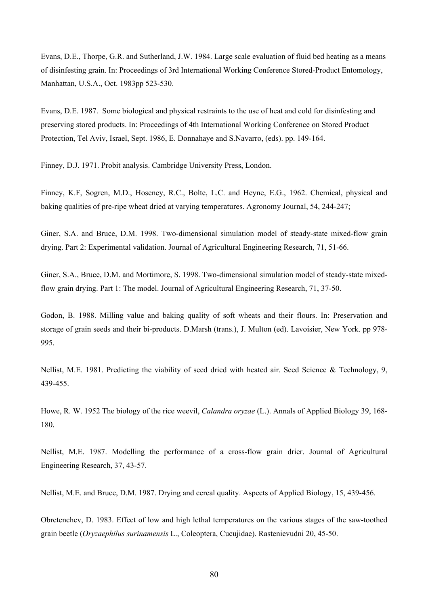Evans, D.E., Thorpe, G.R. and Sutherland, J.W. 1984. Large scale evaluation of fluid bed heating as a means of disinfesting grain. In: Proceedings of 3rd International Working Conference Stored-Product Entomology, Manhattan, U.S.A., Oct. 1983pp 523-530.

Evans, D.E. 1987. Some biological and physical restraints to the use of heat and cold for disinfesting and preserving stored products. In: Proceedings of 4th International Working Conference on Stored Product Protection, Tel Aviv, Israel, Sept. 1986, E. Donnahaye and S.Navarro, (eds). pp. 149-164.

Finney, D.J. 1971. Probit analysis. Cambridge University Press, London.

Finney, K.F, Sogren, M.D., Hoseney, R.C., Bolte, L.C. and Heyne, E.G., 1962. Chemical, physical and baking qualities of pre-ripe wheat dried at varying temperatures. Agronomy Journal, 54, 244-247;

Giner, S.A. and Bruce, D.M. 1998. Two-dimensional simulation model of steady-state mixed-flow grain drying. Part 2: Experimental validation. Journal of Agricultural Engineering Research, 71, 51-66.

Giner, S.A., Bruce, D.M. and Mortimore, S. 1998. Two-dimensional simulation model of steady-state mixedflow grain drying. Part 1: The model. Journal of Agricultural Engineering Research, 71, 37-50.

Godon, B. 1988. Milling value and baking quality of soft wheats and their flours. In: Preservation and storage of grain seeds and their bi-products. D.Marsh (trans.), J. Multon (ed). Lavoisier, New York. pp 978- 995.

Nellist, M.E. 1981. Predicting the viability of seed dried with heated air. Seed Science & Technology, 9, 439-455.

Howe, R. W. 1952 The biology of the rice weevil, *Calandra oryzae* (L.). Annals of Applied Biology 39, 168- 180.

Nellist, M.E. 1987. Modelling the performance of a cross-flow grain drier. Journal of Agricultural Engineering Research, 37, 43-57.

Nellist, M.E. and Bruce, D.M. 1987. Drying and cereal quality. Aspects of Applied Biology, 15, 439-456.

Obretenchev, D. 1983. Effect of low and high lethal temperatures on the various stages of the saw-toothed grain beetle (*Oryzaephilus surinamensis* L., Coleoptera, Cucujidae). Rastenievudni 20, 45-50.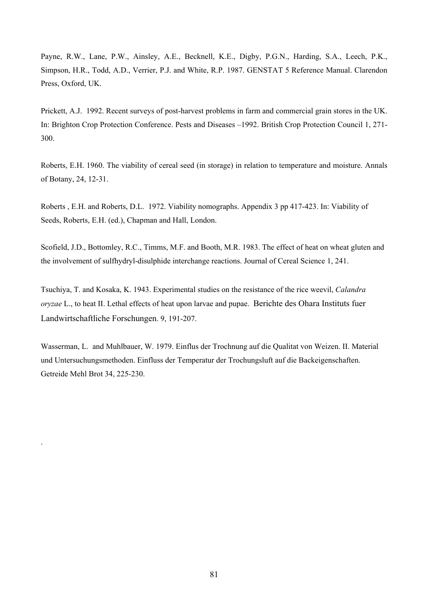Payne, R.W., Lane, P.W., Ainsley, A.E., Becknell, K.E., Digby, P.G.N., Harding, S.A., Leech, P.K., Simpson, H.R., Todd, A.D., Verrier, P.J. and White, R.P. 1987. GENSTAT 5 Reference Manual. Clarendon Press, Oxford, UK.

Prickett, A.J. 1992. Recent surveys of post-harvest problems in farm and commercial grain stores in the UK. In: Brighton Crop Protection Conference. Pests and Diseases –1992. British Crop Protection Council 1, 271- 300.

Roberts, E.H. 1960. The viability of cereal seed (in storage) in relation to temperature and moisture. Annals of Botany, 24, 12-31.

Roberts , E.H. and Roberts, D.L. 1972. Viability nomographs. Appendix 3 pp 417-423. In: Viability of Seeds, Roberts, E.H. (ed.), Chapman and Hall, London.

Scofield, J.D., Bottomley, R.C., Timms, M.F. and Booth, M.R. 1983. The effect of heat on wheat gluten and the involvement of sulfhydryl-disulphide interchange reactions. Journal of Cereal Science 1, 241.

Tsuchiya, T. and Kosaka, K. 1943. Experimental studies on the resistance of the rice weevil, *Calandra oryzae* L., to heat II. Lethal effects of heat upon larvae and pupae. Berichte des Ohara Instituts fuer Landwirtschaftliche Forschungen. 9, 191-207.

Wasserman, L. and Muhlbauer, W. 1979. Einflus der Trochnung auf die Qualitat von Weizen. II. Material und Untersuchungsmethoden. Einfluss der Temperatur der Trochungsluft auf die Backeigenschaften. Getreide Mehl Brot 34, 225-230.

.